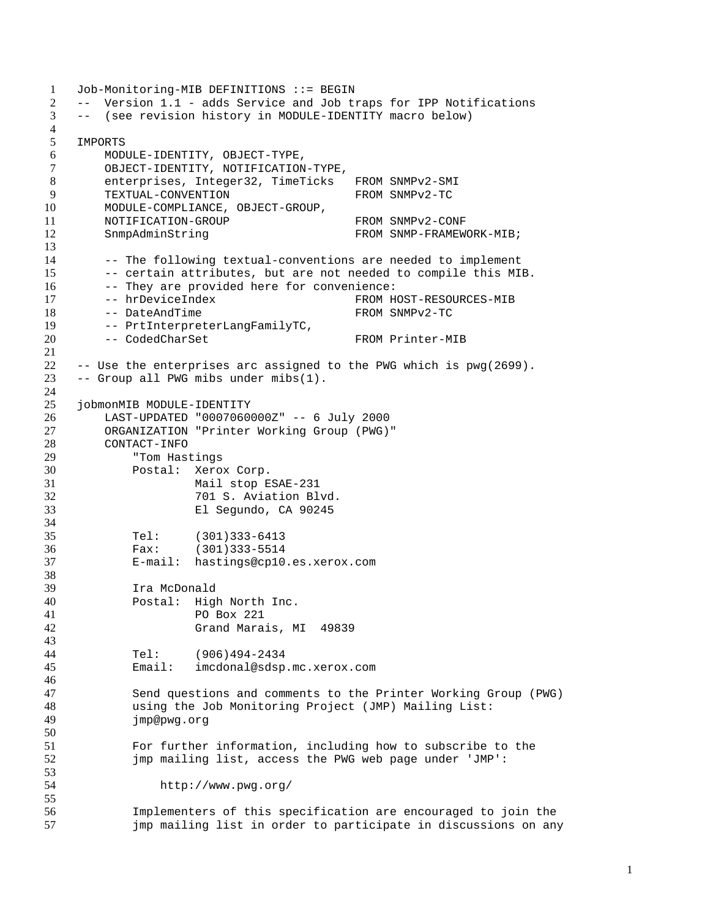```
1 Job-Monitoring-MIB DEFINITIONS ::= BEGIN
2 -- Version 1.1 - adds Service and Job traps for IPP Notifications
3 -- (see revision history in MODULE-IDENTITY macro below)
4
5 IMPORTS
6 MODULE-IDENTITY, OBJECT-TYPE,
7 OBJECT-IDENTITY, NOTIFICATION-TYPE,
8 enterprises, Integer32, TimeTicks FROM SNMPv2-SMI
9 TEXTUAL-CONVENTION FROM SNMPv2-TC
10 MODULE-COMPLIANCE, OBJECT-GROUP,
11 NOTIFICATION-GROUP FROM SNMPv2-CONF
12 SnmpAdminString FROM SNMP-FRAMEWORK-MIB;
13
14 -- The following textual-conventions are needed to implement
15 -- certain attributes, but are not needed to compile this MIB.
16 -- They are provided here for convenience:
17 -- hrDeviceIndex FROM HOST-RESOURCES-MIB
18 -- DateAndTime FROM SNMPv2-TC<br>19 -- PrtInterpreterLangFamilyTC.
19 -- PrtInterpreterLangFamilyTC,<br>20 -- CodedCharSet
       -- CodedCharSet FROM Printer-MIB
21
22 -- Use the enterprises arc assigned to the PWG which is pwg(2699).
23 -- Group all PWG mibs under mibs(1).
24
25 jobmonMIB MODULE-IDENTITY
26 LAST-UPDATED "0007060000Z" -- 6 July 2000
27 ORGANIZATION "Printer Working Group (PWG)"
28 CONTACT-INFO
29 "Tom Hastings
30 Postal: Xerox Corp.
31 Mail stop ESAE-231
32 701 S. Aviation Blvd.
33 El Segundo, CA 90245
34
35 Tel: (301)333-6413<br>36 Fax: (301)333-5514
           Fax: (301)333-5514
37 E-mail: hastings@cp10.es.xerox.com
38
39 Ira McDonald
40 Postal: High North Inc.
41 PO Box 221
42 Grand Marais, MI 49839
43
44 Tel: (906)494-2434
45 Email: imcdonal@sdsp.mc.xerox.com
46
47 Send questions and comments to the Printer Working Group (PWG)
48 using the Job Monitoring Project (JMP) Mailing List:<br>49 imp@pwg.org
           jmp@pwg.org
50
51 For further information, including how to subscribe to the
52 jmp mailing list, access the PWG web page under 'JMP':
53
54 http://www.pwg.org/
55
56 Implementers of this specification are encouraged to join the<br>57 imp mailing list in order to participate in discussions on any
           jmp mailing list in order to participate in discussions on any
```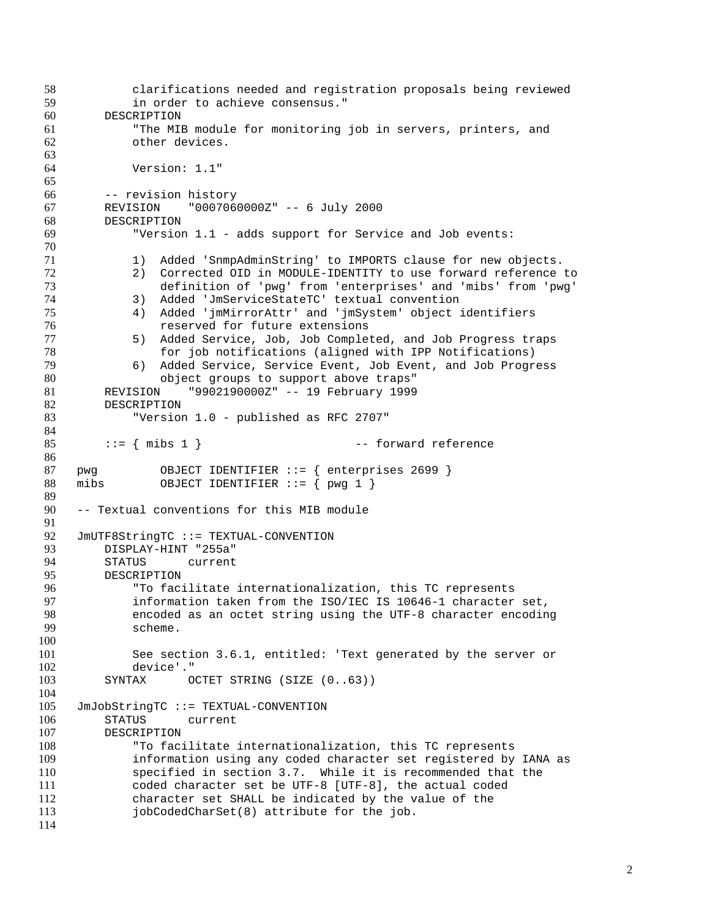clarifications needed and registration proposals being reviewed in order to achieve consensus." DESCRIPTION "The MIB module for monitoring job in servers, printers, and other devices. Version: 1.1" -- revision history REVISION "0007060000Z" -- 6 July 2000 DESCRIPTION "Version 1.1 - adds support for Service and Job events: 1) Added 'SnmpAdminString' to IMPORTS clause for new objects. 72 2) Corrected OID in MODULE-IDENTITY to use forward reference to<br>73 definition of 'pwg' from 'enterprises' and 'mibs' from 'pwg' definition of 'pwg' from 'enterprises' and 'mibs' from 'pwg' 3) Added 'JmServiceStateTC' textual convention 4) Added 'jmMirrorAttr' and 'jmSystem' object identifiers **1988** reserved for future extensions<br>77 1989 5) Added Service, Job, Job Comple 77 5) Added Service, Job, Job Completed, and Job Progress traps<br>78 6 for job notifications (aligned with IPP Notifications) for job notifications (aligned with IPP Notifications) 6) Added Service, Service Event, Job Event, and Job Progress object groups to support above traps" REVISION "9902190000Z" -- 19 February 1999 DESCRIPTION "Version 1.0 - published as RFC 2707" 85 ::=  $\{ \text{miss } 1 \}$  -- forward reference pwg OBJECT IDENTIFIER ::= { enterprises 2699 } mibs OBJECT IDENTIFIER ::= { pwg 1 } -- Textual conventions for this MIB module 92 JmUTF8StringTC ::= TEXTUAL-CONVENTION<br>93 DISPLAY-HINT "255a" DISPLAY-HINT "255a" STATUS current DESCRIPTION 96 To facilitate internationalization, this TC represents<br>97 Sinformation taken from the ISO/IEC IS 10646-1 character information taken from the ISO/IEC IS 10646-1 character set, encoded as an octet string using the UTF-8 character encoding scheme. See section 3.6.1, entitled: 'Text generated by the server or device'." SYNTAX OCTET STRING (SIZE (0..63)) 105 JmJobStringTC ::= TEXTUAL-CONVENTION<br>106 STATUS current STATUS current DESCRIPTION "To facilitate internationalization, this TC represents information using any coded character set registered by IANA as specified in section 3.7. While it is recommended that the coded character set be UTF-8 [UTF-8], the actual coded character set SHALL be indicated by the value of the jobCodedCharSet(8) attribute for the job.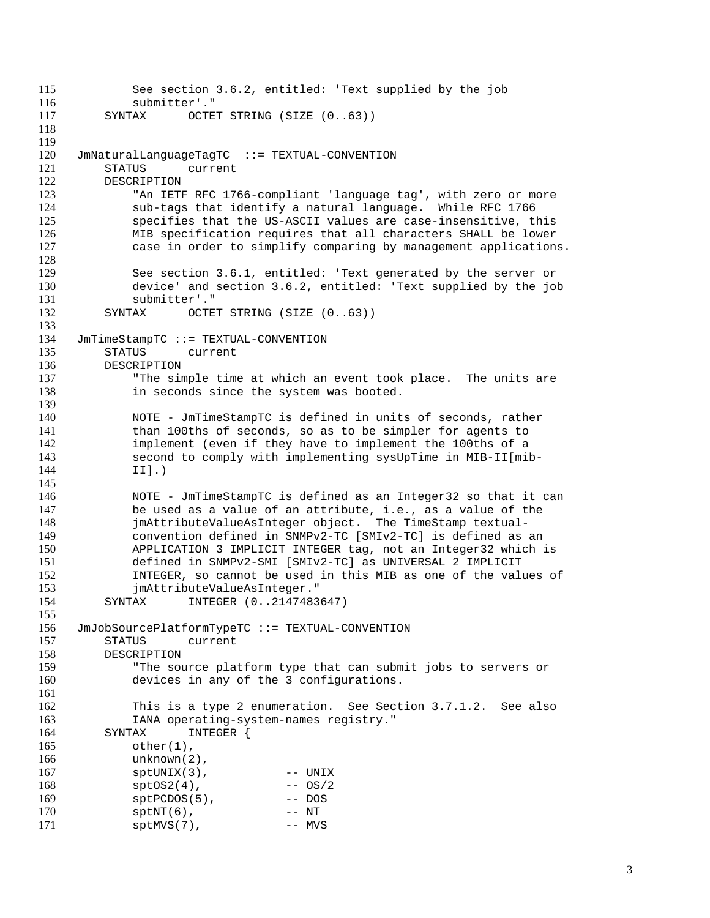```
115 See section 3.6.2, entitled: 'Text supplied by the job
116 submitter'."
117 SYNTAX OCTET STRING (SIZE (0..63))
118
119
120 JmNaturalLanguageTagTC ::= TEXTUAL-CONVENTION
121 STATUS current
122 DESCRIPTION
            "An IETF RFC 1766-compliant 'language tag', with zero or more
124 sub-tags that identify a natural language. While RFC 1766
125 specifies that the US-ASCII values are case-insensitive, this
126 MIB specification requires that all characters SHALL be lower
127 case in order to simplify comparing by management applications.
128
129 See section 3.6.1, entitled: 'Text generated by the server or<br>130 device' and section 3.6.2, entitled: 'Text supplied by the jol
130 device' and section 3.6.2, entitled: 'Text supplied by the job submitter'."
131 submitter'."<br>132 SYNTAX OCTE
         SYNTAX OCTET STRING (SIZE (0..63))
133
134 JmTimeStampTC ::= TEXTUAL-CONVENTION
135 STATUS current
136 DESCRIPTION
137 "The simple time at which an event took place. The units are
138 in seconds since the system was booted.
139
140 NOTE - JmTimeStampTC is defined in units of seconds, rather
141 than 100ths of seconds, so as to be simpler for agents to
142 implement (even if they have to implement the 100ths of a
143 second to comply with implementing sysUpTime in MIB-II[mib-<br>144 1Il.)
            II.)
145
146 NOTE - JmTimeStampTC is defined as an Integer32 so that it can
147 be used as a value of an attribute, i.e., as a value of the
148 jmAttributeValueAsInteger object. The TimeStamp textual-
149 convention defined in SNMPv2-TC [SMIv2-TC] is defined as an
150 APPLICATION 3 IMPLICIT INTEGER tag, not an Integer32 which is
            151 defined in SNMPv2-SMI [SMIv2-TC] as UNIVERSAL 2 IMPLICIT
152 INTEGER, so cannot be used in this MIB as one of the values of
153 jmAttributeValueAsInteger."<br>154 SYNTAX INTEGER (0..2147483
         SYNTAX INTEGER (0..2147483647)
155
156 JmJobSourcePlatformTypeTC ::= TEXTUAL-CONVENTION
157 STATUS current
158 DESCRIPTION
159 "The source platform type that can submit jobs to servers or
160 devices in any of the 3 configurations.
161
162 This is a type 2 enumeration. See Section 3.7.1.2. See also<br>163 TANA operating-system-names registry."
            163 IANA operating-system-names registry."
164 SYNTAX INTEGER {
165 other(1),
166 unknown(2),
167 sptUNIX(3), -- UNIX
168 sptOS2(4), -6S/2169 sptPCDOS(5), -- DOS<br>170 sptNT(6), -- NT
170 sptNT(6), -- NT<br>171 sptMVS(7). -- MVS
            sptMVS(7),
```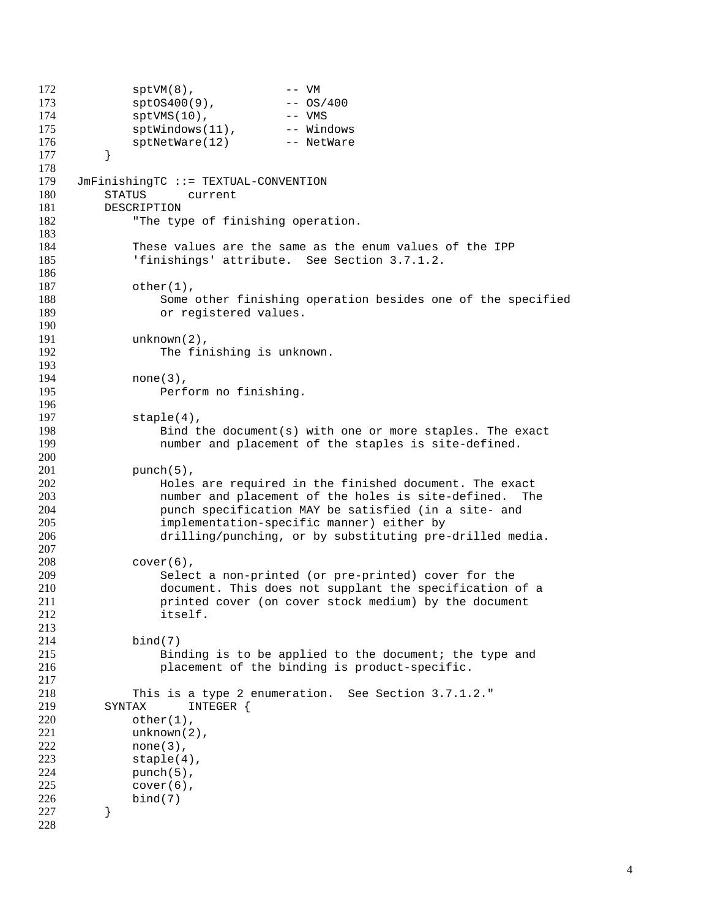```
172 sptVM(8), -- VM
173 sptOS400(9), -- OS/400
174 sptVMS(10), -- VMS
175 sptWindows(11), -- Windows
176 sptNetWare(12) -- NetWare
177 }
178
179 JmFinishingTC ::= TEXTUAL-CONVENTION<br>180 STATUS current
         STATUS current
181 DESCRIPTION
182 The type of finishing operation.
183
184 These values are the same as the enum values of the IPP
185 'finishings' attribute. See Section 3.7.1.2.
186
187 other(1),<br>188 Some
188 Some other finishing operation besides one of the specified<br>189 or registered values.
                 or registered values.
190
191 unknown(2),<br>192 The fin
                 The finishing is unknown.
193
194 none (3),
195 Perform no finishing.
196
197 staple(4),
198 Bind the document(s) with one or more staples. The exact
199 number and placement of the staples is site-defined.
200
201 punch(5),
202 102 Holes are required in the finished document. The exact<br>203 11 mumber and placement of the holes is site-defined. The
203 1000 number and placement of the holes is site-defined. The 204 comparent punch specification MAY be satisfied (in a site- and
                 punch specification MAY be satisfied (in a site- and
205 implementation-specific manner) either by<br>206 drilling/punching, or by substituting pre-
                 drilling/punching, or by substituting pre-drilled media.
207
208 cover(6),
209 Select a non-printed (or pre-printed) cover for the<br>210 document. This does not supplant the specification
210 document. This does not supplant the specification of a<br>211 contract of the specification of a cover stock medium) by the document
                 printed cover (on cover stock medium) by the document
212 itself.
213
214 bind(7)
215 Binding is to be applied to the document; the type and
216 placement of the binding is product-specific.
217
218 This is a type 2 enumeration. See Section 3.7.1.2."<br>219 SYNTAX INTEGER {
219 SYNTAX INTEGER {<br>220 other(1).
             other(1),
221 unknown(2),
222 none(3),
223 staple(4),
224 punch(5),
225 cover(6),
226 bind(7)
227 }
228
```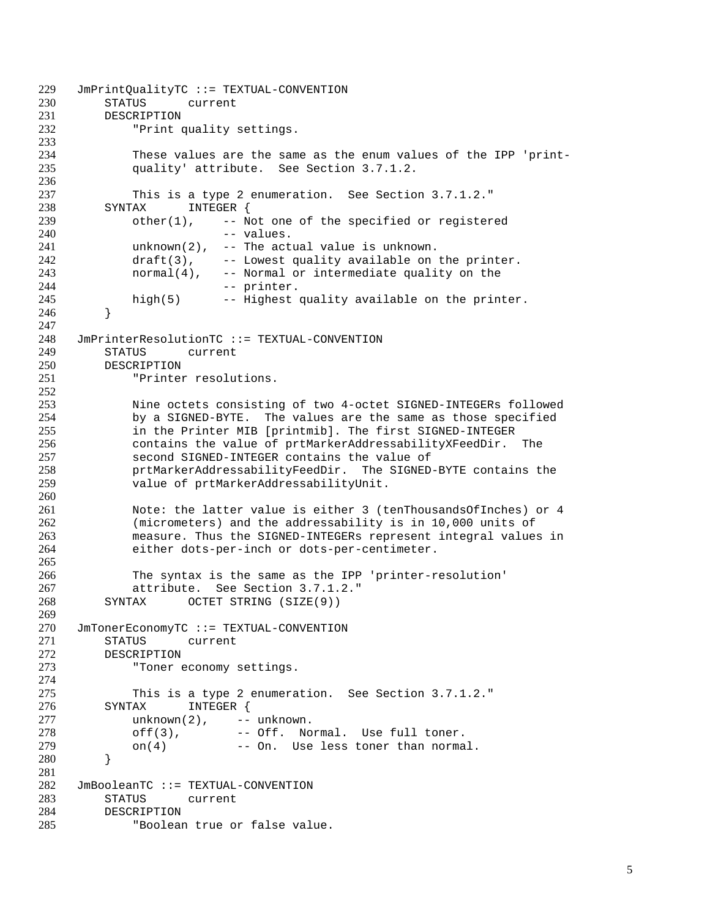```
229 JmPrintQualityTC ::= TEXTUAL-CONVENTION<br>230 STATUS current
          STATUS current
231 DESCRIPTION
232 "Print quality settings.
233
234 These values are the same as the enum values of the IPP 'print-<br>235 quality' attribute. See Section 3.7.1.2.
              quality' attribute. See Section 3.7.1.2.
236
237 This is a type 2 enumeration. See Section 3.7.1.2."<br>238 SYNTAX INTEGER {
          SYNTAX INTEGER {
239 other(1), -- Not one of the specified or registered
240 -- values.
241 unknown(2), -- The actual value is unknown.
242 draft(3), -- Lowest quality available on the printer.
243 normal(4), -- Normal or intermediate quality on the 244244 -- printer.<br>245 high(5) -- Highest
              high(5) -- Highest quality available on the printer.
246 }
247
248 JmPrinterResolutionTC ::= TEXTUAL-CONVENTION
249 STATUS current
250 DESCRIPTION
251 "Printer resolutions.
252
253 1253 Nine octets consisting of two 4-octet SIGNED-INTEGERs followed<br>254 254 by a SIGNED-BYTE. The values are the same as those specified
254 by a SIGNED-BYTE. The values are the same as those specified
              in the Printer MIB [printmib]. The first SIGNED-INTEGER
256 contains the value of prtMarkerAddressabilityXFeedDir. The
257 second SIGNED-INTEGER contains the value of<br>258 second struct professability reed Dir. The SIGNED
258 prtMarkerAddressabilityFeedDir. The SIGNED-BYTE contains the
              value of prtMarkerAddressabilityUnit.
260
261 Note: the latter value is either 3 (tenThousandsOfInches) or 4
262 (micrometers) and the addressability is in 10,000 units of<br>263 measure. Thus the SIGNED-INTEGERs represent integral values
263 measure. Thus the SIGNED-INTEGERs represent integral values in<br>264 either dots-per-inch or dots-per-centimeter.
              either dots-per-inch or dots-per-centimeter.
265
266 The syntax is the same as the IPP 'printer-resolution'<br>267 attribute. See Section 3.7.1.2."
267 attribute. See Section 3.7.1.2."<br>268 SYNTAX OCTET STRING (SIZE(9))
          SYNTAX OCTET STRING (SIZE(9))
269
270 JmTonerEconomyTC ::= TEXTUAL-CONVENTION
271 STATUS current
272 DESCRIPTION
273 "Toner economy settings.
274
275 This is a type 2 enumeration. See Section 3.7.1.2."<br>276 SYNTAX INTEGER {
276 SYNTAX INTEGER {<br>277 unknown(2), --
277 unknown(2), -- unknown.<br>278 off(3), -- Off. No
              off(3), -- Off. Normal. Use full toner.
279 on(4) -- On. Use less toner than normal.
280 }
281
282 JmBooleanTC ::= TEXTUAL-CONVENTION
283 STATUS current
284 DESCRIPTION<br>285 "Boolear
              "Boolean true or false value.
```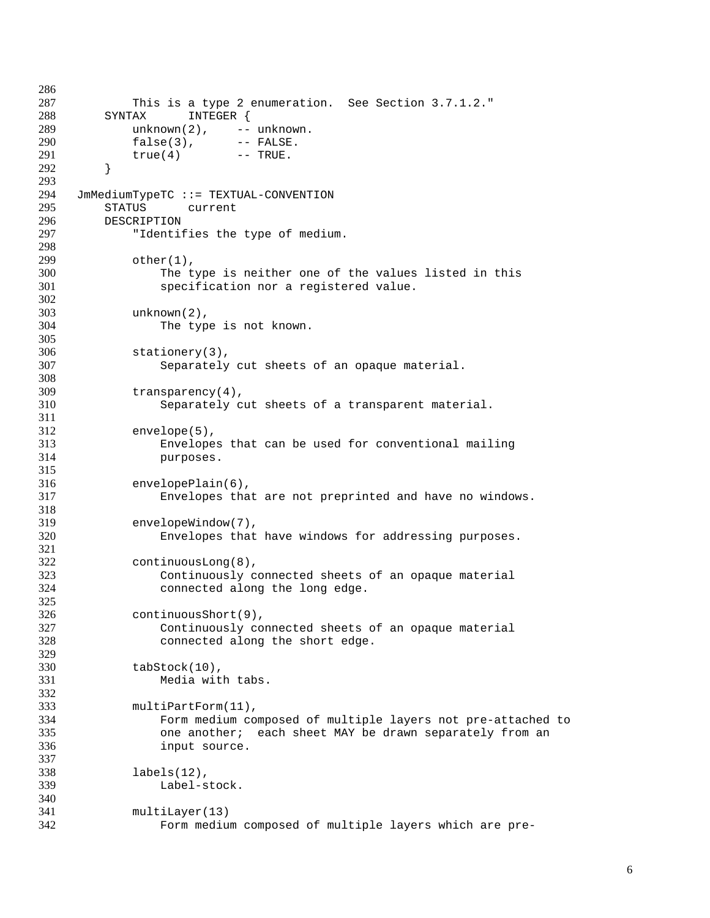```
286
287 This is a type 2 enumeration. See Section 3.7.1.2."
288 SYNTAX INTEGER {
289 unknown(2), -- unknown.
290 false(3), -- FALSE.
291 true(4) -- TRUE.
292 }
293
294 JmMediumTypeTC ::= TEXTUAL-CONVENTION
295 STATUS current
296 DESCRIPTION<br>297 "Identif
            "Identifies the type of medium.
298
299 other(1),
300 The type is neither one of the values listed in this<br>301 Specification nor a registered value.
               specification nor a registered value.
302
303 unknown(2),<br>304 The typ
               The type is not known.
305
306 stationery(3),
307 Separately cut sheets of an opaque material.
308
309 transparency(4),
310 Separately cut sheets of a transparent material.
311
312 envelope(5),
313 Envelopes that can be used for conventional mailing
314 purposes.
315
316 envelopePlain(6),<br>317 Envelopes tha
               Envelopes that are not preprinted and have no windows.
318
319 envelopeWindow(7),<br>320 Envelopes that
               Envelopes that have windows for addressing purposes.
321
322 continuousLong(8),
323 Continuously connected sheets of an opaque material
               connected along the long edge.
325
326 continuousShort(9),
327 Continuously connected sheets of an opaque material
328 connected along the short edge.
329
330 tabStock(10),
331 Media with tabs.
332
333 multiPartForm(11),<br>334 Form medium co
               Form medium composed of multiple layers not pre-attached to
335 one another; each sheet MAY be drawn separately from an
336 input source.
337
338 labels(12),
339 Label-stock.
340
341 multiLayer(13)<br>342 Form mediu
               Form medium composed of multiple layers which are pre-
```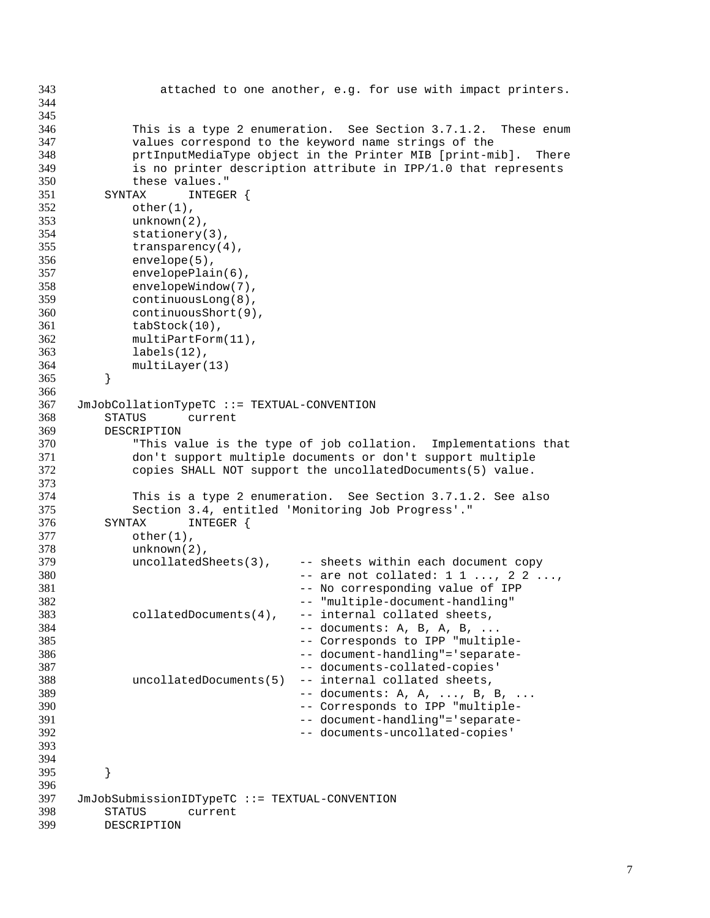```
343 attached to one another, e.g. for use with impact printers.
344
345
346 This is a type 2 enumeration. See Section 3.7.1.2. These enum
347 values correspond to the keyword name strings of the
348 prtInputMediaType object in the Printer MIB [print-mib]. There
349 is no printer description attribute in IPP/1.0 that represents
350 these values."<br>351 SYNTAX INTEGE
        SYNTAX INTEGER {
352 other(1),
353 unknown(2),
354 stationery(3),
355 transparency(4),
356 envelope(5),
357 envelopePlain(6),<br>358 envelopeWindow(7)
358 envelopeWindow(7),<br>359 continuousLong(8),
359 continuousLong(8),<br>360 continuousShort(9)
360 continuousShort(9),<br>361 tabStock(10),
           tabStock(10),
362 multiPartForm(11),
363 labels(12),
364 multiLayer(13)
365 }
366
367 JmJobCollationTypeTC ::= TEXTUAL-CONVENTION
368 STATUS current
369 DESCRIPTION
370 "This value is the type of job collation. Implementations that
371 don't support multiple documents or don't support multiple
372 copies SHALL NOT support the uncollatedDocuments(5) value.
373
374 This is a type 2 enumeration. See Section 3.7.1.2. See also
375 Section 3.4, entitled 'Monitoring Job Progress'."
376 SYNTAX INTEGER {<br>377 other(1),
377 other(1),<br>378 unknown(2)
378 unknown(2),
           uncollatedSheets(3), -- sheets within each document copy
380 -- are not collated: 1 1 ..., 2 2 ...,
381 -- No corresponding value of IPP -- No corresponding value of IPP 382
                                 -- "multiple-document-handling"
383 collatedDocuments(4), -- internal collated sheets,
384 -- documents: A, B, A, B, ...
385 -- Corresponds to IPP "multiple-
386 -- document-handling"='separate-
387 -- documents-collated-copies'
388 uncollatedDocuments(5) -- internal collated sheets,
389 -- documents: A, A, ..., B, B, ...<br>390 -- Corresponds to IPP "multiple-
390 -- Corresponds to IPP "multiple-<br>391 -- document-handling"='separate-
391 -- document-handling"='separate-<br>392 -- documents-uncollated-copies'
                                 -- documents-uncollated-copies'
393
394
395 }
396
397 JmJobSubmissionIDTypeTC ::= TEXTUAL-CONVENTION
398 STATUS current<br>399 DESCRIPTION
        DESCRIPTION
```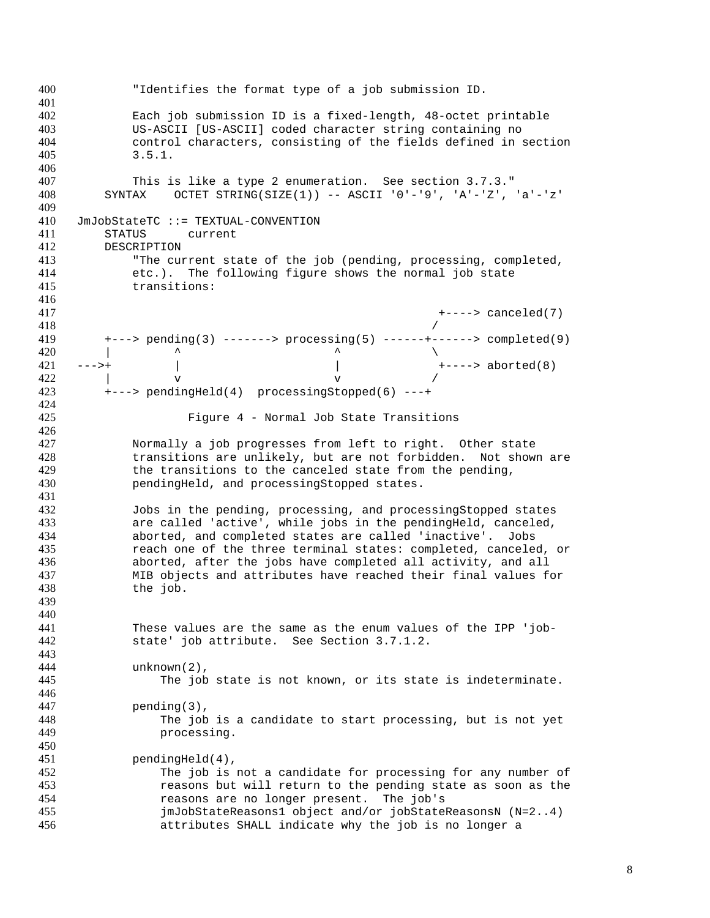"Identifies the format type of a job submission ID. Each job submission ID is a fixed-length, 48-octet printable US-ASCII [US-ASCII] coded character string containing no control characters, consisting of the fields defined in section 3.5.1. This is like a type 2 enumeration. See section 3.7.3." SYNTAX OCTET STRING(SIZE(1)) -- ASCII '0'-'9', 'A'-'Z', 'a'-'z' JmJobStateTC ::= TEXTUAL-CONVENTION STATUS current DESCRIPTION "The current state of the job (pending, processing, completed, etc.). The following figure shows the normal job state transitions:  $+--->$  canceled(7)<br>418 +---> pending(3) -------> processing(5) ------+------> completed(9)  $\qquad \qquad$  --->+ | | +----> aborted(8)  $v$   $v$   $v$   $v$  +---> pendingHeld(4) processingStopped(6) ---+ Figure 4 - Normal Job State Transitions Normally a job progresses from left to right. Other state transitions are unlikely, but are not forbidden. Not shown are the transitions to the canceled state from the pending, pendingHeld, and processingStopped states. Jobs in the pending, processing, and processingStopped states are called 'active', while jobs in the pendingHeld, canceled, aborted, and completed states are called 'inactive'. Jobs reach one of the three terminal states: completed, canceled, or aborted, after the jobs have completed all activity, and all MIB objects and attributes have reached their final values for the job. These values are the same as the enum values of the IPP 'job- state' job attribute. See Section 3.7.1.2. unknown(2), The job state is not known, or its state is indeterminate. 447 pending(3),<br>448 The iob The job is a candidate to start processing, but is not yet processing. pendingHeld(4), The job is not a candidate for processing for any number of reasons but will return to the pending state as soon as the reasons are no longer present. The job's jmJobStateReasons1 object and/or jobStateReasonsN (N=2..4) attributes SHALL indicate why the job is no longer a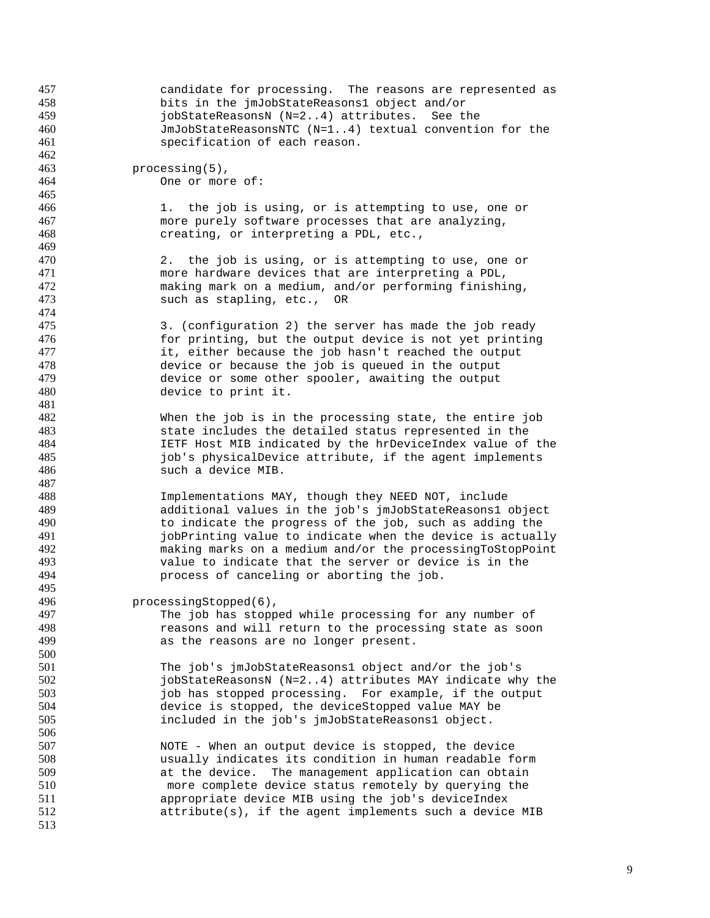| 457 | candidate for processing. The reasons are represented as  |  |  |  |
|-----|-----------------------------------------------------------|--|--|--|
| 458 | bits in the jmJobStateReasons1 object and/or              |  |  |  |
| 459 | jobStateReasonsN (N=24) attributes. See the               |  |  |  |
| 460 | JmJobStateReasonsNTC (N=14) textual convention for the    |  |  |  |
| 461 | specification of each reason.                             |  |  |  |
| 462 |                                                           |  |  |  |
| 463 |                                                           |  |  |  |
|     | $processing(5)$ ,                                         |  |  |  |
| 464 | One or more of:                                           |  |  |  |
| 465 |                                                           |  |  |  |
| 466 | 1. the job is using, or is attempting to use, one or      |  |  |  |
| 467 | more purely software processes that are analyzing,        |  |  |  |
| 468 | creating, or interpreting a PDL, etc.,                    |  |  |  |
| 469 |                                                           |  |  |  |
| 470 | 2. the job is using, or is attempting to use, one or      |  |  |  |
| 471 | more hardware devices that are interpreting a PDL,        |  |  |  |
| 472 | making mark on a medium, and/or performing finishing,     |  |  |  |
| 473 | such as stapling, etc., OR                                |  |  |  |
| 474 |                                                           |  |  |  |
| 475 | 3. (configuration 2) the server has made the job ready    |  |  |  |
| 476 | for printing, but the output device is not yet printing   |  |  |  |
| 477 | it, either because the job hasn't reached the output      |  |  |  |
| 478 | device or because the job is queued in the output         |  |  |  |
| 479 | device or some other spooler, awaiting the output         |  |  |  |
| 480 | device to print it.                                       |  |  |  |
| 481 |                                                           |  |  |  |
| 482 | When the job is in the processing state, the entire job   |  |  |  |
| 483 | state includes the detailed status represented in the     |  |  |  |
| 484 | IETF Host MIB indicated by the hrDeviceIndex value of the |  |  |  |
| 485 |                                                           |  |  |  |
| 486 | job's physicalDevice attribute, if the agent implements   |  |  |  |
|     | such a device MIB.                                        |  |  |  |
| 487 |                                                           |  |  |  |
| 488 | Implementations MAY, though they NEED NOT, include        |  |  |  |
| 489 | additional values in the job's jmJobStateReasons1 object  |  |  |  |
| 490 | to indicate the progress of the job, such as adding the   |  |  |  |
| 491 | jobPrinting value to indicate when the device is actually |  |  |  |
| 492 | making marks on a medium and/or the processingToStopPoint |  |  |  |
| 493 | value to indicate that the server or device is in the     |  |  |  |
| 494 | process of canceling or aborting the job.                 |  |  |  |
| 495 |                                                           |  |  |  |
| 496 | processingStopped(6),                                     |  |  |  |
| 497 | The job has stopped while processing for any number of    |  |  |  |
| 498 | reasons and will return to the processing state as soon   |  |  |  |
| 499 | as the reasons are no longer present.                     |  |  |  |
| 500 |                                                           |  |  |  |
| 501 | The job's jmJobStateReasons1 object and/or the job's      |  |  |  |
| 502 | jobStateReasonsN (N=24) attributes MAY indicate why the   |  |  |  |
| 503 | job has stopped processing. For example, if the output    |  |  |  |
| 504 | device is stopped, the deviceStopped value MAY be         |  |  |  |
| 505 | included in the job's jmJobStateReasons1 object.          |  |  |  |
| 506 |                                                           |  |  |  |
| 507 | NOTE - When an output device is stopped, the device       |  |  |  |
| 508 | usually indicates its condition in human readable form    |  |  |  |
| 509 | at the device. The management application can obtain      |  |  |  |
| 510 |                                                           |  |  |  |
|     | more complete device status remotely by querying the      |  |  |  |
| 511 | appropriate device MIB using the job's deviceIndex        |  |  |  |
| 512 | attribute(s), if the agent implements such a device MIB   |  |  |  |
| 513 |                                                           |  |  |  |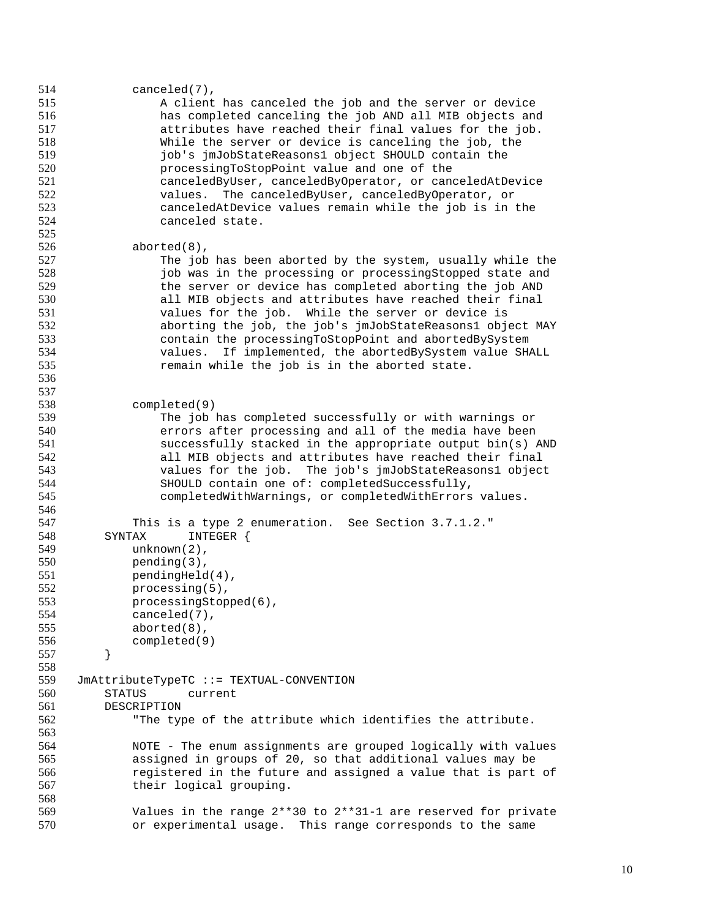| 514 | $canceled(7)$ ,                                                   |
|-----|-------------------------------------------------------------------|
| 515 | A client has canceled the job and the server or device            |
| 516 | has completed canceling the job AND all MIB objects and           |
| 517 | attributes have reached their final values for the job.           |
| 518 | While the server or device is canceling the job, the              |
| 519 | job's jmJobStateReasons1 object SHOULD contain the                |
| 520 | processingToStopPoint value and one of the                        |
| 521 | canceledByUser, canceledByOperator, or canceledAtDevice           |
| 522 | The canceledByUser, canceledByOperator, or<br>values.             |
| 523 | canceledAtDevice values remain while the job is in the            |
| 524 | canceled state.                                                   |
| 525 |                                                                   |
| 526 | $aborted(8)$ ,                                                    |
| 527 | The job has been aborted by the system, usually while the         |
| 528 | job was in the processing or processingStopped state and          |
| 529 | the server or device has completed aborting the job AND           |
| 530 | all MIB objects and attributes have reached their final           |
| 531 | values for the job. While the server or device is                 |
| 532 |                                                                   |
|     | aborting the job, the job's jmJobStateReasons1 object MAY         |
| 533 | contain the processingToStopPoint and abortedBySystem             |
| 534 | values. If implemented, the abortedBySystem value SHALL           |
| 535 | remain while the job is in the aborted state.                     |
| 536 |                                                                   |
| 537 |                                                                   |
| 538 | completed(9)                                                      |
| 539 | The job has completed successfully or with warnings or            |
| 540 | errors after processing and all of the media have been            |
| 541 | successfully stacked in the appropriate output bin(s) AND         |
| 542 | all MIB objects and attributes have reached their final           |
| 543 | values for the job. The job's jmJobStateReasons1 object           |
| 544 | SHOULD contain one of: completedSuccessfully,                     |
| 545 | completedWithWarnings, or completedWithErrors values.             |
| 546 |                                                                   |
| 547 | This is a type 2 enumeration. See Section 3.7.1.2."               |
| 548 | SYNTAX<br>INTEGER {                                               |
| 549 | $unknown(2)$ ,                                                    |
| 550 | $pending(3)$ ,                                                    |
| 551 | $pendingHello(4)$ ,                                               |
| 552 | $processing(5)$ ,                                                 |
| 553 | $processingStoped(6)$ ,                                           |
| 554 | $canceled(7)$ ,                                                   |
| 555 | $aborted(8)$ ,                                                    |
| 556 | completed(9)                                                      |
| 557 | }                                                                 |
| 558 |                                                                   |
| 559 | JmAttributeTypeTC ::= TEXTUAL-CONVENTION                          |
| 560 | <b>STATUS</b><br>current                                          |
| 561 | DESCRIPTION                                                       |
| 562 | "The type of the attribute which identifies the attribute.        |
| 563 |                                                                   |
| 564 | NOTE - The enum assignments are grouped logically with values     |
| 565 |                                                                   |
|     | assigned in groups of 20, so that additional values may be        |
| 566 | registered in the future and assigned a value that is part of     |
| 567 | their logical grouping.                                           |
| 568 |                                                                   |
| 569 | Values in the range $2**30$ to $2**31-1$ are reserved for private |
| 570 | or experimental usage. This range corresponds to the same         |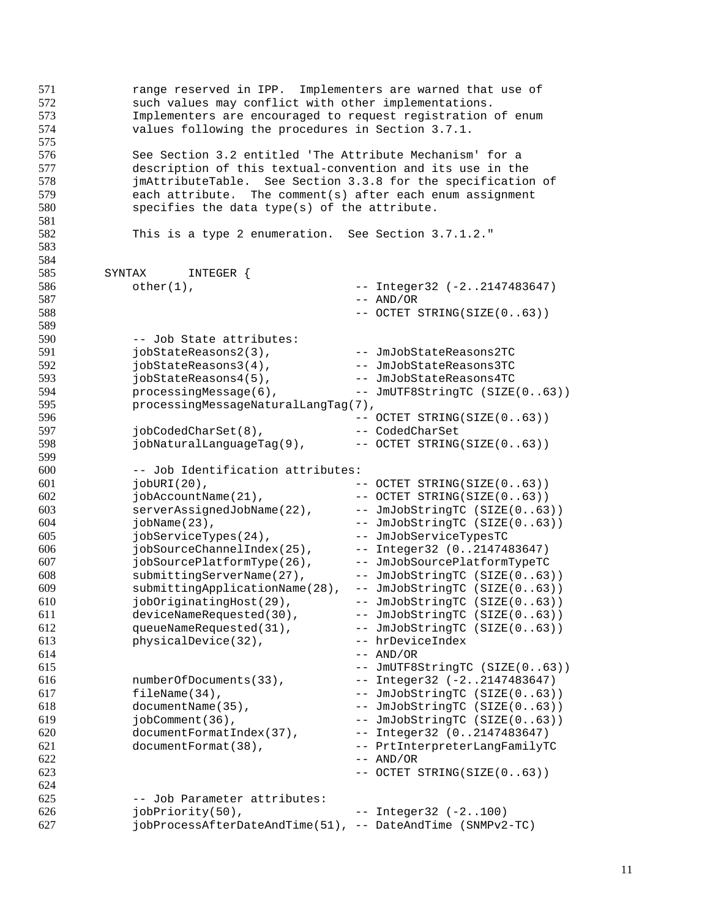| 571<br>572<br>573<br>574<br>575        | range reserved in IPP. Implementers are warned that use of<br>such values may conflict with other implementations.<br>Implementers are encouraged to request registration of enum<br>values following the procedures in Section 3.7.1.                                                             |  |                               |  |  |
|----------------------------------------|----------------------------------------------------------------------------------------------------------------------------------------------------------------------------------------------------------------------------------------------------------------------------------------------------|--|-------------------------------|--|--|
| 576<br>577<br>578<br>579<br>580<br>581 | See Section 3.2 entitled 'The Attribute Mechanism' for a<br>description of this textual-convention and its use in the<br>jmAttributeTable. See Section 3.3.8 for the specification of<br>each attribute. The comment(s) after each enum assignment<br>specifies the data type(s) of the attribute. |  |                               |  |  |
| 582<br>583<br>584                      | This is a type 2 enumeration. See Section 3.7.1.2."                                                                                                                                                                                                                                                |  |                               |  |  |
| 585                                    | SYNTAX<br>INTEGER {                                                                                                                                                                                                                                                                                |  |                               |  |  |
| 586                                    | $other(1)$ ,                                                                                                                                                                                                                                                                                       |  | -- Integer32 (-22147483647)   |  |  |
| 587                                    |                                                                                                                                                                                                                                                                                                    |  | $-- AND/OR$                   |  |  |
| 588                                    |                                                                                                                                                                                                                                                                                                    |  | -- OCTET STRING(SIZE(063))    |  |  |
|                                        |                                                                                                                                                                                                                                                                                                    |  |                               |  |  |
| 589                                    |                                                                                                                                                                                                                                                                                                    |  |                               |  |  |
| 590                                    | -- Job State attributes:                                                                                                                                                                                                                                                                           |  |                               |  |  |
| 591                                    | jobStateReasons2(3),                                                                                                                                                                                                                                                                               |  | -- JmJobStateReasons2TC       |  |  |
| 592                                    | jobStateReasons3(4),                                                                                                                                                                                                                                                                               |  | -- JmJobStateReasons3TC       |  |  |
| 593                                    | jobStateReasons4(5),                                                                                                                                                                                                                                                                               |  | -- JmJobStateReasons4TC       |  |  |
| 594                                    | processingMessage(6),                                                                                                                                                                                                                                                                              |  | -- JmUTF8StringTC (SIZE(063)) |  |  |
| 595                                    | processingMessageNaturalLangTag(7),                                                                                                                                                                                                                                                                |  |                               |  |  |
| 596                                    |                                                                                                                                                                                                                                                                                                    |  | -- OCTET STRING(SIZE(063))    |  |  |
| 597                                    | jobCodedCharSet(8),                                                                                                                                                                                                                                                                                |  | -- CodedCharSet               |  |  |
| 598                                    | jobNaturalLanguageTag(9),                                                                                                                                                                                                                                                                          |  | -- OCTET STRING(SIZE(063))    |  |  |
| 599                                    |                                                                                                                                                                                                                                                                                                    |  |                               |  |  |
| 600                                    | -- Job Identification attributes:                                                                                                                                                                                                                                                                  |  |                               |  |  |
| 601                                    | $jobURI(20)$ ,                                                                                                                                                                                                                                                                                     |  | $--$ OCTET STRING(SIZE(063))  |  |  |
| 602                                    | jobAccountName(21),                                                                                                                                                                                                                                                                                |  | -- OCTET STRING(SIZE(063))    |  |  |
| 603                                    | serverAssignedJobName(22),                                                                                                                                                                                                                                                                         |  | -- JmJobStringTC (SIZE(063))  |  |  |
| 604                                    | $jobName(23)$ ,                                                                                                                                                                                                                                                                                    |  | -- JmJobStringTC (SIZE(063))  |  |  |
| 605                                    | jobServiceTypes(24),                                                                                                                                                                                                                                                                               |  | -- JmJobServiceTypesTC        |  |  |
| 606                                    | jobSourceChannelIndex(25),                                                                                                                                                                                                                                                                         |  | -- Integer32 (02147483647)    |  |  |
| 607                                    | jobSourcePlatformType(26),                                                                                                                                                                                                                                                                         |  | -- JmJobSourcePlatformTypeTC  |  |  |
| 608                                    | submittingServerName(27),                                                                                                                                                                                                                                                                          |  | -- JmJobStringTC (SIZE(063))  |  |  |
| 609                                    | submittingApplicationName(28),                                                                                                                                                                                                                                                                     |  | -- JmJobStringTC (SIZE(063))  |  |  |
| 610                                    | jobOriginatingHost(29),                                                                                                                                                                                                                                                                            |  | -- JmJobStringTC (SIZE(063))  |  |  |
| 611                                    | deviceNameRequested(30),                                                                                                                                                                                                                                                                           |  | -- JmJobStringTC (SIZE(063))  |  |  |
| 612                                    | queueNameRequested(31),                                                                                                                                                                                                                                                                            |  | -- JmJobStringTC (SIZE(063))  |  |  |
| 613                                    | physicalDevice(32),                                                                                                                                                                                                                                                                                |  | -- hrDeviceIndex              |  |  |
| 614                                    |                                                                                                                                                                                                                                                                                                    |  | $--$ AND/OR                   |  |  |
| 615                                    |                                                                                                                                                                                                                                                                                                    |  | -- JmUTF8StringTC (SIZE(063)) |  |  |
| 616                                    | numberOfDocuments(33),                                                                                                                                                                                                                                                                             |  | -- Integer32 (-22147483647)   |  |  |
| 617                                    | fileName(34),                                                                                                                                                                                                                                                                                      |  | -- JmJobStringTC (SIZE(063))  |  |  |
| 618                                    | documentName(35),                                                                                                                                                                                                                                                                                  |  | -- JmJobStringTC (SIZE(063))  |  |  |
| 619                                    | jobComment(36),                                                                                                                                                                                                                                                                                    |  | -- JmJobStringTC (SIZE(063))  |  |  |
| 620                                    | documentFormatIndex(37),                                                                                                                                                                                                                                                                           |  | -- Integer32 (02147483647)    |  |  |
| 621                                    | documentFormat(38),                                                                                                                                                                                                                                                                                |  | -- PrtInterpreterLangFamilyTC |  |  |
| 622                                    |                                                                                                                                                                                                                                                                                                    |  | $--$ AND/OR                   |  |  |
| 623                                    |                                                                                                                                                                                                                                                                                                    |  | -- OCTET STRING(SIZE(063))    |  |  |
| 624                                    |                                                                                                                                                                                                                                                                                                    |  |                               |  |  |
| 625                                    | -- Job Parameter attributes:                                                                                                                                                                                                                                                                       |  |                               |  |  |
| 626                                    | jobPriority(50),                                                                                                                                                                                                                                                                                   |  | $--$ Integer32 $(-2100)$      |  |  |
| 627                                    | jobProcessAfterDateAndTime(51), -- DateAndTime (SNMPv2-TC)                                                                                                                                                                                                                                         |  |                               |  |  |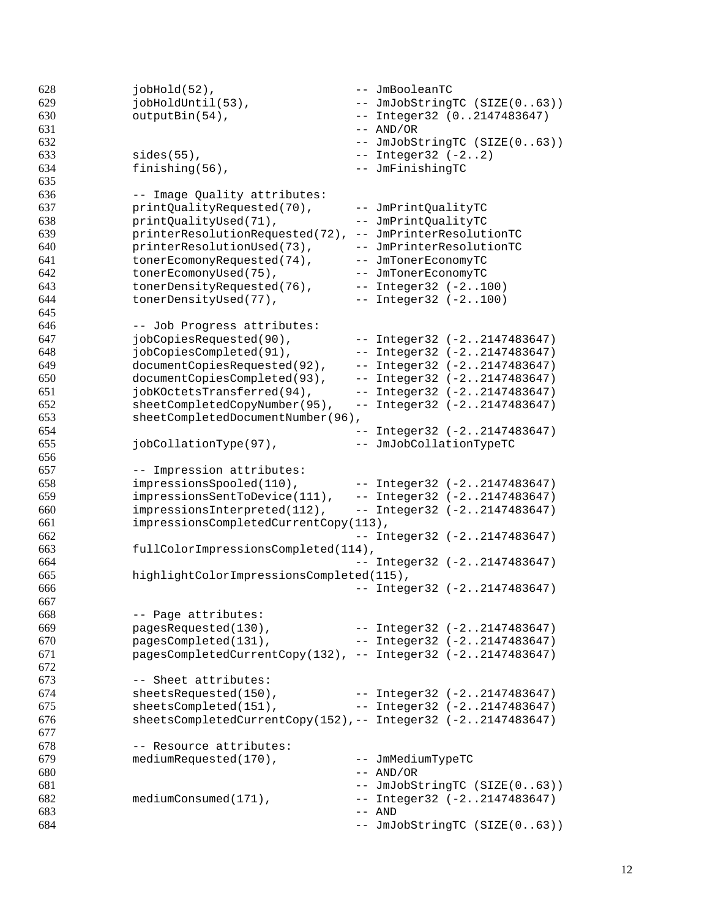```
628 jobHold(52), -- JmBooleanTC<br>629 jobHoldUntil(53), -- JmJobString
629 jobHoldUntil(53), -- JmJobStringTC (SIZE(0..63))
630 outputBin(54), -- Integer32 (0..2147483647)
-4ND/OR632 -- JmJobStringTC (SIZE(0..63))
633 sides(55), -- Integer32 (-2..2)
634 finishing(56), -- JmFinishingTC
635
636 -- Image Quality attributes:
637 printQualityRequested(70), -- JmPrintQualityTC
638 printQualityUsed(71), -- JmPrintQualityTC
639 printerResolutionRequested(72), -- JmPrinterResolutionTC
640 printerResolutionUsed(73), -- JmPrinterResolutionTC
641 tonerEcomonyRequested(74), -- JmTonerEconomyTC
642 tonerEcomonyUsed(75), -- JmTonerEconomyTC
643 tonerDensityRequested(76), -- Integer32 (-2..100)
644 tonerDensityUsed(77), -- Integer32 (-2..100)
645
646 -- Job Progress attributes:
647 jobCopiesRequested(90), -- Integer32 (-2..2147483647)
648 jobCopiesCompleted(91), -- Integer32 (-2..2147483647)
649 documentCopiesRequested(92), -- Integer32 (-2..2147483647)
650 documentCopiesCompleted(93), -- Integer32 (-2..2147483647)
651 jobKOctetsTransferred(94), -- Integer32 (-2..2147483647)
652 sheetCompletedCopyNumber(95), -- Integer32 (-2..2147483647)
653 sheetCompletedDocumentNumber(96),
654 -- Integer32 (-2..2147483647)
655 jobCollationType(97), -- JmJobCollationTypeTC
656
657 -- Impression attributes:
658 impressionsSpooled(110), -- Integer32 (-2..2147483647)
659 impressionsSentToDevice(111), -- Integer32 (-2..2147483647)
660 impressionsInterpreted(112), -- Integer32 (-2..2147483647)
661 impressionsCompletedCurrentCopy(113),
662 -- Integer32 (-2..2147483647)
663 fullColorImpressionsCompleted(114),
664 -- Integer32 (-2..2147483647)
665 highlightColorImpressionsCompleted(115),
666 -- Integer32 (-2..2147483647)
667
668 -- Page attributes:
669 pagesRequested(130), -- Integer32 (-2..2147483647)
670 pagesCompleted(131), -- Integer32 (-2..2147483647)
671 pagesCompletedCurrentCopy(132), -- Integer32 (-2..2147483647)
672
673 -- Sheet attributes:
674 sheetsRequested(150), -- Integer32 (-2..2147483647)
675 sheetsCompleted(151), -- Integer32 (-2..2147483647)
676 sheetsCompletedCurrentCopy(152),-- Integer32 (-2..2147483647)
677
678 -- Resource attributes:
679 mediumRequested(170), -- JmMediumTypeTC
680 -- AND/OR
681 -- JmJobStringTC (SIZE(0..63))
682 mediumConsumed(171), -- Integer32 (-2..2147483647)
-683 - AND
684 -- JmJobStringTC (SIZE(0..63))
```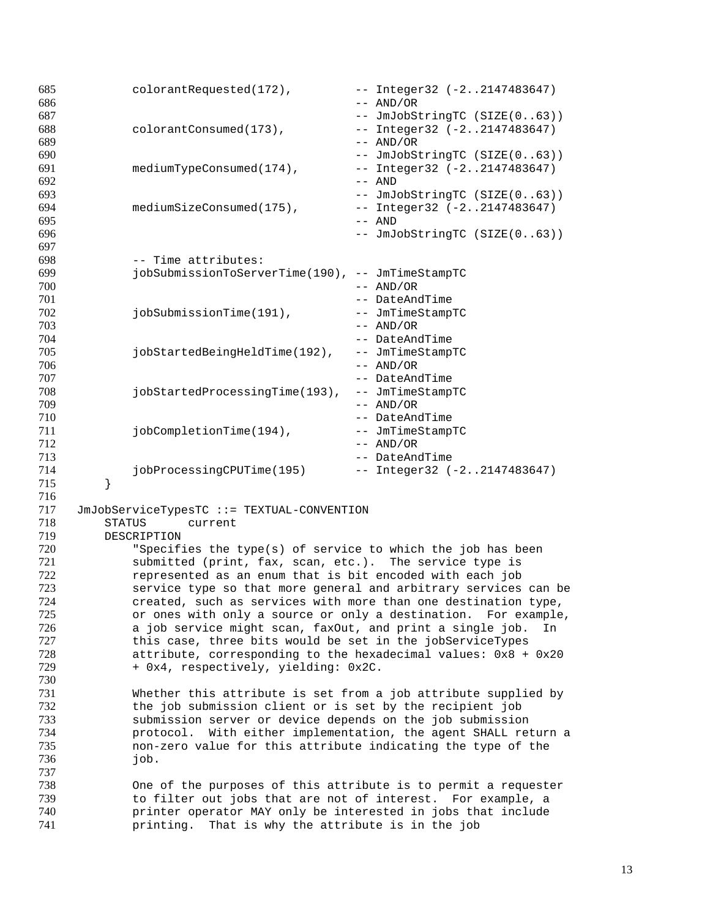| 685 |               | colorantRequested(172),                                          |  | -- Integer32 (-22147483647)     |  |  |
|-----|---------------|------------------------------------------------------------------|--|---------------------------------|--|--|
| 686 |               |                                                                  |  | $--$ AND/OR                     |  |  |
| 687 |               |                                                                  |  | -- JmJobStringTC (SIZE(063))    |  |  |
| 688 |               | colorantConsumed(173),                                           |  | -- Integer32 (-22147483647)     |  |  |
| 689 |               |                                                                  |  | $--$ AND/OR                     |  |  |
| 690 |               |                                                                  |  | -- JmJobStringTC (SIZE(063))    |  |  |
| 691 |               | mediumTypeConsumed(174),                                         |  | -- Integer32 (-22147483647)     |  |  |
| 692 |               |                                                                  |  | $--$ AND                        |  |  |
| 693 |               |                                                                  |  | -- JmJobStringTC (SIZE(063))    |  |  |
| 694 |               | mediumSizeConsumed(175),                                         |  | $--$ Integer32 $(-22147483647)$ |  |  |
| 695 |               |                                                                  |  | $--$ AND                        |  |  |
| 696 |               |                                                                  |  | -- JmJobStringTC (SIZE(063))    |  |  |
| 697 |               |                                                                  |  |                                 |  |  |
| 698 |               | -- Time attributes:                                              |  |                                 |  |  |
| 699 |               | jobSubmissionToServerTime(190), -- JmTimeStampTC                 |  |                                 |  |  |
| 700 |               |                                                                  |  | $--$ AND/OR                     |  |  |
| 701 |               |                                                                  |  | -- DateAndTime                  |  |  |
| 702 |               | jobSubmissionTime(191),                                          |  | -- JmTimeStampTC                |  |  |
| 703 |               |                                                                  |  | $--$ AND/OR                     |  |  |
| 704 |               |                                                                  |  | -- DateAndTime                  |  |  |
| 705 |               | jobStartedBeingHeldTime(192),                                    |  | -- JmTimeStampTC                |  |  |
| 706 |               |                                                                  |  | $--$ AND/OR                     |  |  |
| 707 |               |                                                                  |  | -- DateAndTime                  |  |  |
| 708 |               | jobStartedProcessingTime(193),                                   |  | -- JmTimeStampTC                |  |  |
| 709 |               |                                                                  |  | $--$ AND/OR                     |  |  |
| 710 |               |                                                                  |  | -- DateAndTime                  |  |  |
| 711 |               | jobCompletionTime(194),                                          |  | -- JmTimeStampTC                |  |  |
| 712 |               |                                                                  |  | $--$ AND/OR                     |  |  |
| 713 |               |                                                                  |  | -- DateAndTime                  |  |  |
| 714 |               |                                                                  |  |                                 |  |  |
| 715 |               | jobProcessingCPUTime(195)                                        |  | $--$ Integer32 $(-22147483647)$ |  |  |
|     | }             |                                                                  |  |                                 |  |  |
| 716 |               |                                                                  |  |                                 |  |  |
| 717 |               | JmJobServiceTypesTC ::= TEXTUAL-CONVENTION                       |  |                                 |  |  |
| 718 | <b>STATUS</b> | current                                                          |  |                                 |  |  |
| 719 |               | DESCRIPTION                                                      |  |                                 |  |  |
| 720 |               | "Specifies the type(s) of service to which the job has been      |  |                                 |  |  |
| 721 |               | submitted (print, fax, scan, etc.). The service type is          |  |                                 |  |  |
| 722 |               | represented as an enum that is bit encoded with each job         |  |                                 |  |  |
| 723 |               | service type so that more general and arbitrary services can be  |  |                                 |  |  |
| 724 |               | created, such as services with more than one destination type,   |  |                                 |  |  |
| 725 |               | or ones with only a source or only a destination. For example,   |  |                                 |  |  |
| 726 |               | a job service might scan, faxOut, and print a single job.        |  | In                              |  |  |
| 727 |               | this case, three bits would be set in the jobServiceTypes        |  |                                 |  |  |
| 728 |               | attribute, corresponding to the hexadecimal values: $0x8 + 0x20$ |  |                                 |  |  |
| 729 |               | + 0x4, respectively, yielding: 0x2C.                             |  |                                 |  |  |
| 730 |               |                                                                  |  |                                 |  |  |
| 731 |               | Whether this attribute is set from a job attribute supplied by   |  |                                 |  |  |
| 732 |               | the job submission client or is set by the recipient job         |  |                                 |  |  |
| 733 |               | submission server or device depends on the job submission        |  |                                 |  |  |
| 734 |               | protocol. With either implementation, the agent SHALL return a   |  |                                 |  |  |
| 735 |               | non-zero value for this attribute indicating the type of the     |  |                                 |  |  |
| 736 |               | job.                                                             |  |                                 |  |  |
| 737 |               |                                                                  |  |                                 |  |  |
| 738 |               | One of the purposes of this attribute is to permit a requester   |  |                                 |  |  |
| 739 |               | to filter out jobs that are not of interest. For example, a      |  |                                 |  |  |
| 740 |               | printer operator MAY only be interested in jobs that include     |  |                                 |  |  |
| 741 |               | printing.<br>That is why the attribute is in the job             |  |                                 |  |  |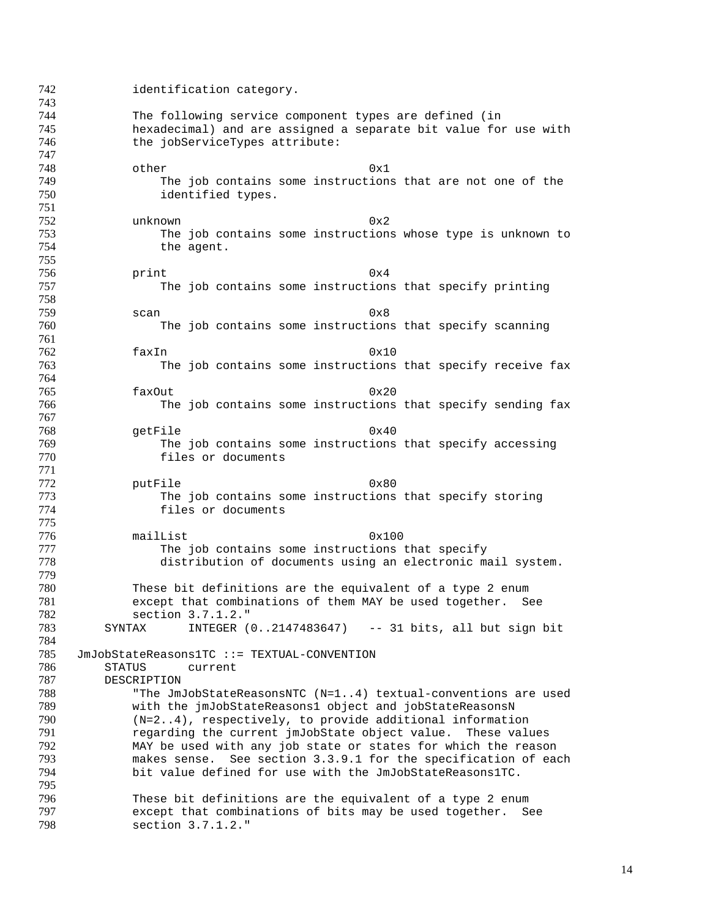identification category. The following service component types are defined (in hexadecimal) and are assigned a separate bit value for use with 746 the jobServiceTypes attribute: 748 other 0x1 749 The job contains some instructions that are not one of the 750 identified types. unknown 0x2 The job contains some instructions whose type is unknown to 754 the agent. print  $0x4$  The job contains some instructions that specify printing 759 scan and  $0x8$  The job contains some instructions that specify scanning faxIn 0x10 The job contains some instructions that specify receive fax faxOut  $0x20$  The job contains some instructions that specify sending fax getFile 0x40 The job contains some instructions that specify accessing files or documents 0x80 putFile 0x80<br>773 The job contains some instructions The job contains some instructions that specify storing files or documents 776 mailList 0x100<br>777 The job contains some instructions 777 The job contains some instructions that specify<br>778 distribution of documents using an electronic ma distribution of documents using an electronic mail system. 780 These bit definitions are the equivalent of a type 2 enum<br>781 except that combinations of them MAY be used together. Se except that combinations of them MAY be used together. See section 3.7.1.2." SYNTAX INTEGER (0..2147483647) -- 31 bits, all but sign bit JmJobStateReasons1TC ::= TEXTUAL-CONVENTION STATUS current DESCRIPTION 788 The JmJobStateReasonsNTC (N=1..4) textual-conventions are used<br>789 With the imJobStateReasons1 object and jobStateReasonsN 789 with the jmJobStateReasons1 object and jobStateReasonsN<br>790 (N=2..4) respectively, to provide additional information (N=2..4), respectively, to provide additional information regarding the current jmJobState object value. These values MAY be used with any job state or states for which the reason makes sense. See section 3.3.9.1 for the specification of each bit value defined for use with the JmJobStateReasons1TC. 796 These bit definitions are the equivalent of a type 2 enum<br>797 except that combinations of bits may be used together. Se 797 except that combinations of bits may be used together. See<br>798 section  $3.7.1.2.$ " section 3.7.1.2."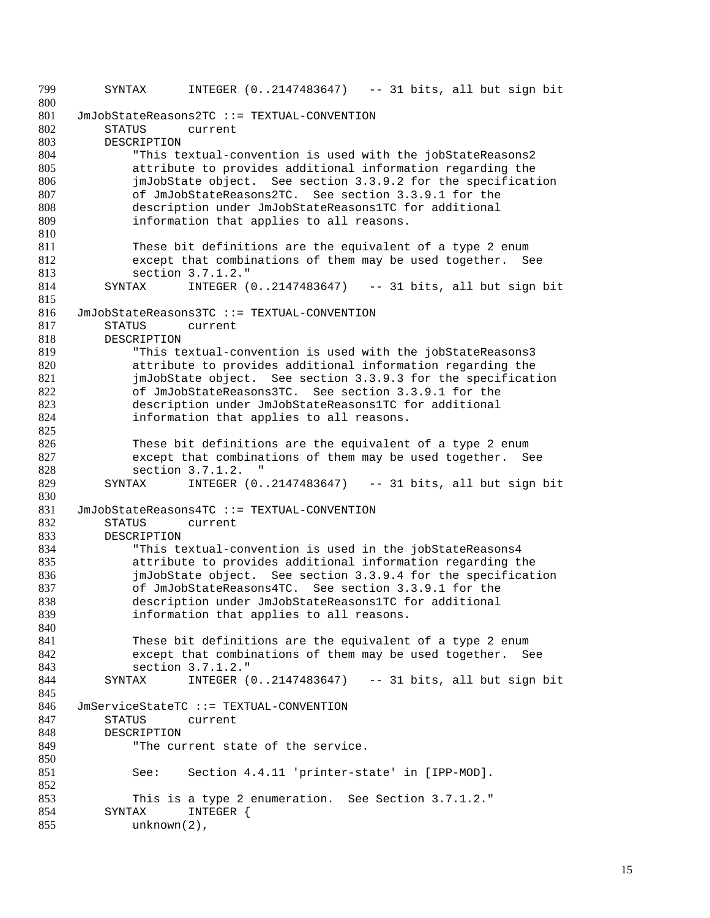799 SYNTAX INTEGER (0..2147483647) -- 31 bits, all but sign bit 800 801 JmJobStateReasons2TC ::= TEXTUAL-CONVENTION 802 STATUS current 803 DESCRIPTION 804 "This textual-convention is used with the jobStateReasons2 805 attribute to provides additional information regarding the 806 imJobState object. See section 3.3.9.2 for the specification<br>807 of JmJobStateReasons2TC. See section 3.3.9.1 for the 807 of JmJobStateReasons2TC. See section 3.3.9.1 for the 808 description under JmJobStateReasons1TC for additional description under JmJobStateReasons1TC for additional 809 information that applies to all reasons. 810 811 These bit definitions are the equivalent of a type 2 enum 812 except that combinations of them may be used together. See 813 section 3.7.1.2."<br>814 SYNTAX INTEGER ( SYNTAX INTEGER (0..2147483647) -- 31 bits, all but sign bit 815 816 JmJobStateReasons3TC ::= TEXTUAL-CONVENTION<br>817 STATUS current 817 STATUS current<br>818 DESCRIPTION **DESCRIPTION** 819 "This textual-convention is used with the jobStateReasons3 820 attribute to provides additional information regarding the 821 jmJobState object. See section 3.3.9.3 for the specification 822 of JmJobStateReasons3TC. See section 3.3.9.1 for the 823 description under JmJobStateReasons1TC for additional<br>824 information that applies to all reasons. information that applies to all reasons. 825 826 These bit definitions are the equivalent of a type 2 enum 827 except that combinations of them may be used together. See 828 section 3.7.1.2. " 829 SYNTAX INTEGER (0..2147483647) -- 31 bits, all but sign bit 830 831 JmJobStateReasons4TC ::= TEXTUAL-CONVENTION 832 STATUS current<br>833 DESCRIPTION 833 DESCRIPTION<br>834 "This to 834 "This textual-convention is used in the jobStateReasons4 attribute to provides additional information regarding the 836 jmJobState object. See section 3.3.9.4 for the specification<br>837 of JmJobStateReasons4TC. See section 3.3.9.1 for the 837 of JmJobStateReasons4TC. See section 3.3.9.1 for the<br>838 description under JmJobStateReasons1TC for additional description under JmJobStateReasons1TC for additional 839 **information that applies to all reasons.** 840 841 These bit definitions are the equivalent of a type 2 enum 842 except that combinations of them may be used together. See 843 section 3.7.1.2."<br>844 SYNTAX INTEGER ( SYNTAX INTEGER (0..2147483647) -- 31 bits, all but sign bit 845 846 JmServiceStateTC ::= TEXTUAL-CONVENTION<br>847 STATUS current STATUS current 848 DESCRIPTION 849 The current state of the service. 850 851 See: Section 4.4.11 'printer-state' in [IPP-MOD]. 852 853 This is a type 2 enumeration. See Section 3.7.1.2."<br>854 SYNTAX INTEGER { 854 SYNTAX INTEGER {<br>855 unknown(2). unknown(2),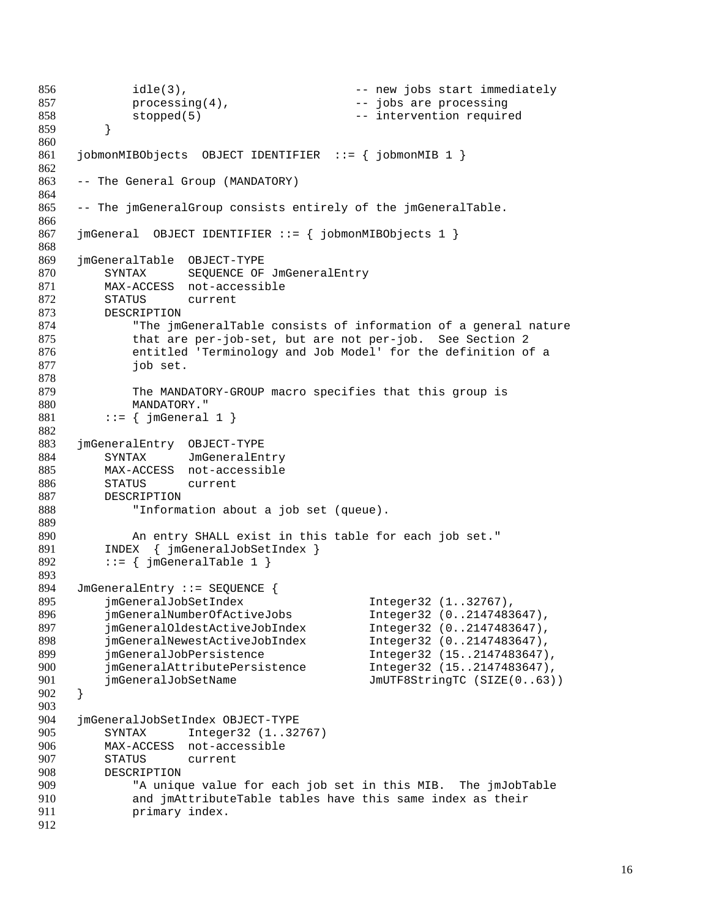```
856 idle(3), \qquad \qquad -- new jobs start immediately
857 processing(4), The same processing and the processing
858 stopped(5) -- intervention required
859 }
860
861 jobmonMIBObjects OBJECT IDENTIFIER ::= { jobmonMIB 1 }
862
863 -- The General Group (MANDATORY)
864
865 -- The jmGeneralGroup consists entirely of the jmGeneralTable.
866
867 jmGeneral OBJECT IDENTIFIER ::= { jobmonMIBObjects 1 }
868
869 jmGeneralTable OBJECT-TYPE
870 SYNTAX SEQUENCE OF JmGeneralEntry
871 MAX-ACCESS not-accessible
872 STATUS current<br>873 DESCRIPTION
873 DESCRIPTION<br>874 "The jm
874 The jmGeneralTable consists of information of a general nature<br>875 that are per-job-set, but are not per-job. See Section 2
            that are per-job-set, but are not per-job. See Section 2
876 entitled 'Terminology and Job Model' for the definition of a
877 job set.
878
879 The MANDATORY-GROUP macro specifies that this group is
880 MANDATORY."
881 ::= \{ \text{imGeneral 1} \}882
883 jmGeneralEntry OBJECT-TYPE
884 SYNTAX JmGeneralEntry
885 MAX-ACCESS not-accessible
886 STATUS current
887 DESCRIPTION
888 "Information about a job set (queue).
889
890 An entry SHALL exist in this table for each job set."<br>891 INDEX { imGeneralJobSetIndex }
891 INDEX \{ \text{jmGeneralJobSetIndex } \}<br>892 := \{ \text{jmGeneralTable 1 } \}::= { \{ \exists mGeneralTable 1 }
893
894 JmGeneralEntry ::= SEQUENCE {<br>895 imGeneralJobSetIndex
         imGeneralJobSetIndex Integer32 (1..32767),
896 jmGeneralNumberOfActiveJobs Integer32 (0..2147483647),
897 jmGeneralOldestActiveJobIndex Integer32 (0..2147483647),
898 jmGeneralNewestActiveJobIndex Integer32 (0..2147483647),
899 jmGeneralJobPersistence Integer32 (15..2147483647),
900 jmGeneralAttributePersistence Integer32 (15..2147483647),
901 jmGeneralJobSetName JmUTF8StringTC (SIZE(0..63))
902 }
903
904 jmGeneralJobSetIndex OBJECT-TYPE
905 SYNTAX Integer32 (1..32767)
906 MAX-ACCESS not-accessible
907 STATUS current
908 DESCRIPTION
909 "A unique value for each job set in this MIB. The jmJobTable
910 and jmAttributeTable tables have this same index as their
911 primary index.
912
```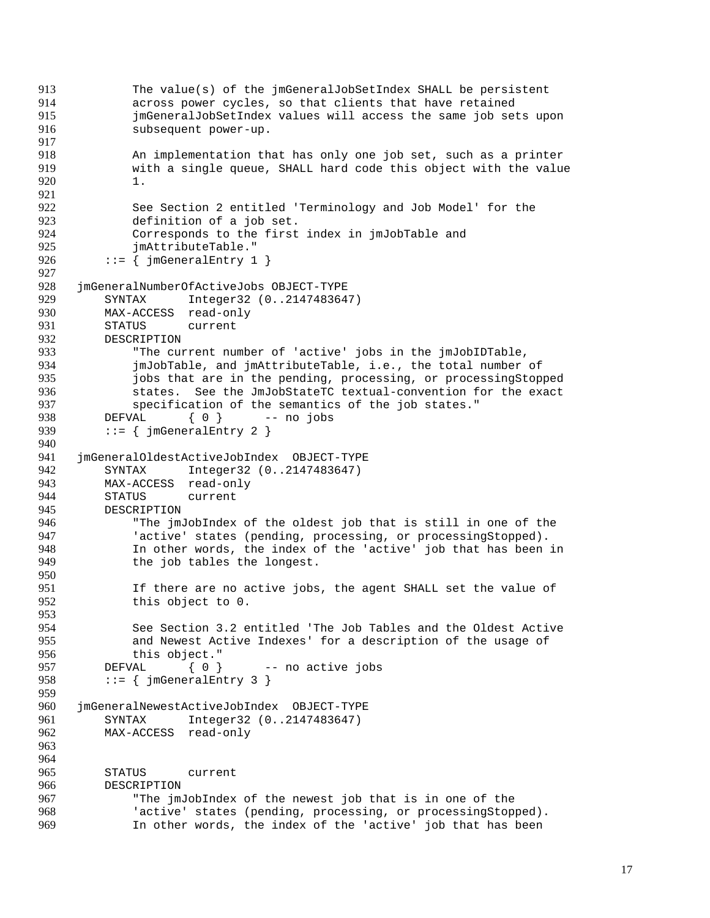```
913 The value(s) of the jmGeneralJobSetIndex SHALL be persistent
914 across power cycles, so that clients that have retained
915 jmGeneralJobSetIndex values will access the same job sets upon
916 subsequent power-up.
917
918 An implementation that has only one job set, such as a printer
919 with a single queue, SHALL hard code this object with the value
920 1.
921
922 See Section 2 entitled 'Terminology and Job Model' for the
923 definition of a job set.
924 Corresponds to the first index in jmJobTable and
925 jmAttributeTable."
926 ::= \{ jmGeneralEntry 1 \}927
928 jmGeneralNumberOfActiveJobs OBJECT-TYPE<br>929 SYNTAX Integer32 (0..214748364
929 SYNTAX Integer32 (0..2147483647)<br>930 MAX-ACCESS read-only
930 MAX-ACCESS read-only<br>931 STATUS current
931 STATUS current<br>932 DESCRIPTION
         DESCRIPTION
933 "The current number of 'active' jobs in the jmJobIDTable,
934 jmJobTable, and jmAttributeTable, i.e., the total number of
935 jobs that are in the pending, processing, or processingStopped
936 states. See the JmJobStateTC textual-convention for the exact<br>937 specification of the semantics of the iob states."
937 specification of the semantics of the job states."<br>938 DEFVAL \{ 0 \} -- no jobs
          DEFVAL \{ 0 \} -- no jobs
939 ::= \{ jmGeneralEntry 2 \}940
941 jmGeneralOldestActiveJobIndex OBJECT-TYPE
942 SYNTAX Integer32 (0..2147483647)
943 MAX-ACCESS read-only
944 STATUS current
945 DESCRIPTION
946 The jmJobIndex of the oldest job that is still in one of the<br>947 Sactive' states (pending, processing, or processingStopped).
947 The states (pending, processing, or processingStopped).<br>948 The other words, the index of the 'active' job that has been
948 In other words, the index of the 'active' job that has been in<br>949 the job tables the longest.
             the job tables the longest.
950
951 If there are no active jobs, the agent SHALL set the value of 952 this object to 0.
             this object to 0.
953
954 See Section 3.2 entitled 'The Job Tables and the Oldest Active
955 and Newest Active Indexes' for a description of the usage of
956 this object."
957 DEFVAL { 0 } -- no active jobs
958 ::= \{ jmGeneralEntry 3 \}959
960 jmGeneralNewestActiveJobIndex OBJECT-TYPE<br>961 SYNTAX Integer32 (0..2147483647)
961 SYNTAX Integer32 (0..2147483647)
962 MAX-ACCESS read-only
963
964
965 STATUS current
966 DESCRIPTION
967 "The jmJobIndex of the newest job that is in one of the
968 'active' states (pending, processing, or processingStopped).
969 In other words, the index of the 'active' job that has been
```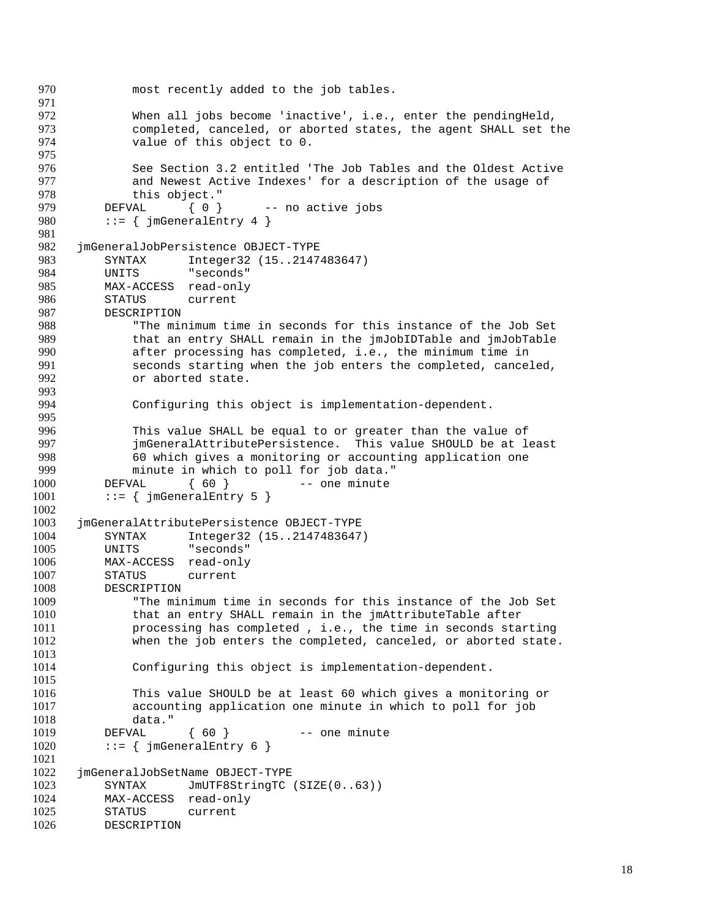```
970 most recently added to the job tables.
971
972 When all jobs become 'inactive', i.e., enter the pendingHeld,
973 completed, canceled, or aborted states, the agent SHALL set the
974 value of this object to 0.
975
976 See Section 3.2 entitled 'The Job Tables and the Oldest Active<br>977 Sand Newest Active Indexes' for a description of the usage of
977 and Newest Active Indexes' for a description of the usage of 978
              this object."
979 DEFVAL { 0 } -- no active jobs
980 ::= \{\text{imGeneralEntry 4 }\}981
982 jmGeneralJobPersistence OBJECT-TYPE
983 SYNTAX Integer32 (15..2147483647)
984 UNITS "seconds"<br>985 MAX-ACCESS read-only
          MAX-ACCESS read-only
986 STATUS current<br>987 DESCRIPTION
987 DESCRIPTION<br>988 "The mi
988 The minimum time in seconds for this instance of the Job Set<br>989 that an entry SHALL remain in the jmJobIDTable and jmJobTable
              989 that an entry SHALL remain in the jmJobIDTable and jmJobTable
990 after processing has completed, i.e., the minimum time in
991 seconds starting when the job enters the completed, canceled,
992 or aborted state.
993
994 Configuring this object is implementation-dependent.
995
996 This value SHALL be equal to or greater than the value of
997 jmGeneralAttributePersistence. This value SHOULD be at least
998 60 which gives a monitoring or accounting application one<br>999 minute in which to poll for job data."
999 minute in which to poll for job data."<br>1000 DEFVAL { 60 } -- one minute
          DEFVAL { 60 } - one minute
1001 ::= \{ jmGeneralEntry 5 \}1002
1003 jmGeneralAttributePersistence OBJECT-TYPE
1004 SYNTAX Integer32 (15..2147483647)<br>1005 UNITS "seconds"
          UNITS "seconds"
1006 MAX-ACCESS read-only
1007 STATUS current
1008 DESCRIPTION<br>1009 "The mil
              "The minimum time in seconds for this instance of the Job Set
1010 that an entry SHALL remain in the jmAttributeTable after
1011 processing has completed , i.e., the time in seconds starting
1012 when the job enters the completed, canceled, or aborted state.
1013
1014 Configuring this object is implementation-dependent.
1015
1016 This value SHOULD be at least 60 which gives a monitoring or
1017 accounting application one minute in which to poll for job 1018
              data."
1019 DEFVAL { 60 } -- one minute
1020 ::= \{ jmGeneralEntry 6 \}1021
1022 jmGeneralJobSetName OBJECT-TYPE
1023 SYNTAX JmUTF8StringTC (SIZE(0..63))
1024 MAX-ACCESS read-only
1025 STATUS current<br>1026 DESCRIPTION
         DESCRIPTION
```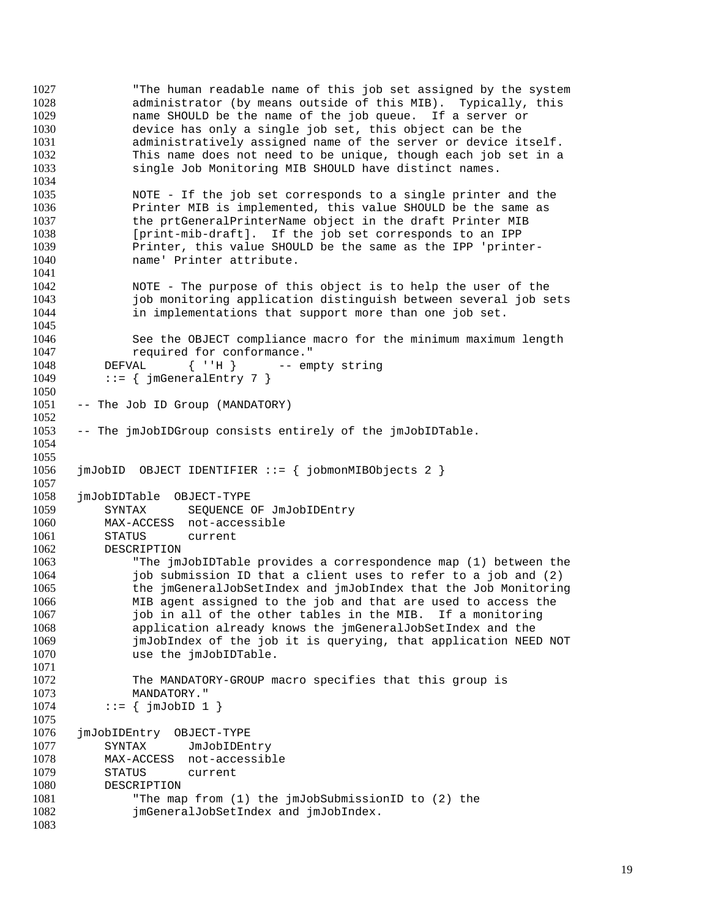"The human readable name of this job set assigned by the system administrator (by means outside of this MIB). Typically, this name SHOULD be the name of the job queue. If a server or device has only a single job set, this object can be the administratively assigned name of the server or device itself. This name does not need to be unique, though each job set in a single Job Monitoring MIB SHOULD have distinct names. NOTE - If the job set corresponds to a single printer and the Printer MIB is implemented, this value SHOULD be the same as the prtGeneralPrinterName object in the draft Printer MIB [print-mib-draft]. If the job set corresponds to an IPP Printer, this value SHOULD be the same as the IPP 'printer- name' Printer attribute. NOTE - The purpose of this object is to help the user of the 1043 iob monitoring application distinguish between several job sets<br>1044 in implementations that support more than one job set. in implementations that support more than one job set. See the OBJECT compliance macro for the minimum maximum length 1047 required for conformance." 1048 DEFVAL { ''H } -- empty string 1049 ::=  $\{$  jmGeneralEntry 7  $\}$  -- The Job ID Group (MANDATORY) -- The jmJobIDGroup consists entirely of the jmJobIDTable. jmJobID OBJECT IDENTIFIER ::= { jobmonMIBObjects 2 } jmJobIDTable OBJECT-TYPE SYNTAX SEQUENCE OF JmJobIDEntry MAX-ACCESS not-accessible 1061 STATUS current<br>1062 DESCRIPTION **DESCRIPTION**  "The jmJobIDTable provides a correspondence map (1) between the job submission ID that a client uses to refer to a job and (2) the jmGeneralJobSetIndex and jmJobIndex that the Job Monitoring MIB agent assigned to the job and that are used to access the job in all of the other tables in the MIB. If a monitoring application already knows the jmGeneralJobSetIndex and the jmJobIndex of the job it is querying, that application NEED NOT 1070 use the jmJobIDTable. The MANDATORY-GROUP macro specifies that this group is MANDATORY." ::= {  $\{ \text{jmJobID} \quad 1 \}$  jmJobIDEntry OBJECT-TYPE SYNTAX JmJobIDEntry MAX-ACCESS not-accessible STATUS current DESCRIPTION "The map from (1) the jmJobSubmissionID to (2) the **jmGeneralJobSetIndex and jmJobIndex.**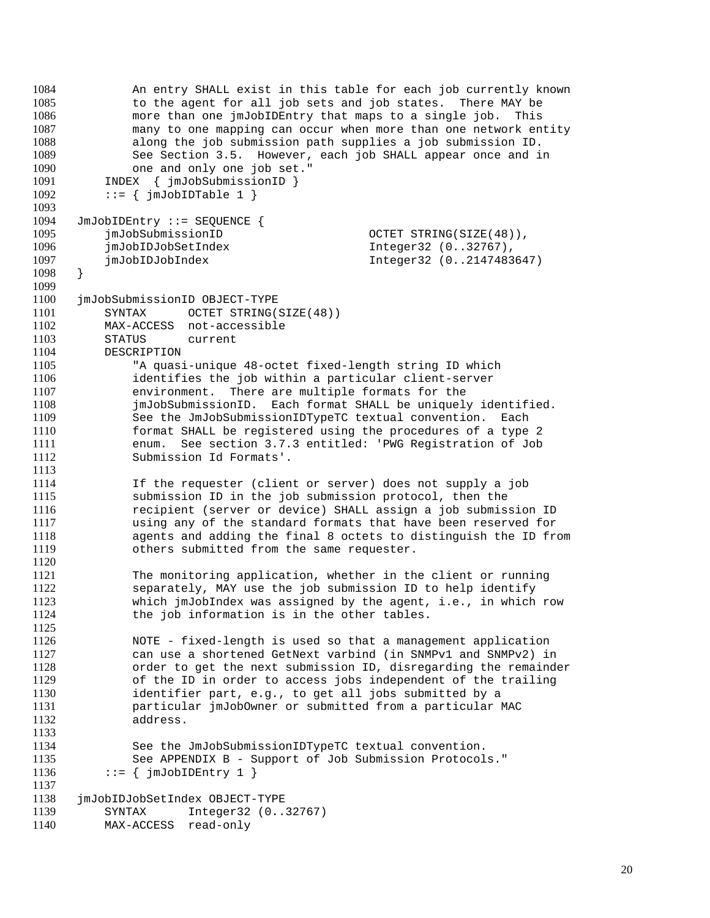```
1084 An entry SHALL exist in this table for each job currently known
1085 to the agent for all job sets and job states. There MAY be
1086 more than one jmJobIDEntry that maps to a single job. This
1087 many to one mapping can occur when more than one network entity
1088 along the job submission path supplies a job submission ID.
1089 See Section 3.5. However, each job SHALL appear once and in
1090 one and only one job set."
1091 INDEX { jmJobSubmissionID }<br>1092 ::= { imJobIDTable 1 }
           ::= { jmJobIDTable 1 }
1093
1094 JmJobIDEntry ::= SEQUENCE {
1095 jmJobSubmissionID OCTET STRING(SIZE(48)),
1096 jmJobIDJobSetIndex Integer32 (0..32767),
1097 jmJobIDJobIndex Integer32 (0..2147483647)
1098 }
1099
1100 jmJobSubmissionID OBJECT-TYPE<br>1101 SYNTAX OCTET STRING(
1101 SYNTAX OCTET STRING(SIZE(48))<br>1102 MAX-ACCESS not-accessible
1102 MAX-ACCESS not-accessible<br>1103 STATUS current
           STATUS current
1104 DESCRIPTION
1105 "A quasi-unique 48-octet fixed-length string ID which
1106 identifies the job within a particular client-server
1107 environment. There are multiple formats for the
1108 jmJobSubmissionID. Each format SHALL be uniquely identified.<br>1109 See the JmJobSubmissionIDTvpeTC textual convention. Each
               See the JmJobSubmissionIDTypeTC textual convention. Each
1110 format SHALL be registered using the procedures of a type 2
1111 enum. See section 3.7.3 entitled: 'PWG Registration of Job
1112 Submission Id Formats'.
1113<br>1114
               If the requester (client or server) does not supply a job
1115 submission ID in the job submission protocol, then the
1116 recipient (server or device) SHALL assign a job submission ID
1117 1117 using any of the standard formats that have been reserved for<br>1118 118 agents and adding the final 8 octets to distinguish the ID from
1118 agents and adding the final 8 octets to distinguish the ID from<br>1119 others submitted from the same requester.
               others submitted from the same requester.
1120
1121 The monitoring application, whether in the client or running<br>1122 Separately. MAY use the job submission ID to help identify
1122 separately, MAY use the job submission ID to help identify<br>1123 which imJobIndex was assigned by the agent. i.e.. in which
               which jmJobIndex was assigned by the agent, i.e., in which row
1124 the job information is in the other tables.
1125
1126 NOTE - fixed-length is used so that a management application
1127 can use a shortened GetNext varbind (in SNMPv1 and SNMPv2) in
1128 order to get the next submission ID, disregarding the remainder
1129 of the ID in order to access jobs independent of the trailing
1130 identifier part, e.g., to get all jobs submitted by a
1131 particular jmJobOwner or submitted from a particular MAC
               address.
1133
1134 See the JmJobSubmissionIDTypeTC textual convention.
1135 See APPENDIX B - Support of Job Submission Protocols."
1136 ::= \{ \text{jmJobIDEntry 1 } \}1137
1138 jmJobIDJobSetIndex OBJECT-TYPE<br>1139 SYNTAX Integer32 (0...
1139 SYNTAX Integer32 (0..32767)<br>1140 MAX-ACCESS read-only
          MAX-ACCESS read-only
```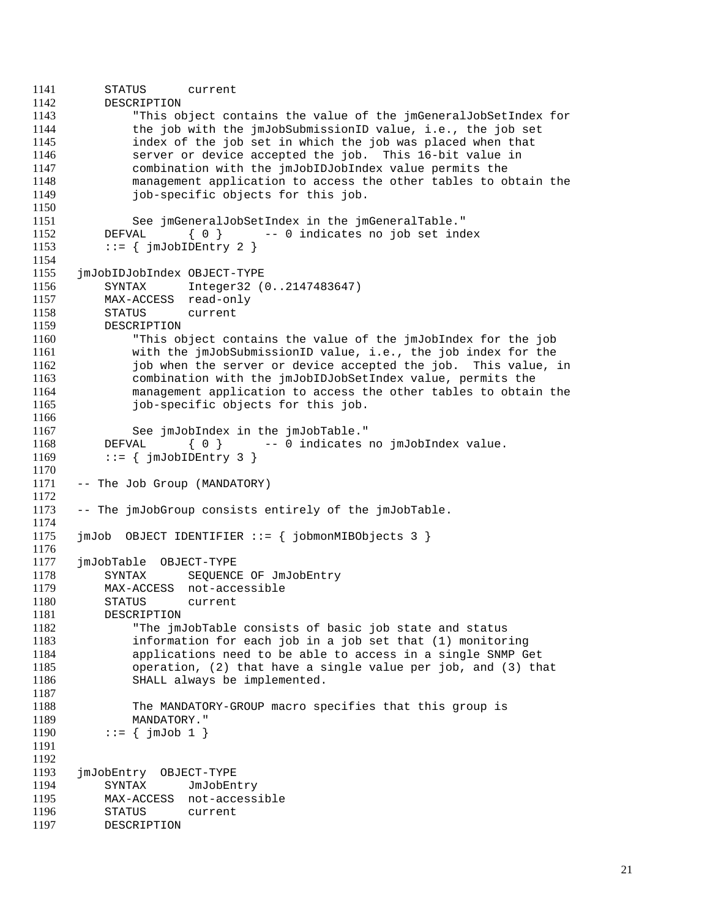```
1141 STATUS current
1142 DESCRIPTION
1143 "This object contains the value of the jmGeneralJobSetIndex for
1144 the job with the jmJobSubmissionID value, i.e., the job set
1145 index of the job set in which the job was placed when that
1146 server or device accepted the job. This 16-bit value in
1147 combination with the jmJobIDJobIndex value permits the
1148 management application to access the other tables to obtain the
             job-specific objects for this job.
1150
1151 See jmGeneralJobSetIndex in the jmGeneralTable."
1152 DEFVAL { 0 } -- 0 indicates no job set index
1153 ::= \{ \text{jmJobIDEntry 2 } \}1154
1155 jmJobIDJobIndex OBJECT-TYPE<br>1156 SYNTAX Integer32 (
         SYNTAX Integer32 (0..2147483647)
1157 MAX-ACCESS read-only<br>1158 STATUS current
1158 STATUS current<br>1159 DESCRIPTION
         DESCRIPTION
1160 "This object contains the value of the jmJobIndex for the job
1161 with the jmJobSubmissionID value, i.e., the job index for the
1162 job when the server or device accepted the job. This value, in
1163 combination with the jmJobIDJobSetIndex value, permits the
1164 management application to access the other tables to obtain the
1165 job-specific objects for this job.
1166
1167 See jmJobIndex in the jmJobTable."
1168 DEFVAL { 0 } -- 0 indicates no jmJobIndex value.
1169 ::= \{ \text{jmJobIDEntry } 3 \}1170
1171 -- The Job Group (MANDATORY)
1172
1173 -- The jmJobGroup consists entirely of the jmJobTable.
1174
1175 jmJob OBJECT IDENTIFIER ::= { jobmonMIBObjects 3 }
1176
1177 jmJobTable OBJECT-TYPE
1178 SYNTAX SEQUENCE OF JmJobEntry
1179 MAX-ACCESS not-accessible
1180 STATUS current
1181 DESCRIPTION
1182 "The jmJobTable consists of basic job state and status
1183 information for each job in a job set that (1) monitoring
1184 applications need to be able to access in a single SNMP Get
1185 operation, (2) that have a single value per job, and (3) that
1186 SHALL always be implemented.
1187
1188 The MANDATORY-GROUP macro specifies that this group is
1189 MANDATORY."
1190 ::= \{ \text{jmJob 1} \}1191
1192
1193 jmJobEntry OBJECT-TYPE
1194 SYNTAX JmJobEntry
1195 MAX-ACCESS not-accessible
1196 STATUS current<br>1197 DESCRIPTION
         DESCRIPTION
```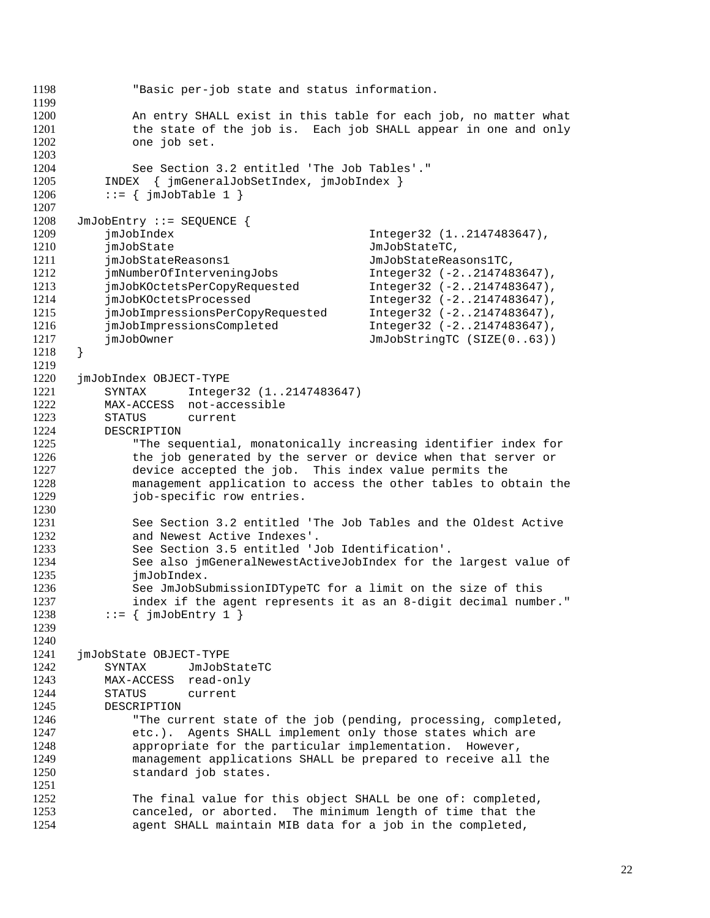```
1198 "Basic per-job state and status information.
1199
1200 An entry SHALL exist in this table for each job, no matter what
1201 the state of the job is. Each job SHALL appear in one and only
1202 one job set.
1203
1204 See Section 3.2 entitled 'The Job Tables'."
1205 INDEX { jmGeneralJobSetIndex, jmJobIndex }
1206 ::= \{ \text{jmJobTable 1} \}1207
1208 JmJobEntry ::= SEQUENCE {
1209 jmJobIndex Integer32 (1..2147483647),
1210 jmJobState JmJobStateTC,
1211 jmJobStateReasons1 JmJobStateReasons1TC,
1212 jmNumberOfInterveningJobs Integer32 (-2..2147483647),<br>1213 jmJobKOctetsPerCopyRequested Integer32 (-2..2147483647),
          jmJobKOctetsPerCopyRequested
1214 jmJobKOctetsProcessed Integer32 (-2..2147483647),<br>1215 imJobImpressionsPerCopyRequested Integer32 (-2..2147483647),
1215 jmJobImpressionsPerCopyRequested Integer32 (-2..2147483647),
1216 jmJobImpressionsCompleted Integer32 (-2..2147483647),<br>1217 imJobOwner JmJobStringTC (SIZE(0..63))
          jmJobOwner JmJobStringTC (SIZE(0..63))
1218 }
1219
1220 jmJobIndex OBJECT-TYPE
1221 SYNTAX Integer32 (1..2147483647)
1222 MAX-ACCESS not-accessible<br>1223 STATUS current
          STATUS current
1224 DESCRIPTION
1225 "The sequential, monatonically increasing identifier index for
1226 the job generated by the server or device when that server or
1227 device accepted the job. This index value permits the
1228 management application to access the other tables to obtain the
1229 job-specific row entries.
1230
1231 See Section 3.2 entitled 'The Job Tables and the Oldest Active<br>1232 and Newest Active Indexes'.
1232 and Newest Active Indexes'.<br>1233 See Section 3.5 entitled 'J
1233 See Section 3.5 entitled 'Job Identification'.
              See also jmGeneralNewestActiveJobIndex for the largest value of
1235 jmJobIndex.
1236 See JmJobSubmissionIDTypeTC for a limit on the size of this<br>1237 index if the agent represents it as an 8-digit decimal number
              index if the agent represents it as an 8-digit decimal number."
1238 ::= \{\text{imJobEntry 1 }\}1239
1240
1241 jmJobState OBJECT-TYPE
1242 SYNTAX JmJobStateTC
1243 MAX-ACCESS read-only
1244 STATUS current
1245 DESCRIPTION
1246 "The current state of the job (pending, processing, completed,
1247 etc.). Agents SHALL implement only those states which are
1248 appropriate for the particular implementation. However,
1249 management applications SHALL be prepared to receive all the
1250 standard job states.
1251
1252 The final value for this object SHALL be one of: completed,
1253 canceled, or aborted. The minimum length of time that the<br>1254 cagent SHALL maintain MIB data for a job in the completed.
              agent SHALL maintain MIB data for a job in the completed,
```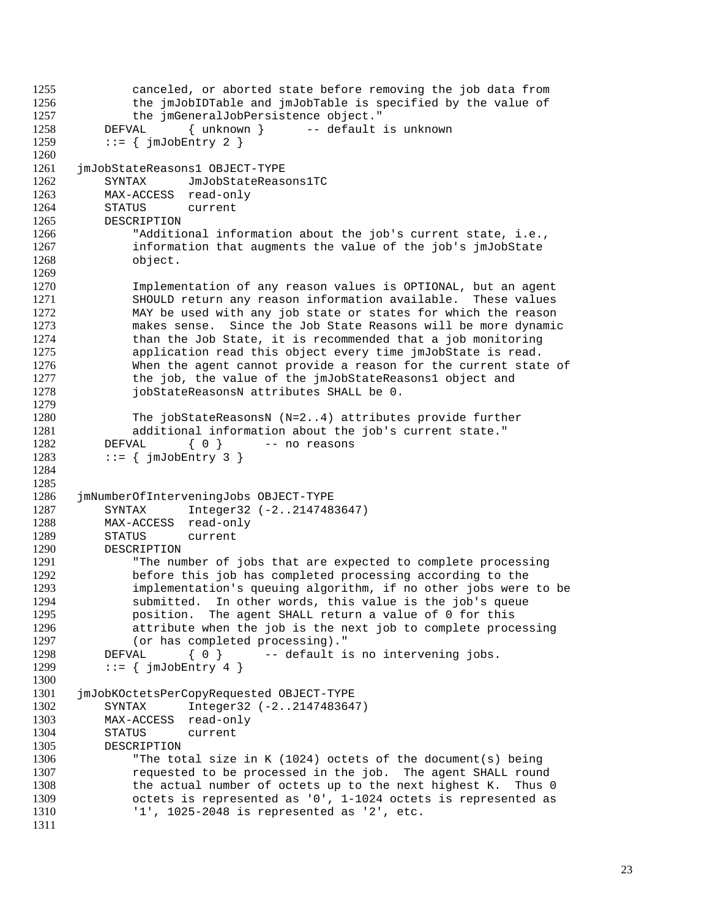```
1255 canceled, or aborted state before removing the job data from<br>1256 the jmJobIDTable and jmJobTable is specified by the value of
              the jmJobIDTable and jmJobTable is specified by the value of
1257 the jmGeneralJobPersistence object."
1258 DEFVAL { unknown } -- default is unknown
1259 ::= \{ \text{imJobEntry 2 } \}1260
1261 jmJobStateReasons1 OBJECT-TYPE
1262 SYNTAX JmJobStateReasons1TC
1263 MAX-ACCESS read-only
1264 STATUS current
1265 DESCRIPTION
1266 "Additional information about the job's current state, i.e.,
1267 information that augments the value of the job's jmJobState
1268 object.
1269
1270 Implementation of any reason values is OPTIONAL, but an agent
1271 SHOULD return any reason information available. These values<br>1272 MAY be used with any job state or states for which the reason
1272 MAY be used with any job state or states for which the reason<br>1273 makes sense. Since the Job State Reasons will be more dynamic
1273 makes sense. Since the Job State Reasons will be more dynamic<br>1274 than the Job State, it is recommended that a job monitoring
              than the Job State, it is recommended that a job monitoring
1275 application read this object every time jmJobState is read.
1276 When the agent cannot provide a reason for the current state of
1277 the job, the value of the jmJobStateReasons1 object and
1278 jobStateReasonsN attributes SHALL be 0.
1279
1280 The jobStateReasonsN (N=2..4) attributes provide further
1281 additional information about the job's current state."
1282 DEFVAL { 0 } -- no reasons
1283 ::= \{ \text{jmJobEntry } 3 \}1284
1285
1286 jmNumberOfInterveningJobs OBJECT-TYPE
1287 SYNTAX Integer32 (-2..2147483647)
1288 MAX-ACCESS read-only
1289 STATUS current<br>1290 DESCRIPTION
          DESCRIPTION
1291 "The number of jobs that are expected to complete processing
1292 before this job has completed processing according to the
1293 implementation's queuing algorithm, if no other jobs were to be<br>1294 submitted. In other words, this value is the job's queue
              submitted. In other words, this value is the job's queue
1295 position. The agent SHALL return a value of 0 for this
1296 attribute when the job is the next job to complete processing
1297 (or has completed processing)."
1298 DEFVAL { 0 } -- default is no intervening jobs.
1299 ::= \{ \text{jmJobEntry 4 } \}1300
1301 jmJobKOctetsPerCopyRequested OBJECT-TYPE
1302 SYNTAX Integer32 (-2..2147483647)
1303 MAX-ACCESS read-only
1304 STATUS current
1305 DESCRIPTION
1306 "The total size in K (1024) octets of the document(s) being
1307 requested to be processed in the job. The agent SHALL round
1308 the actual number of octets up to the next highest K. Thus 0
1309 octets is represented as '0', 1-1024 octets is represented as
1310 '1', 1025-2048 is represented as '2', etc.
1311
```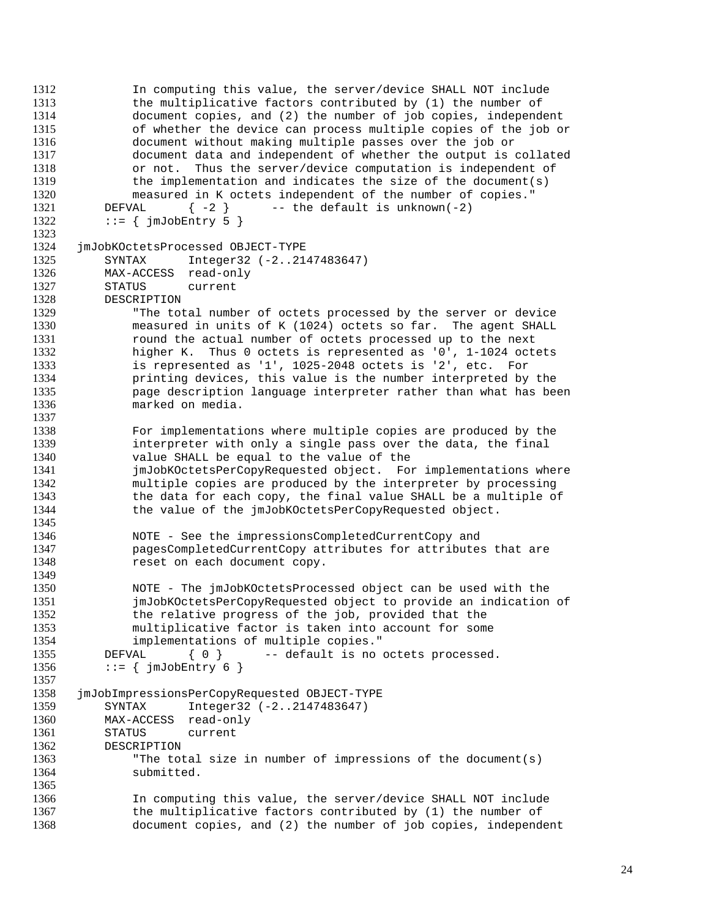```
1312 In computing this value, the server/device SHALL NOT include
1313 the multiplicative factors contributed by (1) the number of
1314 document copies, and (2) the number of job copies, independent
1315 of whether the device can process multiple copies of the job or
1316 document without making multiple passes over the job or
1317 document data and independent of whether the output is collated
1318 or not. Thus the server/device computation is independent of
1319 the implementation and indicates the size of the document(s)<br>1320 measured in K octets independent of the number of copies."
              measured in K octets independent of the number of copies."
1321 DEFVAL \{-2\} -- the default is unknown(-2)
1322 ::= \{ \text{imJobEntry 5 } \}1323
1324 jmJobKOctetsProcessed OBJECT-TYPE
1325 SYNTAX Integer32 (-2..2147483647)
1326 MAX-ACCESS read-only<br>1327 STATUS current
          STATUS current
1328 DESCRIPTION<br>1329 "The to
1329 The total number of octets processed by the server or device<br>1330 measured in units of K (1024) octets so far. The agent SHALL
1330 measured in units of K (1024) octets so far. The agent SHALL<br>1331 mound the actual number of octets processed up to the next
              round the actual number of octets processed up to the next
1332 higher K. Thus 0 octets is represented as '0', 1-1024 octets
1333 is represented as '1', 1025-2048 octets is '2', etc. For
1334 printing devices, this value is the number interpreted by the
1335 page description language interpreter rather than what has been
1336 marked on media.
1337
1338 For implementations where multiple copies are produced by the
1339 interpreter with only a single pass over the data, the final
1340 value SHALL be equal to the value of the
1341 jmJobKOctetsPerCopyRequested object. For implementations where
1342 multiple copies are produced by the interpreter by processing
1343 the data for each copy, the final value SHALL be a multiple of
1344 the value of the jmJobKOctetsPerCopyRequested object.
1345
1346 MOTE - See the impressionsCompletedCurrentCopy and<br>1347 DagesCompletedCurrentCopy attributes for attribute
1347 pagesCompletedCurrentCopy attributes for attributes that are<br>1348 sext on each document copy.
              reset on each document copy.
1349
1350 NOTE - The jmJobKOctetsProcessed object can be used with the<br>1351 1351 imJobKOctetsPerCopyRequested object to provide an indication
              jmJobKOctetsPerCopyRequested object to provide an indication of
1352 the relative progress of the job, provided that the
1353 multiplicative factor is taken into account for some
1354 implementations of multiple copies."
1355 DEFVAL { 0 } -- default is no octets processed.
1356 ::= \{ \text{jmJobEntry 6 } \}1357
1358 jmJobImpressionsPerCopyRequested OBJECT-TYPE
1359 SYNTAX Integer32 (-2..2147483647)
1360 MAX-ACCESS read-only
1361 STATUS current
1362 DESCRIPTION
1363 "The total size in number of impressions of the document(s)
1364 submitted.
1365
1366 In computing this value, the server/device SHALL NOT include
1367 the multiplicative factors contributed by (1) the number of
1368 document copies, and (2) the number of job copies, independent
```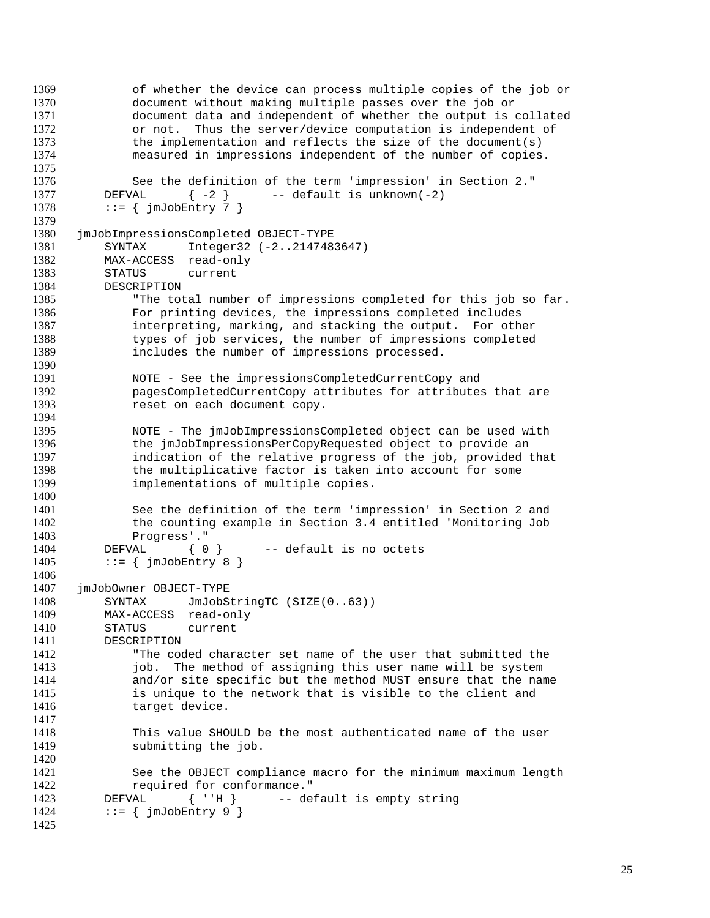```
1369 of whether the device can process multiple copies of the job or
1370 document without making multiple passes over the job or
1371 document data and independent of whether the output is collated
1372 or not. Thus the server/device computation is independent of
1373 the implementation and reflects the size of the document(s)
1374 measured in impressions independent of the number of copies.
1375
1376 See the definition of the term 'impression' in Section 2."
1377 DEFVAL \{-2\} -- default is unknown(-2)
1378 ::= \{ \text{jmJobEntry } 7 \}1379
1380 jmJobImpressionsCompleted OBJECT-TYPE
1381 SYNTAX Integer32 (-2..2147483647)
1382 MAX-ACCESS read-only
1383 STATUS current<br>1384 DESCRIPTION
         DESCRIPTION
1385 The total number of impressions completed for this job so far.<br>1386 Tor printing devices, the impressions completed includes
1386 For printing devices, the impressions completed includes<br>1387 For interpreting, marking, and stacking the output. For oth
             interpreting, marking, and stacking the output. For other
1388 types of job services, the number of impressions completed
1389 includes the number of impressions processed.
1390
1391 NOTE - See the impressionsCompletedCurrentCopy and
1392 pagesCompletedCurrentCopy attributes for attributes that are
1393 reset on each document copy.
1394
1395 NOTE - The jmJobImpressionsCompleted object can be used with
1396 the jmJobImpressionsPerCopyRequested object to provide an
1397 indication of the relative progress of the job, provided that
1398 the multiplicative factor is taken into account for some
1399 implementations of multiple copies.
1400
1401 See the definition of the term 'impression' in Section 2 and
1402 the counting example in Section 3.4 entitled 'Monitoring Job
1403 Progress'."<br>1404 DEFVAL { 0 }
                              -- default is no octets
1405 ::= \{ \text{imJobEntry } 8 \}1406
1407 jmJobOwner OBJECT-TYPE<br>1408 SYNTAX JmJobSt
         SYNTAX JmJobStringTC (SIZE(0..63))
1409 MAX-ACCESS read-only
1410 STATUS current
1411 DESCRIPTION
1412 "The coded character set name of the user that submitted the
1413 job. The method of assigning this user name will be system
1414 and/or site specific but the method MUST ensure that the name
1415 is unique to the network that is visible to the client and
1416 target device.
1417
1418 This value SHOULD be the most authenticated name of the user
1419 submitting the job.
1420
1421 See the OBJECT compliance macro for the minimum maximum length
1422 required for conformance."
1423 DEFVAL { ''H } -- default is empty string
1424 ::= \{ \text{jmJobEntry } 9 \}1425
```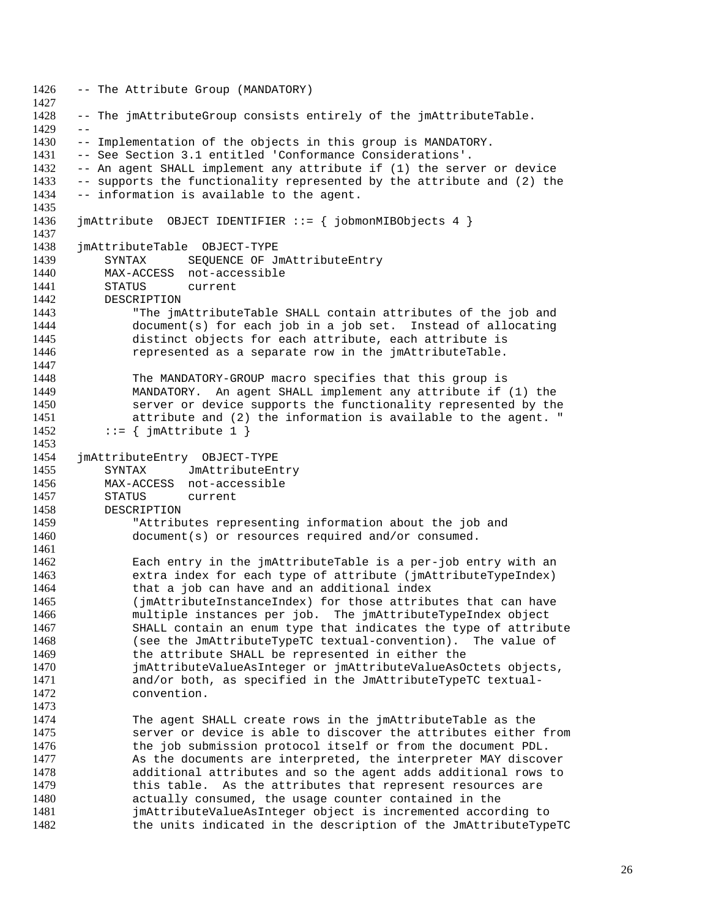```
1426 -- The Attribute Group (MANDATORY)
1427
1428 -- The jmAttributeGroup consists entirely of the jmAttributeTable.
1429 - -1430 -- Implementation of the objects in this group is MANDATORY.
1431 -- See Section 3.1 entitled 'Conformance Considerations'.
1432 -- An agent SHALL implement any attribute if (1) the server or device
1433 -- supports the functionality represented by the attribute and (2) the 1434 -- information is available to the agent.
      -- information is available to the agent.
1435
1436 jmAttribute OBJECT IDENTIFIER ::= { jobmonMIBObjects 4 }
1437
1438 jmAttributeTable OBJECT-TYPE
1439 SYNTAX SEQUENCE OF JmAttributeEntry
1440 MAX-ACCESS not-accessible<br>1441 STATUS current
           STATUS current
1442 DESCRIPTION<br>1443 "The im
1443 The jmAttributeTable SHALL contain attributes of the job and<br>1444 document(s) for each job in a job set. Instead of allocating
1444 document(s) for each job in a job set. Instead of allocating<br>1445 distinct objects for each attribute, each attribute is
               distinct objects for each attribute, each attribute is
1446 represented as a separate row in the jmAttributeTable.
1447
1448 The MANDATORY-GROUP macro specifies that this group is
1449 MANDATORY. An agent SHALL implement any attribute if (1) the
1450 server or device supports the functionality represented by the<br>1451 1451 attribute and (2) the information is available to the agent. "
               attribute and (2) the information is available to the agent. "
1452 ::= \{ \text{imAttribute 1 } \}1453
1454 jmAttributeEntry OBJECT-TYPE
1455 SYNTAX JmAttributeEntry
1456 MAX-ACCESS not-accessible
1457 STATUS current
1458 DESCRIPTION
1459 TAttributes representing information about the job and<br>1460 document(s) or resources required and/or consumed.
               document(s) or resources required and/or consumed.
1461
1462 Each entry in the jmAttributeTable is a per-job entry with an
1463 extra index for each type of attribute (jmAttributeTypeIndex)
1464 that a job can have and an additional index<br>1465 (imattributeInstanceIndex) for those attribute
               (jmAttributeInstanceIndex) for those attributes that can have
1466 multiple instances per job. The jmAttributeTypeIndex object
1467 SHALL contain an enum type that indicates the type of attribute
1468 (see the JmAttributeTypeTC textual-convention). The value of
1469 the attribute SHALL be represented in either the
1470 jmAttributeValueAsInteger or jmAttributeValueAsOctets objects,
1471 and/or both, as specified in the JmAttributeTypeTC textual-
1472 convention.
1473
1474 The agent SHALL create rows in the jmAttributeTable as the
1475 server or device is able to discover the attributes either from
1476 the job submission protocol itself or from the document PDL.
1477 As the documents are interpreted, the interpreter MAY discover
1478 additional attributes and so the agent adds additional rows to
1479 this table. As the attributes that represent resources are
1480 actually consumed, the usage counter contained in the
1481 imAttributeValueAsInteger object is incremented according to<br>1482 the units indicated in the description of the JmAttributeType
               the units indicated in the description of the JmAttributeTypeTC
```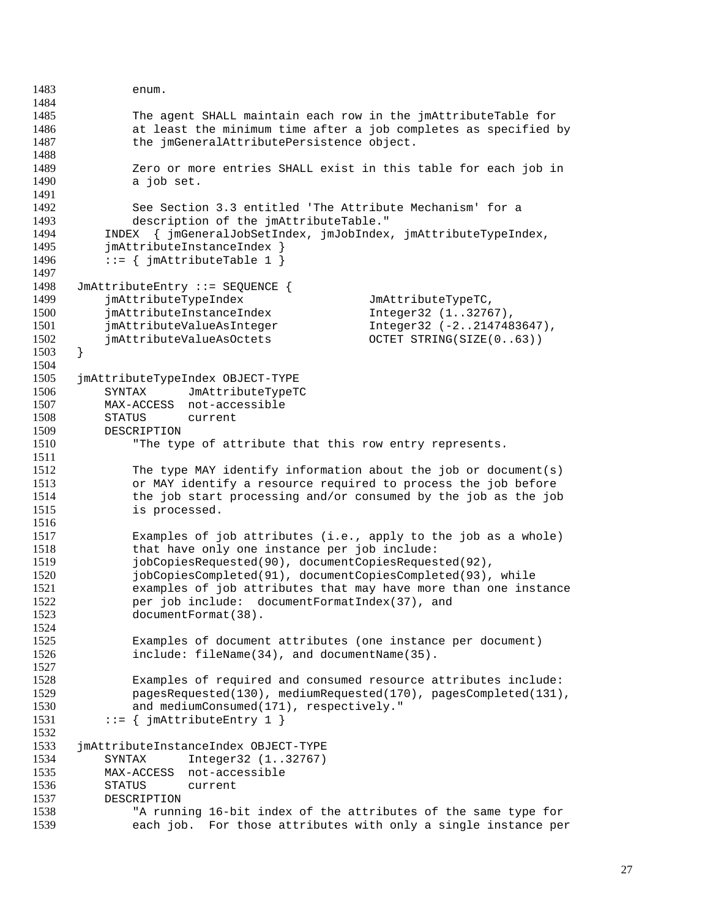```
1483 enum.
1484
1485 The agent SHALL maintain each row in the jmAttributeTable for
1486 at least the minimum time after a job completes as specified by
1487 the jmGeneralAttributePersistence object.
1488
1489 Zero or more entries SHALL exist in this table for each job in
1490 a job set.
1491
1492 See Section 3.3 entitled 'The Attribute Mechanism' for a
1493 description of the jmAttributeTable."
1494 INDEX { jmGeneralJobSetIndex, jmJobIndex, jmAttributeTypeIndex,
1495 jmAttributeInstanceIndex }
1496 ::= \{ \text{j} \in \text{m}AttributeTable 1 \}1497
1498 JmAttributeEntry ::= SEQUENCE {
1499 jmAttributeTypeIndex JmAttributeTypeTC,<br>1500 jmAttributeInstanceIndex 1nteger32 (1..3276
1500 jmAttributeInstanceIndex Integer32 (1..32767),
          jmAttributeValueAsInteger 1011 Integer32 (-2..2147483647),
1502 jmAttributeValueAsOctets OCTET STRING(SIZE(0..63))
1503 }
1504
1505 jmAttributeTypeIndex OBJECT-TYPE
1506 SYNTAX JmAttributeTypeTC
1507 MAX-ACCESS not-accessible
1508 STATUS current
1509 DESCRIPTION
1510 "The type of attribute that this row entry represents.
1511
1512 The type MAY identify information about the job or document(s)
1513 or MAY identify a resource required to process the job before
1514 the job start processing and/or consumed by the job as the job
1515 is processed.
1516
1517 Examples of job attributes (i.e., apply to the job as a whole)<br>1518 that have only one instance per job include:
1518 that have only one instance per job include:<br>1519 10bCopiesRequested(90), documentCopiesReques
              jobCopiesRequested(90), documentCopiesRequested(92),
1520 jobCopiesCompleted(91), documentCopiesCompleted(93), while
1521 examples of job attributes that may have more than one instance<br>1522 ber job include: documentFormatIndex(37). and
              per job include: documentFormatIndex(37), and
1523 documentFormat(38).
1524
1525 Examples of document attributes (one instance per document)
1526 include: fileName(34), and documentName(35).
1527
1528 Examples of required and consumed resource attributes include:
1529 pagesRequested(130), mediumRequested(170), pagesCompleted(131),
1530 and mediumConsumed(171), respectively."
1531 ::= \{ \text{j} \in \text{m}AttributeEntry 1 \}1532
1533 jmAttributeInstanceIndex OBJECT-TYPE
1534 SYNTAX Integer32 (1..32767)
1535 MAX-ACCESS not-accessible
1536 STATUS current
1537 DESCRIPTION
1538 The running 16-bit index of the attributes of the same type for<br>1539 The each job. For those attributes with only a single instance per
              each job. For those attributes with only a single instance per
```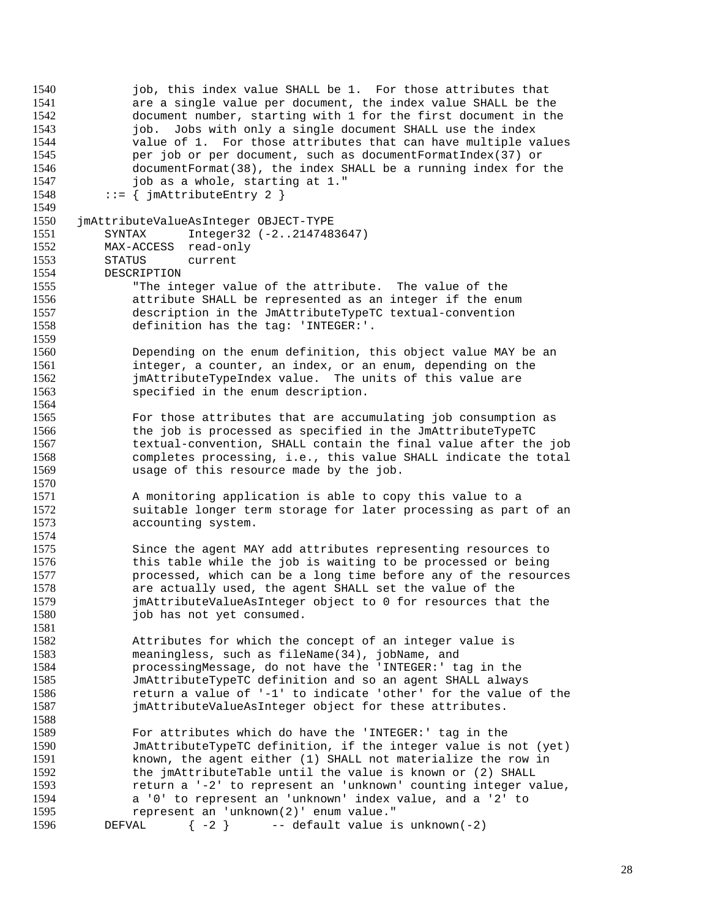job, this index value SHALL be 1. For those attributes that are a single value per document, the index value SHALL be the document number, starting with 1 for the first document in the job. Jobs with only a single document SHALL use the index value of 1. For those attributes that can have multiple values per job or per document, such as documentFormatIndex(37) or documentFormat(38), the index SHALL be a running index for the 1547 job as a whole, starting at 1."<br>1548 ::= { imAttributeEntry 2 }  $::=$  { jmAttributeEntry 2 } jmAttributeValueAsInteger OBJECT-TYPE SYNTAX Integer32 (-2..2147483647) MAX-ACCESS read-only STATUS current 1554 DESCRIPTION<br>1555 "The in "The integer value of the attribute. The value of the 1556 1556 attribute SHALL be represented as an integer if the enum<br>1557 1557 description in the JmAttributeTypeTC textual-convention 1557 description in the JmAttributeTypeTC textual-convention<br>1558 definition has the tag: 'INTEGER:'. definition has the tag: 'INTEGER:'. Depending on the enum definition, this object value MAY be an integer, a counter, an index, or an enum, depending on the jmAttributeTypeIndex value. The units of this value are specified in the enum description. For those attributes that are accumulating job consumption as the job is processed as specified in the JmAttributeTypeTC textual-convention, SHALL contain the final value after the job completes processing, i.e., this value SHALL indicate the total usage of this resource made by the job. A monitoring application is able to copy this value to a suitable longer term storage for later processing as part of an accounting system. Since the agent MAY add attributes representing resources to this table while the job is waiting to be processed or being processed, which can be a long time before any of the resources 1578 are actually used, the agent SHALL set the value of the<br>1579 **are imattributeValueAsInteger** object to 0 for resources that jmAttributeValueAsInteger object to 0 for resources that the 1580 job has not yet consumed. Attributes for which the concept of an integer value is meaningless, such as fileName(34), jobName, and processingMessage, do not have the 'INTEGER:' tag in the JmAttributeTypeTC definition and so an agent SHALL always return a value of '-1' to indicate 'other' for the value of the jmAttributeValueAsInteger object for these attributes. For attributes which do have the 'INTEGER:' tag in the JmAttributeTypeTC definition, if the integer value is not (yet) known, the agent either (1) SHALL not materialize the row in the jmAttributeTable until the value is known or (2) SHALL return a '-2' to represent an 'unknown' counting integer value, a '0' to represent an 'unknown' index value, and a '2' to represent an 'unknown(2)' enum value." DEFVAL  $\{-2\}$  -- default value is unknown(-2)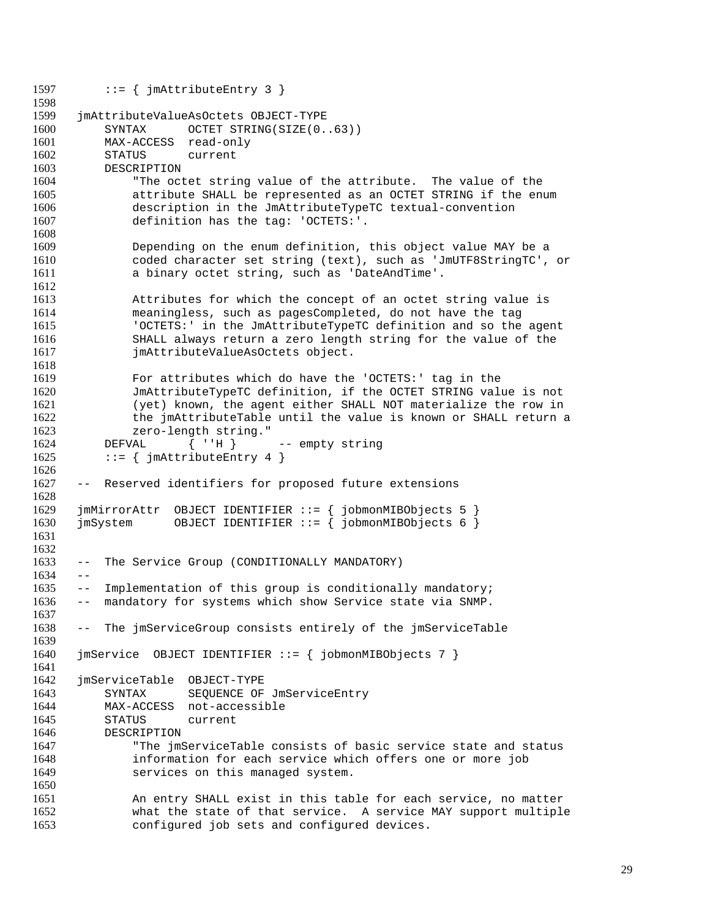1597 ::=  $\{ \text{j} \text{m} \text{A} \text{tril} \text{b} \text{u} \text{t} \text{c} \text{F} \text{m} \}$  jmAttributeValueAsOctets OBJECT-TYPE SYNTAX OCTET STRING(SIZE(0..63)) MAX-ACCESS read-only STATUS current DESCRIPTION "The octet string value of the attribute. The value of the attribute SHALL be represented as an OCTET STRING if the enum description in the JmAttributeTypeTC textual-convention definition has the tag: 'OCTETS:'. Depending on the enum definition, this object value MAY be a coded character set string (text), such as 'JmUTF8StringTC', or a binary octet string, such as 'DateAndTime'. 1613 1613 Attributes for which the concept of an octet string value is<br>1614 1614 meaningless, such as pagesCompleted, do not have the tag meaningless, such as pagesCompleted, do not have the tag 'OCTETS:' in the JmAttributeTypeTC definition and so the agent SHALL always return a zero length string for the value of the **imAttributeValueAsOctets** object. For attributes which do have the 'OCTETS:' tag in the JmAttributeTypeTC definition, if the OCTET STRING value is not (yet) known, the agent either SHALL NOT materialize the row in the jmAttributeTable until the value is known or SHALL return a zero-length string." DEFVAL { ''H } -- empty string 1625 ::=  $\{ j \text{mAttributeEntry 4 } \}$  -- Reserved identifiers for proposed future extensions jmMirrorAttr OBJECT IDENTIFIER ::= { jobmonMIBObjects 5 } jmSystem OBJECT IDENTIFIER ::= { jobmonMIBObjects 6 } -- The Service Group (CONDITIONALLY MANDATORY)  $1634 - -$  -- Implementation of this group is conditionally mandatory; -- mandatory for systems which show Service state via SNMP. -- The jmServiceGroup consists entirely of the jmServiceTable jmService OBJECT IDENTIFIER ::= { jobmonMIBObjects 7 } jmServiceTable OBJECT-TYPE SYNTAX SEQUENCE OF JmServiceEntry MAX-ACCESS not-accessible STATUS current DESCRIPTION "The jmServiceTable consists of basic service state and status information for each service which offers one or more job services on this managed system. An entry SHALL exist in this table for each service, no matter what the state of that service. A service MAY support multiple configured job sets and configured devices.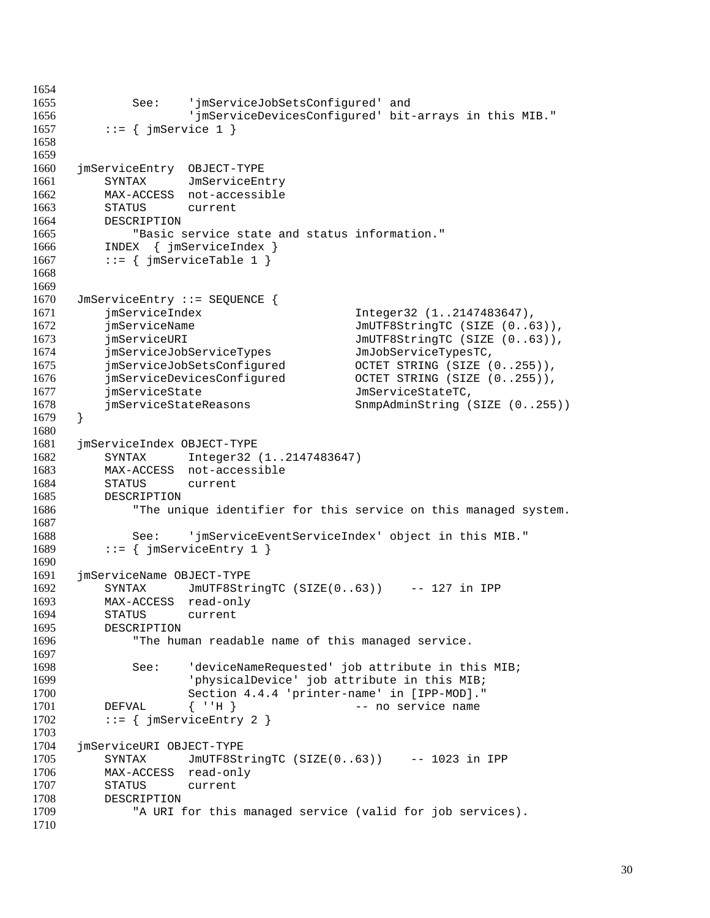```
1654
1655 See: 'jmServiceJobSetsConfigured' and
1656 'jmServiceDevicesConfigured' bit-arrays in this MIB."
1657 ::= \{ \text{imService 1 } \}1658
1659
1660 jmServiceEntry OBJECT-TYPE
1661 SYNTAX JmServiceEntry
1662 MAX-ACCESS not-accessible
1663 STATUS current
1664 DESCRIPTION
1665 "Basic service state and status information."
1666 INDEX { jmServiceIndex }
1667 ::= \{ jmserviceTable 1 \}1668
1669
1670 JmServiceEntry ::= SEQUENCE {<br>1671 imServiceIndex
1671 jmServiceIndex Integer32 (1..2147483647),
1672 jmServiceName Julie JmUTF8StringTC (SIZE (0..63)),<br>1673 jmServiceURI JmUTF8StringTC (SIZE (0..63)),
         jmServiceURI JmUTF8StringTC (SIZE (0..63)),
1674 jmServiceJobServiceTypes JmJobServiceTypesTC,
1675 jmServiceJobSetsConfigured OCTET STRING (SIZE (0..255)),
1676 jmServiceDevicesConfigured OCTET STRING (SIZE (0..255)),
1677 jmServiceState JmServiceStateTC,
1678 jmServiceStateReasons SnmpAdminString (SIZE (0..255))
1679 }
1680
1681 jmServiceIndex OBJECT-TYPE
1682 SYNTAX Integer32 (1..2147483647)
1683 MAX-ACCESS not-accessible
1684 STATUS current
1685 DESCRIPTION
1686 "The unique identifier for this service on this managed system.
1687
1688 See: 'jmServiceEventServiceIndex' object in this MIB."
1689 ::= \{ j \text{m} \text{ServiceEntry 1 } \}1690
1691 jmServiceName OBJECT-TYPE<br>1692 SYNTAX JmUTF8Str
1692 SYNTAX JmUTF8StringTC (SIZE(0..63)) -- 127 in IPP<br>1693 MAX-ACCESS read-only
        MAX-ACCESS read-only
1694 STATUS current
1695 DESCRIPTION
1696 "The human readable name of this managed service.
1697
1698 See: 'deviceNameRequested' job attribute in this MIB;
1699 'physicalDevice' job attribute in this MIB;
1700 Section 4.4.4 'printer-name' in [IPP-MOD]."
1701 DEFVAL { ''H } -- no service name
1702 ::= \{ jmServiceEntry 2 \}1703
1704 jmServiceURI OBJECT-TYPE
1705 SYNTAX JmUTF8StringTC (SIZE(0..63)) -- 1023 in IPP
1706 MAX-ACCESS read-only
1707 STATUS current
1708 DESCRIPTION
1709 "A URI for this managed service (valid for job services).
1710
```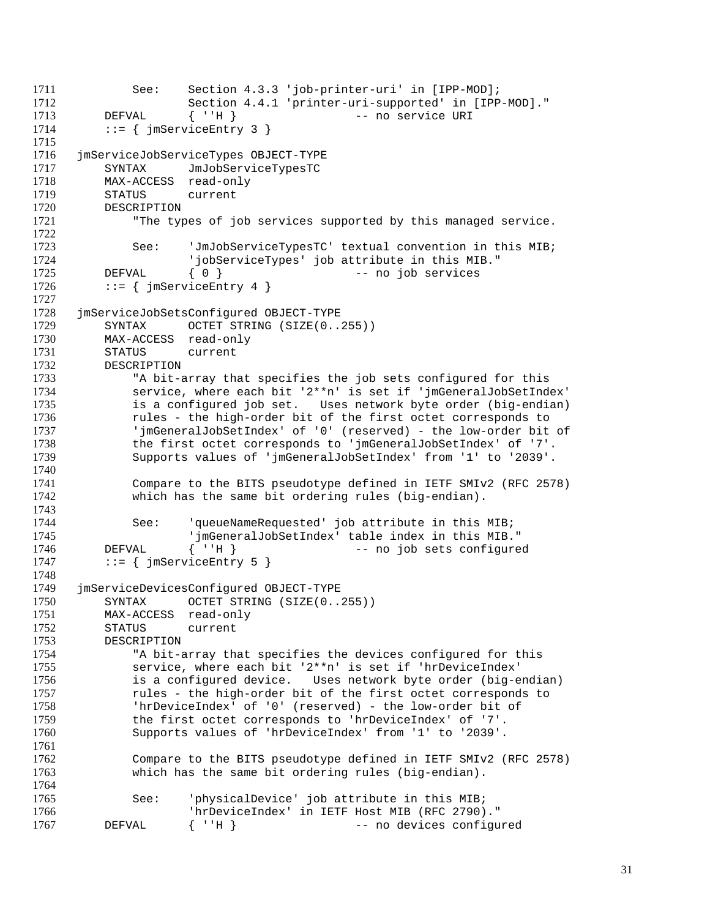1711 See: Section 4.3.3 'job-printer-uri' in [IPP-MOD];<br>1712 Section 4.4.1 'printer-uri-supported' in [IPP Section 4.4.1 'printer-uri-supported' in [IPP-MOD]." 1713 DEFVAL { ''H } -- no service URI 1714 ::=  $\{$  jmServiceEntry 3  $\}$  jmServiceJobServiceTypes OBJECT-TYPE SYNTAX JmJobServiceTypesTC 1718 MAX-ACCESS read-only<br>1719 STATUS current STATUS current DESCRIPTION "The types of job services supported by this managed service. See: 'JmJobServiceTypesTC' textual convention in this MIB; 'jobServiceTypes' job attribute in this MIB." 1725 DEFVAL  $\{ 0 \}$  -- no job services<br>1726 ::=  $\{ jmServiceEntry 4 \}$  $::=$  { jmServiceEntry 4 } 1728 jmServiceJobSetsConfigured OBJECT-TYPE<br>1729 SYNTAX OCTET STRING (SIZE(0... 1729 SYNTAX OCTET STRING (SIZE(0..255))<br>1730 MAX-ACCESS read-only MAX-ACCESS read-only STATUS current DESCRIPTION "A bit-array that specifies the job sets configured for this service, where each bit '2\*\*n' is set if 'jmGeneralJobSetIndex' is a configured job set. Uses network byte order (big-endian) rules - the high-order bit of the first octet corresponds to 'jmGeneralJobSetIndex' of '0' (reserved) - the low-order bit of the first octet corresponds to 'jmGeneralJobSetIndex' of '7'. Supports values of 'jmGeneralJobSetIndex' from '1' to '2039'. Compare to the BITS pseudotype defined in IETF SMIv2 (RFC 2578) which has the same bit ordering rules (big-endian). See: 'queueNameRequested' job attribute in this MIB; 'jmGeneralJobSetIndex' table index in this MIB." DEFVAL { ''H } -- no job sets configured  $\cdot := \{ \cdot \text{imServiceEntry 5 } \}$  1749 jmServiceDevicesConfigured OBJECT-TYPE<br>1750 SYNTAX OCTET STRING (SIZE(0... SYNTAX OCTET STRING (SIZE(0..255)) MAX-ACCESS read-only STATUS current DESCRIPTION "A bit-array that specifies the devices configured for this service, where each bit '2\*\*n' is set if 'hrDeviceIndex' is a configured device. Uses network byte order (big-endian) rules - the high-order bit of the first octet corresponds to 'hrDeviceIndex' of '0' (reserved) - the low-order bit of the first octet corresponds to 'hrDeviceIndex' of '7'. Supports values of 'hrDeviceIndex' from '1' to '2039'. Compare to the BITS pseudotype defined in IETF SMIv2 (RFC 2578) which has the same bit ordering rules (big-endian). See: 'physicalDevice' job attribute in this MIB; 'hrDeviceIndex' in IETF Host MIB (RFC 2790)." DEFVAL  $\{ 'H \}$  -- no devices configured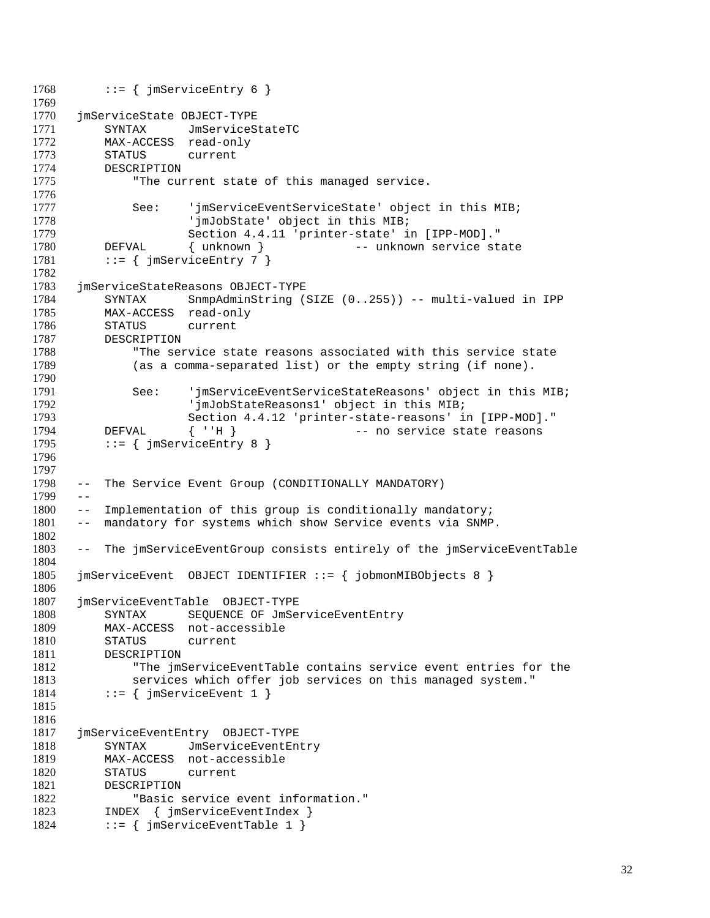```
1768 ::= \{ j \text{m} \text{ServiceEntry } 6 \}1769
1770 jmServiceState OBJECT-TYPE
1771 SYNTAX JmServiceStateTC
1772 MAX-ACCESS read-only
1773 STATUS current
1774 DESCRIPTION
1775 The current state of this managed service.
1776
1777 See: 'jmServiceEventServiceState' object in this MIB;
1778 'jmJobState' object in this MIB;
1779 Section 4.4.11 'printer-state' in [IPP-MOD]."
1780 DEFVAL { unknown } -- unknown service state
1781 ::= \{ j \text{m} \text{ServiceEntry } 7 \}1782
1783 jmServiceStateReasons OBJECT-TYPE
1784 SYNTAX SnmpAdminString (SIZE (0..255)) -- multi-valued in IPP 1785 MAX-ACCESS read-only
1785 MAX-ACCESS read-only<br>1786 STATUS current
         STATUS current
1787 DESCRIPTION
1788 "The service state reasons associated with this service state
1789 (as a comma-separated list) or the empty string (if none).
1790
1791 See: 'jmServiceEventServiceStateReasons' object in this MIB;
1792                 'jmJobStateReasons1' object in this MIB;<br>1793                   Section 4.4.12 'printer-state-reasons' i
                     Section 4.4.12 'printer-state-reasons' in [IPP-MOD]."
1794 DEFVAL { ''H } -- no service state reasons
1795 ::= \{ jmServiceEntry 8 \}1796
1797
1798 -- The Service Event Group (CONDITIONALLY MANDATORY)
1799 - -1800 -- Implementation of this group is conditionally mandatory;
1801 -- mandatory for systems which show Service events via SNMP.
1802
1803 -- The jmServiceEventGroup consists entirely of the jmServiceEventTable
1804
1805 jmServiceEvent OBJECT IDENTIFIER ::= { jobmonMIBObjects 8 }
1806
1807 jmServiceEventTable OBJECT-TYPE
1808 SYNTAX SEQUENCE OF JmServiceEventEntry
1809 MAX-ACCESS not-accessible
1810 STATUS current
1811 DESCRIPTION
1812 "The jmServiceEventTable contains service event entries for the
1813 services which offer job services on this managed system."
1814 ::= \{ \text{jmServiceEvent 1 } \}1815
1816
1817 jmServiceEventEntry OBJECT-TYPE
1818 SYNTAX JmServiceEventEntry
1819 MAX-ACCESS not-accessible
1820 STATUS current
1821 DESCRIPTION
1822 "Basic service event information."
1823 INDEX { jmServiceEventIndex }<br>1824 ::= { imServiceEventTable 1 }
         ::= { jmServiceEventTable 1 }
```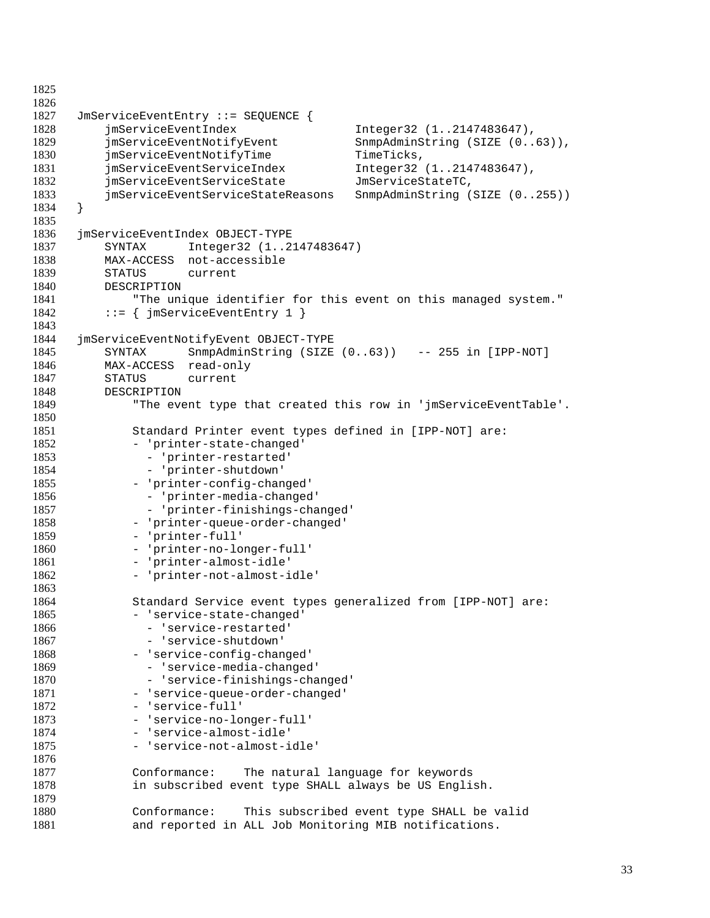```
1825
1826
1827 JmServiceEventEntry ::= SEQUENCE {
1828 jmServiceEventIndex Integer32 (1..2147483647),
1829 jmServiceEventNotifyEvent SnmpAdminString (SIZE (0..63)),
1830 jmServiceEventNotifyTime TimeTicks,
1831 jmServiceEventServiceIndex Integer32 (1..2147483647),
1832 jmServiceEventServiceState JmServiceStateTC,
         1833 jmServiceEventServiceStateReasons SnmpAdminString (SIZE (0..255))
1834 }
1835
1836 jmServiceEventIndex OBJECT-TYPE
1837 SYNTAX Integer32 (1..2147483647)
1838 MAX-ACCESS not-accessible
1839 STATUS current<br>1840 DESCRIPTION
         DESCRIPTION
1841 The unique identifier for this event on this managed system."<br>1842 ::= { imServiceEventEntry 1 }
         ::= { jmServiceEventEntry 1 }
1843
1844 jmServiceEventNotifyEvent OBJECT-TYPE
1845 SYNTAX SnmpAdminString (SIZE (0..63)) -- 255 in [IPP-NOT]
1846 MAX-ACCESS read-only
1847 STATUS current
1848 DESCRIPTION
1849 "The event type that created this row in 'jmServiceEventTable'.
1850
1851 Standard Printer event types defined in [IPP-NOT] are:
1852 - 'printer-state-changed'
1853 - 'printer-restarted'
1854 - 'printer-shutdown'
1855 - 'printer-config-changed'
1856 - 'printer-media-changed'
1857 - 'printer-finishings-changed'
1858 - 'printer-queue-order-changed'
1859 - 'printer-full'<br>1860 - 'printer-no-lo
             - 'printer-no-longer-full'
1861 - 'printer-almost-idle'
1862 - 'printer-not-almost-idle'
1863<br>1864
            Standard Service event types generalized from [IPP-NOT] are:
1865 - 'service-state-changed'
1866 - 'service-restarted'
1867 - 'service-shutdown'
1868 - 'service-config-changed'
1869 - 'service-media-changed'
1870 - 'service-finishings-changed'
1871 - 'service-queue-order-changed'
1872 - 'service-full'
             - 'service-no-longer-full'
1874 - 'service-almost-idle'
1875 - 'service-not-almost-idle'
1876
1877 Conformance: The natural language for keywords
1878 in subscribed event type SHALL always be US English.
1879
1880 Conformance: This subscribed event type SHALL be valid<br>1881 and reported in ALL Job Monitoring MIB notifications.
             and reported in ALL Job Monitoring MIB notifications.
```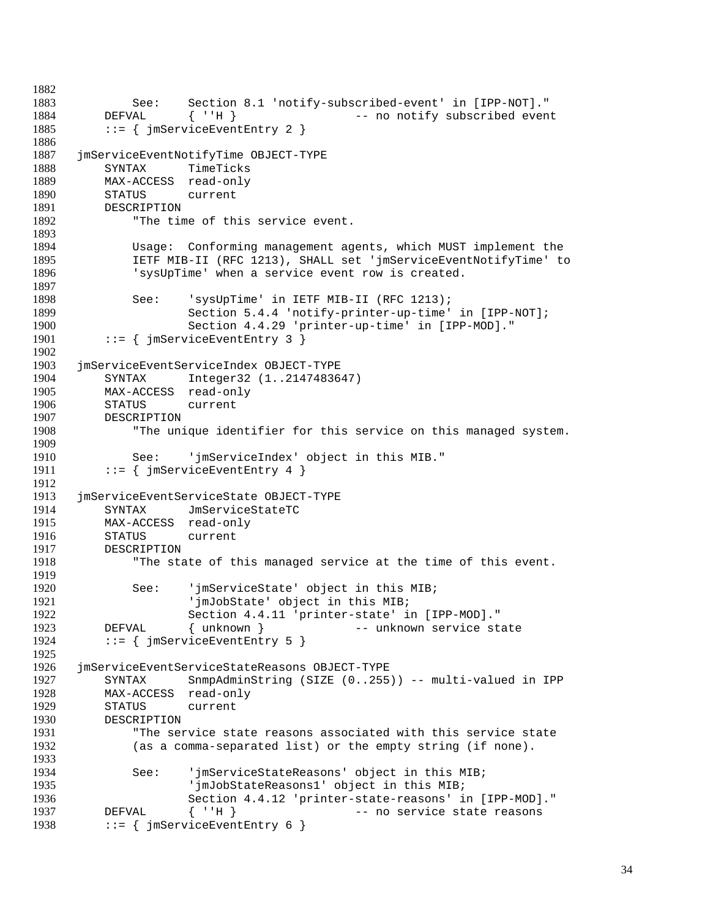```
1883 See: Section 8.1 'notify-subscribed-event' in [IPP-NOT]."
1884 DEFVAL { ''H } -- no notify subscribed event
1885 ::= { jmServiceEventEntry 2 }
1886
1887 jmServiceEventNotifyTime OBJECT-TYPE
1888 SYNTAX TimeTicks
1889 MAX-ACCESS read-only
1890 STATUS current
1891 DESCRIPTION
1892 "The time of this service event.
1893
1894 Usage: Conforming management agents, which MUST implement the
1895 IETF MIB-II (RFC 1213), SHALL set 'jmServiceEventNotifyTime' to
1896 'sysUpTime' when a service event row is created.
1897
1898 See: 'sysUpTime' in IETF MIB-II (RFC 1213);<br>1899 Section 5.4.4 'notify-printer-up-time'
1899 Section 5.4.4 'notify-printer-up-time' in [IPP-NOT];<br>1900 Section 4.4.29 'printer-up-time' in [IPP-MOD]."
1900 Section 4.4.29 'printer-up-time' in [IPP-MOD]."<br>1901 ::= { imServiceEventEntry 3 }
         \{ \text{ } jmServiceEventEntry 3 }
1902
1903 jmServiceEventServiceIndex OBJECT-TYPE
1904 SYNTAX Integer32 (1..2147483647)
1905 MAX-ACCESS read-only
1906 STATUS current
1907 DESCRIPTION
1908 "The unique identifier for this service on this managed system.
1909
1910 See: 'jmServiceIndex' object in this MIB."
1911 ::= { jmServiceEventEntry 4 }
1912
1913 jmServiceEventServiceState OBJECT-TYPE
1914 SYNTAX JmServiceStateTC
1915 MAX-ACCESS read-only<br>1916 STATUS current
1916 STATUS current<br>1917 DESCRIPTION
1917 DESCRIPTION<br>1918 The sta
             "The state of this managed service at the time of this event.
1919
1920 See: 'jmServiceState' object in this MIB;
                     'jmJobState' object in this MIB;
1922 Section 4.4.11 'printer-state' in [IPP-MOD]."
1923 DEFVAL { unknown } -- unknown service state
1924 ::= { jmServiceEventEntry 5 }
1925
1926 jmServiceEventServiceStateReasons OBJECT-TYPE
1927 SYNTAX SnmpAdminString (SIZE (0..255)) -- multi-valued in IPP
1928 MAX-ACCESS read-only
1929 STATUS current<br>1930 DESCRIPTION
         DESCRIPTION
1931 "The service state reasons associated with this service state
1932 (as a comma-separated list) or the empty string (if none).
1933
1934 See: 'jmServiceStateReasons' object in this MIB;
1935 'jmJobStateReasons1' object in this MIB;
1936 Section 4.4.12 'printer-state-reasons' in [IPP-MOD]."
1937 DEFVAL { ''H } -- no service state reasons
         \cdot := \{ \text{jmServiceEventEntry } 6 \}
```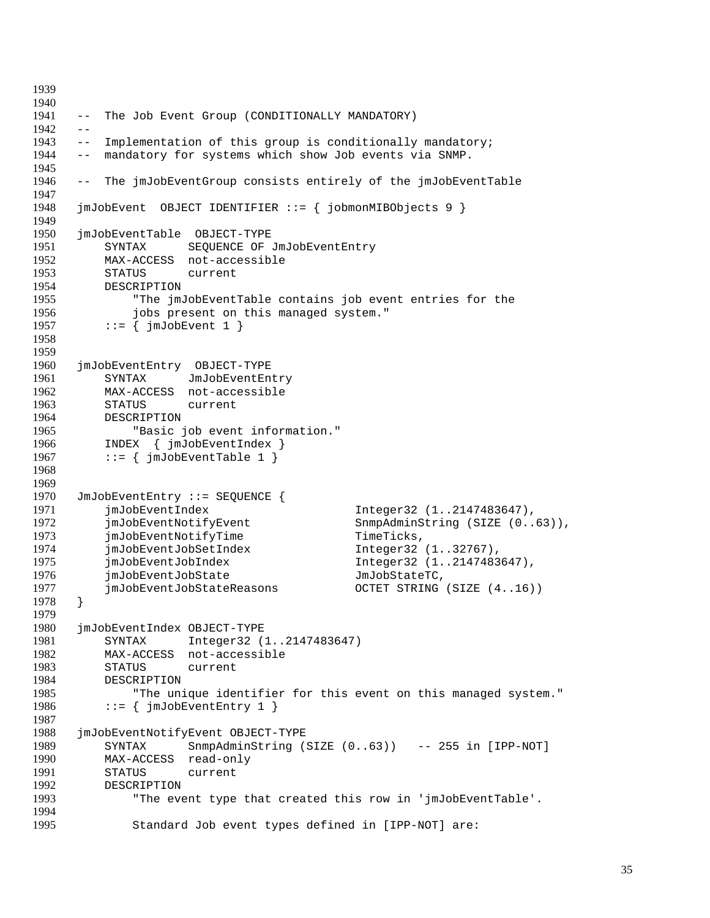```
1939
1940
1941 -- The Job Event Group (CONDITIONALLY MANDATORY)
1942 - -1943 -- Implementation of this group is conditionally mandatory;
1944 -- mandatory for systems which show Job events via SNMP.
1945
1946 -- The jmJobEventGroup consists entirely of the jmJobEventTable
1947
1948 jmJobEvent OBJECT IDENTIFIER ::= { jobmonMIBObjects 9 }
1949
1950 jmJobEventTable OBJECT-TYPE
1951 SYNTAX SEQUENCE OF JmJobEventEntry
1952 MAX-ACCESS not-accessible
1953 STATUS current<br>1954 DESCRIPTION
         DESCRIPTION
1955 "The jmJobEventTable contains job event entries for the
1956 jobs present on this managed system."<br>1957 ::= { imJobEvent 1 }
         ::= { jmJobEvent 1 }
1958
1959
1960 jmJobEventEntry OBJECT-TYPE
1961 SYNTAX JmJobEventEntry
1962 MAX-ACCESS not-accessible
1963 STATUS current
1964 DESCRIPTION
1965 "Basic job event information."
1966 INDEX { jmJobEventIndex }
1967 ::= \{ \text{jmJobEventTable 1 } \}1968
1969
1970 JmJobEventEntry ::= SEQUENCE {
1971 jmJobEventIndex Integer32 (1..2147483647),
1972 jmJobEventNotifyEvent SnmpAdminString (SIZE (0..63)),<br>1973 imJobEventNotifyTime TimeTicks,
1973 jmJobEventNotifyTime TimeTicks,<br>1974 jmJobEventJobSetIndex Thteger32
         jmJobEventJobSetIndex Integer32 (1..32767),
1975 jmJobEventJobIndex Integer32 (1..2147483647),
1976 jmJobEventJobState JmJobStateTC,<br>1977 imJobEventJobStateReasons OCTET STRING
         1977 jmJobEventJobStateReasons OCTET STRING (SIZE (4..16))
1978 }
1979
1980 jmJobEventIndex OBJECT-TYPE
1981 SYNTAX Integer32 (1..2147483647)
1982 MAX-ACCESS not-accessible
1983 STATUS current
1984 DESCRIPTION
1985 "The unique identifier for this event on this managed system."
1986 ::= \{ \text{jmJobEventEntry 1 } \}1987
1988 jmJobEventNotifyEvent OBJECT-TYPE
1989 SYNTAX SnmpAdminString (SIZE (0..63)) -- 255 in [IPP-NOT]
1990 MAX-ACCESS read-only
1991 STATUS current
1992 DESCRIPTION
1993 "The event type that created this row in 'jmJobEventTable'.
1994
1995 Standard Job event types defined in [IPP-NOT] are:
```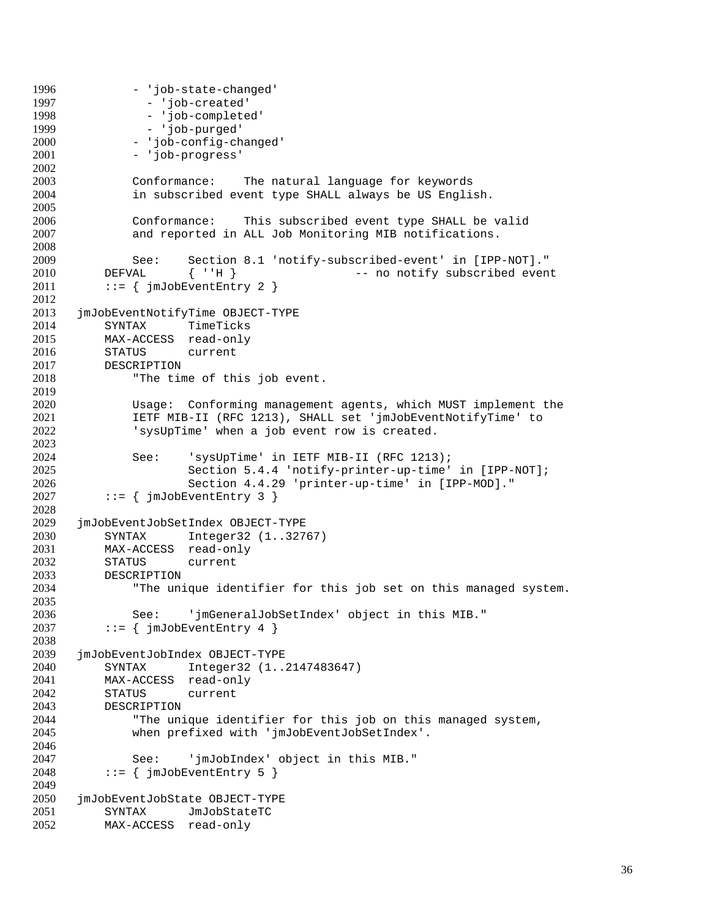```
1996 - 'job-state-changed'<br>1997 - 'job-created'
                - 'job-created'
1998 - 'job-completed'
1999 - 'job-purged'
2000 - 'job-config-changed'
2001 - 'job-progress'
2002
2003 Conformance: The natural language for keywords
              in subscribed event type SHALL always be US English.
2005
2006 Conformance: This subscribed event type SHALL be valid
2007 and reported in ALL Job Monitoring MIB notifications.
2008
2009 See: Section 8.1 'notify-subscribed-event' in [IPP-NOT]."
2010 DEFVAL { ''H } -- no notify subscribed event<br>2011 ::= { jmJobEventEntry 2 }
          ::= { jmJobEventEntry 2 }
2012
2013 jmJobEventNotifyTime OBJECT-TYPE<br>2014 SYNTAX TimeTicks
2014 SYNTAX TimeTicks<br>2015 MAX-ACCESS read-only
          MAX-ACCESS read-only
2016 STATUS current
2017 DESCRIPTION
2018 "The time of this job event.
2019
2020 Usage: Conforming management agents, which MUST implement the
2021 IETF MIB-II (RFC 1213), SHALL set 'jmJobEventNotifyTime' to
2022 'sysUpTime' when a job event row is created.
2023
2024 See: 'sysUpTime' in IETF MIB-II (RFC 1213);
2025 Section 5.4.4 'notify-printer-up-time' in [IPP-NOT];<br>2026 Section 4.4.29 'printer-up-time' in [IPP-MOD]."
                      Section 4.4.29 'printer-up-time' in [IPP-MOD]."
2027 ::= \{ jmJobEventEntry 3 \}2028
2029 jmJobEventJobSetIndex OBJECT-TYPE<br>2030 SYNTAX Integer32 (1..327)
2030 SYNTAX Integer32 (1..32767)<br>2031 MAX-ACCESS read-only
2031 MAX-ACCESS read-only<br>2032 STATUS current
          STATUS current
2033 DESCRIPTION<br>2034 "The uni
              "The unique identifier for this job set on this managed system.
2035
2036 See: 'jmGeneralJobSetIndex' object in this MIB."
2037 ::= \{ \text{jmJobEventEntry 4 } \}2038
2039 jmJobEventJobIndex OBJECT-TYPE
2040 SYNTAX Integer32 (1..2147483647)
2041 MAX-ACCESS read-only
2042 STATUS current
2043 DESCRIPTION<br>2044 "The un
              "The unique identifier for this job on this managed system,
2045 when prefixed with 'jmJobEventJobSetIndex'.
2046
2047 See: 'jmJobIndex' object in this MIB."
2048 ::= \{\text{imJobEventEntry 5 }\}2049
2050 jmJobEventJobState OBJECT-TYPE
2051 SYNTAX JmJobStateTC<br>2052 MAX-ACCESS read-only
          MAX-ACCESS read-only
```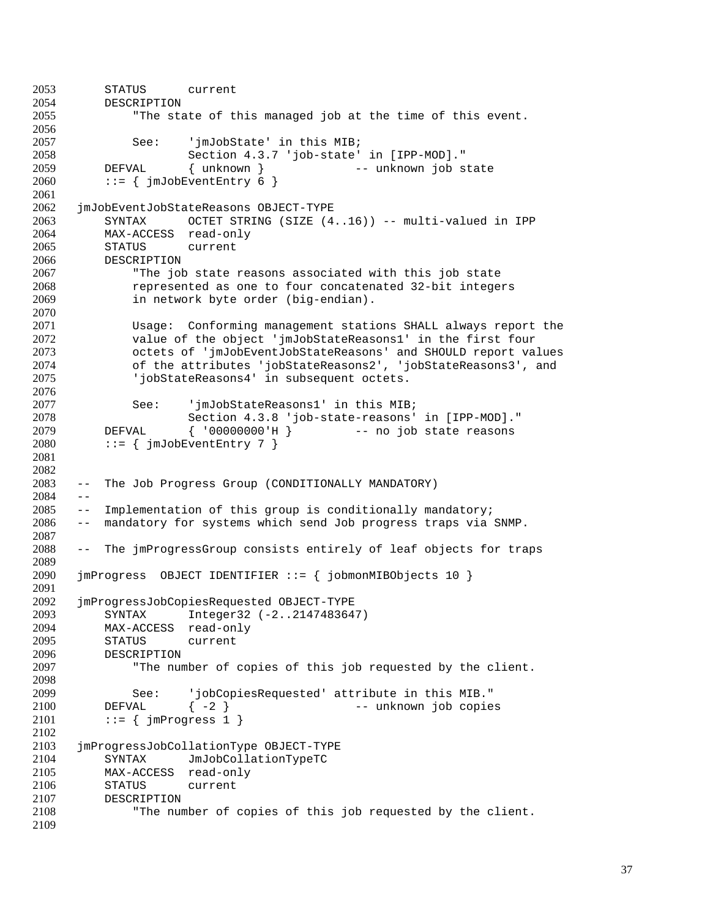```
2053 STATUS current
2054 DESCRIPTION
2055 "The state of this managed job at the time of this event.
2056
2057 See: 'jmJobState' in this MIB;
2058 Section 4.3.7 'job-state' in [IPP-MOD]."
2059 DEFVAL { unknown } -- unknown job state
2060 ::= \{ \text{jmJobEventEntry } 6 \}2061
2062 jmJobEventJobStateReasons OBJECT-TYPE
2063 SYNTAX OCTET STRING (SIZE (4..16)) -- multi-valued in IPP
2064 MAX-ACCESS read-only
2065 STATUS current
2066 DESCRIPTION
2067 "The job state reasons associated with this job state
2068 represented as one to four concatenated 32-bit integers
2069 in network byte order (big-endian).
2070
2071 Usage: Conforming management stations SHALL always report the
2072 value of the object 'jmJobStateReasons1' in the first four
2073 octets of 'jmJobEventJobStateReasons' and SHOULD report values
2074 of the attributes 'jobStateReasons2', 'jobStateReasons3', and
2075 'jobStateReasons4' in subsequent octets.
2076
2077 See: 'jmJobStateReasons1' in this MIB;
2078 Section 4.3.8 'job-state-reasons' in [IPP-MOD]."
2079 DEFVAL { '00000000'H } -- no job state reasons
2080 ::= \{ \text{imJobEventEntry } 7 \}2081
2082
     -- The Job Progress Group (CONDITIONALLY MANDATORY)
2084 - -2085 -- Implementation of this group is conditionally mandatory;
2086 -- mandatory for systems which send Job progress traps via SNMP.
2087
2088 -- The jmProgressGroup consists entirely of leaf objects for traps
2089
2090 jmProgress OBJECT IDENTIFIER ::= { jobmonMIBObjects 10 }
2091<br>2092
     2092 jmProgressJobCopiesRequested OBJECT-TYPE
2093 SYNTAX Integer32 (-2..2147483647)
2094 MAX-ACCESS read-only
2095 STATUS current
2096 DESCRIPTION
2097 "The number of copies of this job requested by the client.
2098
2099 See: 'jobCopiesRequested' attribute in this MIB."
2100 DEFVAL { -2 } -- unknown job copies
2101 ::= \{ jmProgress 1 \}2102
2103 jmProgressJobCollationType OBJECT-TYPE
2104 SYNTAX JmJobCollationTypeTC
2105 MAX-ACCESS read-only
2106 STATUS current
2107 DESCRIPTION
2108 "The number of copies of this job requested by the client.
2109
```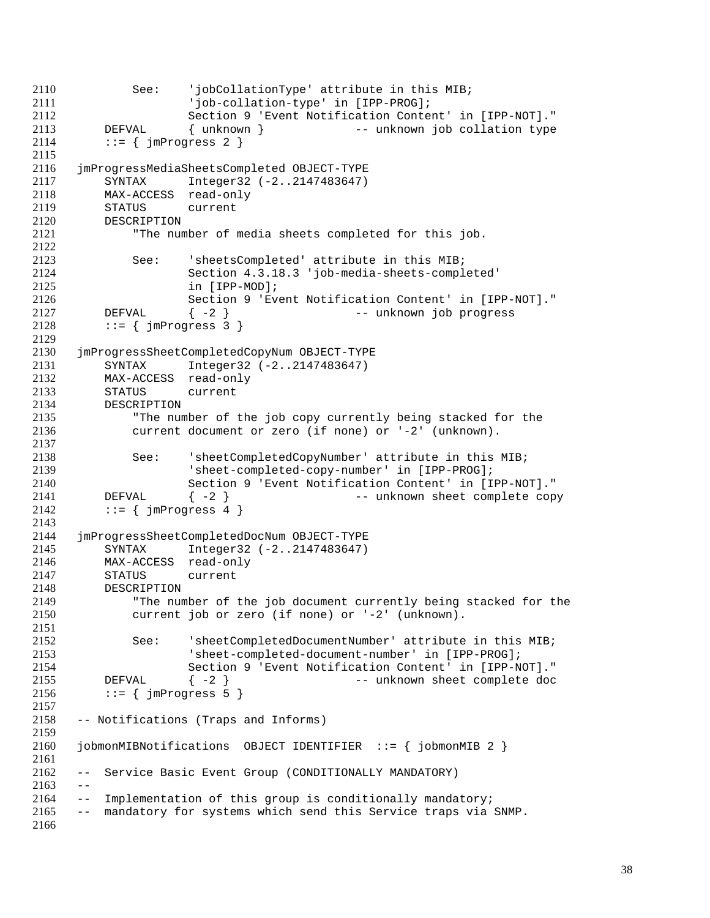```
2110 See: 'jobCollationType' attribute in this MIB;
2111 'job-collation-type' in [IPP-PROG];
2112 Section 9 'Event Notification Content' in [IPP-NOT]."
2113 DEFVAL { unknown } -- unknown job collation type
2114 ::= \{ \text{imProgress 2 } \}2115
2116 jmProgressMediaSheetsCompleted OBJECT-TYPE
2117 SYNTAX Integer32 (-2..2147483647)
2118 MAX-ACCESS read-only
2119 STATUS current
2120 DESCRIPTION
2121 "The number of media sheets completed for this job.
2122
2123 See: 'sheetsCompleted' attribute in this MIB;
2124 Section 4.3.18.3 'job-media-sheets-completed'
2125 in [IPP-MOD];<br>2126 Section 9 'Eve
2126 Section 9 'Event Notification Content' in [IPP-NOT]."
2127 DEFVAL \{-2\} -- unknown job progress<br>2128 := { imProgress 3 }
        ::= { jmProgress 3 }
2129
2130 jmProgressSheetCompletedCopyNum OBJECT-TYPE
2131 SYNTAX Integer32 (-2..2147483647)
2132 MAX-ACCESS read-only
2133 STATUS current
2134 DESCRIPTION
2135 "The number of the job copy currently being stacked for the
2136 current document or zero (if none) or '-2' (unknown).
2137
2138 See: 'sheetCompletedCopyNumber' attribute in this MIB;
2139 'sheet-completed-copy-number' in [IPP-PROG];
2140 Section 9 'Event Notification Content' in [IPP-NOT]."
2141 DEFVAL \{-2\} -- unknown sheet complete copy
2142 ::= \{ jmProgress 4 \}2143
2144 jmProgressSheetCompletedDocNum OBJECT-TYPE
        SYNTAX Integer32 (-2..2147483647)
2146 MAX-ACCESS read-only
2147 STATUS current
2148 DESCRIPTION
2149 "The number of the job document currently being stacked for the
2150 current job or zero (if none) or '-2' (unknown).
2151
2152 See: 'sheetCompletedDocumentNumber' attribute in this MIB;
2153 'sheet-completed-document-number' in [IPP-PROG];
2154 Section 9 'Event Notification Content' in [IPP-NOT]."
2155 DEFVAL { -2 } -- unknown sheet complete doc
2156 ::= \{ jmProgress 5 \}2157
2158 -- Notifications (Traps and Informs)
2159
2160 jobmonMIBNotifications OBJECT IDENTIFIER ::= { jobmonMIB 2 }
2161
2162 -- Service Basic Event Group (CONDITIONALLY MANDATORY)
2163 - -2164 -- Implementation of this group is conditionally mandatory;
2165 -- mandatory for systems which send this Service traps via SNMP.
2166
```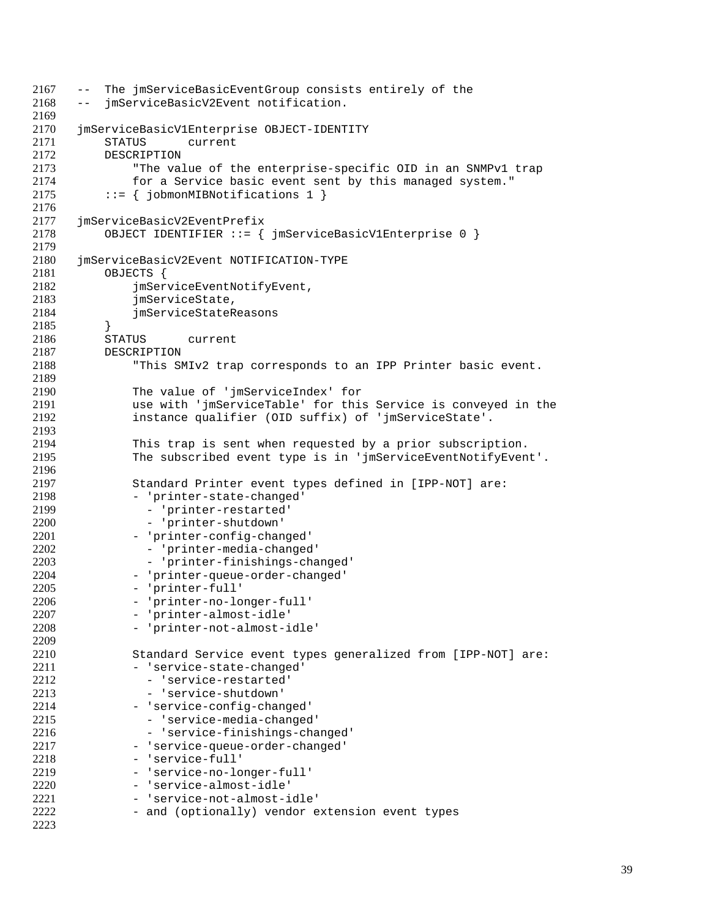```
2167 -- The jmServiceBasicEventGroup consists entirely of the
2168 -- jmServiceBasicV2Event notification.
2169
2170 jmServiceBasicV1Enterprise OBJECT-IDENTITY
2171 STATUS current
2172 DESCRIPTION
2173 "The value of the enterprise-specific OID in an SNMPv1 trap
2174 for a Service basic event sent by this managed system."
2175 ::= { jobmonMIBNotifications 1 }
2176
2177 jmServiceBasicV2EventPrefix
2178 OBJECT IDENTIFIER ::= { jmServiceBasicV1Enterprise 0 }
2179
2180 jmServiceBasicV2Event NOTIFICATION-TYPE
2181 OBJECTS {<br>2182 imSer
             jmServiceEventNotifyEvent,
2183 jmServiceState,<br>2184 imServiceStateR
             jmServiceStateReasons
2185 }
2186 STATUS current
2187 DESCRIPTION
2188 "This SMIv2 trap corresponds to an IPP Printer basic event.
2189
2190 The value of 'jmServiceIndex' for
2191 use with 'jmServiceTable' for this Service is conveyed in the
2192 instance qualifier (OID suffix) of 'jmServiceState'.
2193
2194 This trap is sent when requested by a prior subscription.
2195 The subscribed event type is in 'jmServiceEventNotifyEvent'.
2196
2197 Standard Printer event types defined in [IPP-NOT] are:
2198 - 'printer-state-changed'
2199 - 'printer-restarted'
2200 - 'printer-shutdown'
2201 - 'printer-config-changed'<br>2202 - 'printer-media-changed
2202 - 'printer-media-changed'<br>2203 - 'printer-finishings-cha
              - 'printer-finishings-changed'
2204 - 'printer-queue-order-changed'
2205 - 'printer-full'
2206 - 'printer-no-longer-full'
2207 - 'printer-almost-idle'
2208 - 'printer-not-almost-idle'
2209
2210 Standard Service event types generalized from [IPP-NOT] are:
2211 - 'service-state-changed'
2212 - 'service-restarted'
2213 - 'service-shutdown'
2214 - 'service-config-changed'
2215 - 'service-media-changed'
2216 - 'service-finishings-changed'
2217 - 'service-queue-order-changed'
2218 - 'service-full'
2219 - 'service-no-longer-full'
2220 - 'service-almost-idle'
2221 - 'service-not-almost-idle'
2222 - and (optionally) vendor extension event types
2223
```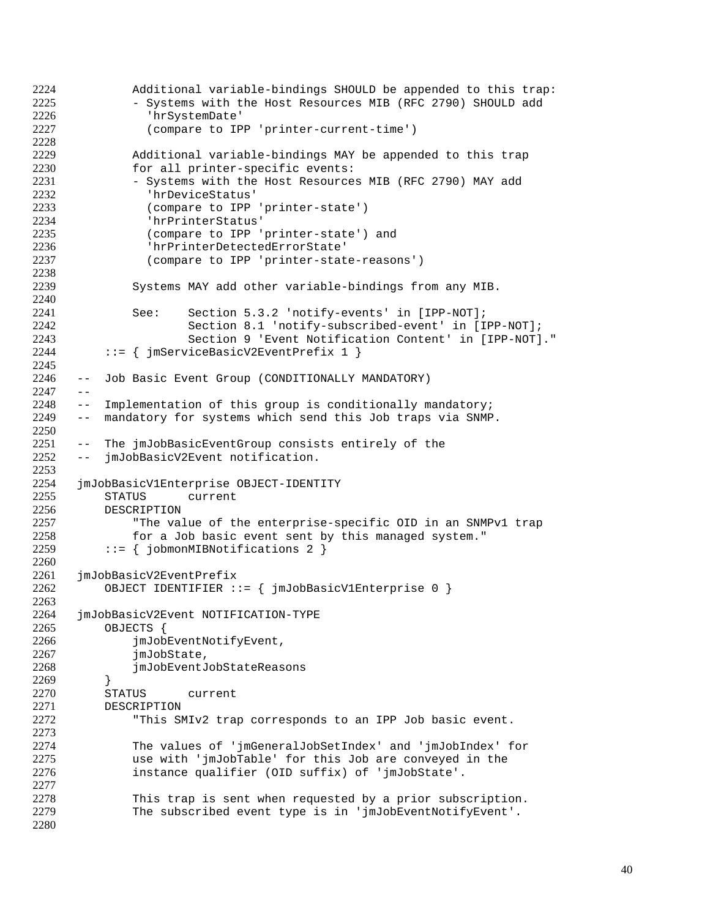```
2224 Additional variable-bindings SHOULD be appended to this trap:
              - Systems with the Host Resources MIB (RFC 2790) SHOULD add
2226 'hrSystemDate'
2227 (compare to IPP 'printer-current-time')
2228
2229 Additional variable-bindings MAY be appended to this trap
2230 for all printer-specific events:
2231 - Systems with the Host Resources MIB (RFC 2790) MAY add<br>2232 - ThrDeviceStatus'
                'hrDeviceStatus'
2233 (compare to IPP 'printer-state')
2234 'hrPrinterStatus'
2235 (compare to IPP 'printer-state') and
2236 'hrPrinterDetectedErrorState'
2237 (compare to IPP 'printer-state-reasons')
2238
2239 Systems MAY add other variable-bindings from any MIB.
2240
2241 See: Section 5.3.2 'notify-events' in [IPP-NOT];<br>2242 Section 8.1 'notify-subscribed-event' in [I
2242 Section 8.1 'notify-subscribed-event' in [IPP-NOT];
                     Section 9 'Event Notification Content' in [IPP-NOT]."
2244 ::= { imServiceBasicV2EventPrefix 1 }
2245
2246 -- Job Basic Event Group (CONDITIONALLY MANDATORY)
2247 - -2248 -- Implementation of this group is conditionally mandatory;
2249 -- mandatory for systems which send this Job traps via SNMP.
2250
2251 -- The jmJobBasicEventGroup consists entirely of the
2252 -- jmJobBasicV2Event notification.
2253
2254 jmJobBasicV1Enterprise OBJECT-IDENTITY
2255 STATUS current
2256 DESCRIPTION
2257 The value of the enterprise-specific OID in an SNMPv1 trap<br>2258 for a Job basic event sent by this managed system."
2258 for a Job basic event sent by this managed system."<br>2259 ::= { jobmonMIBNotifications 2 }
          ::= { jobmonMIBNotifications 2 }
2260
2261 jmJobBasicV2EventPrefix
          OBJECT IDENTIFIER ::= { jmJobBasicV1Enterprise 0 }
2263
2264 jmJobBasicV2Event NOTIFICATION-TYPE
2265 OBJECTS {
2266 jmJobEventNotifyEvent,
2267 jmJobState,
2268 jmJobEventJobStateReasons
2269 }
2270 STATUS current
2271 DESCRIPTION<br>2272 "This SI
              "This SMIv2 trap corresponds to an IPP Job basic event.
2273
2274 The values of 'jmGeneralJobSetIndex' and 'jmJobIndex' for
2275 use with 'jmJobTable' for this Job are conveyed in the
2276 instance qualifier (OID suffix) of 'jmJobState'.
2277
2278 This trap is sent when requested by a prior subscription.
2279 The subscribed event type is in 'jmJobEventNotifyEvent'.
2280
```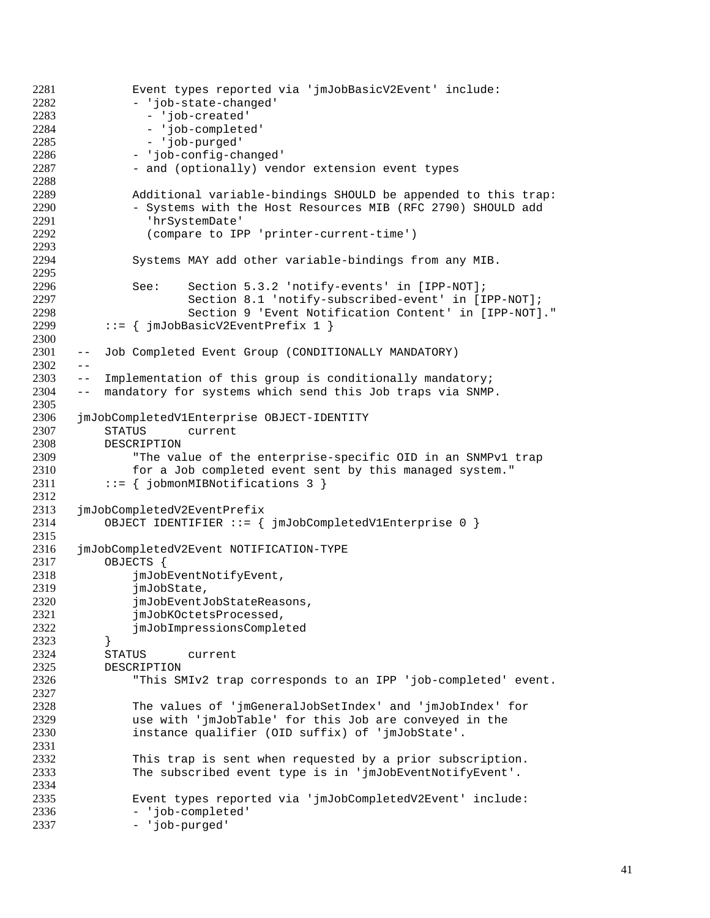```
2281 Event types reported via 'jmJobBasicV2Event' include:<br>2282 - 'job-state-changed'
              - 'job-state-changed'
2283 - 'job-created'
2284 - 'job-completed'
2285 - 'job-purged'
2286 - 'job-config-changed'
2287 - and (optionally) vendor extension event types
2288
2289 Additional variable-bindings SHOULD be appended to this trap:
2290 - Systems with the Host Resources MIB (RFC 2790) SHOULD add
2291 'hrSystemDate'
2292 (compare to IPP 'printer-current-time')
2293
2294 Systems MAY add other variable-bindings from any MIB.
2295
2296 See: Section 5.3.2 'notify-events' in [IPP-NOT];<br>2297 Section 8.1 'notify-subscribed-event' in [I
2297 Section 8.1 'notify-subscribed-event' in [IPP-NOT];
2298 Section 9 'Event Notification Content' in [IPP-NOT]."<br>2299 ::= { imJobBasicV2EventPrefix 1 }
          ::= { jmJobBasicV2EventPrefix 1 }
2300
2301 -- Job Completed Event Group (CONDITIONALLY MANDATORY)
2302 - -2303 -- Implementation of this group is conditionally mandatory;
2304 -- mandatory for systems which send this Job traps via SNMP.
2305
2306 jmJobCompletedV1Enterprise OBJECT-IDENTITY
2307 STATUS current
2308 DESCRIPTION
2309 "The value of the enterprise-specific OID in an SNMPv1 trap
2310 for a Job completed event sent by this managed system."
2311 ::= \{jobmonMIBNotifications 3\}2312
2313 jmJobCompletedV2EventPrefix
2314 OBJECT IDENTIFIER ::= { jmJobCompletedV1Enterprise 0 }
2315
2316 jmJobCompletedV2Event NOTIFICATION-TYPE
2317 OBJECTS {
2318 jmJobEventNotifyEvent,<br>2319 imJobState.
2319 jmJobState,<br>2320 imJobEventJ
              jmJobEventJobStateReasons,
2321 jmJobKOctetsProcessed,
2322 jmJobImpressionsCompleted
2323 }
2324 STATUS current
2325 DESCRIPTION
2326 "This SMIv2 trap corresponds to an IPP 'job-completed' event.
2327
2328 The values of 'jmGeneralJobSetIndex' and 'jmJobIndex' for<br>2329 use with 'jmJobTable' for this Job are conveyed in the
              use with 'jmJobTable' for this Job are conveyed in the
2330 instance qualifier (OID suffix) of 'jmJobState'.
2331
2332 This trap is sent when requested by a prior subscription.
2333 The subscribed event type is in 'jmJobEventNotifyEvent'.
2334
2335 Event types reported via 'jmJobCompletedV2Event' include:
2336 - 'job-completed'
              - 'job-purged'
```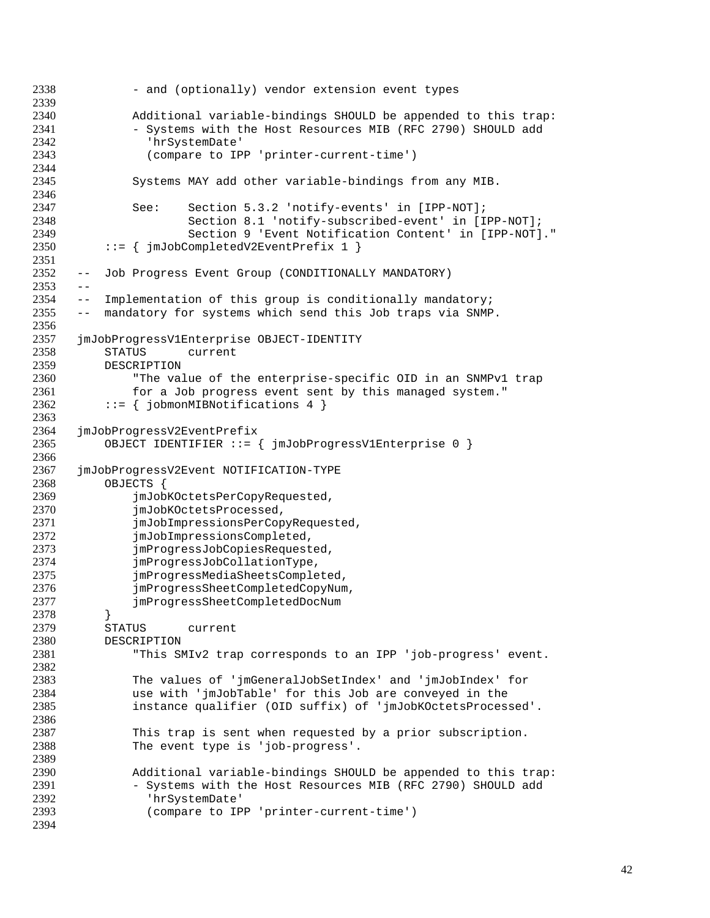- and (optionally) vendor extension event types Additional variable-bindings SHOULD be appended to this trap: - Systems with the Host Resources MIB (RFC 2790) SHOULD add 'hrSystemDate' (compare to IPP 'printer-current-time') Systems MAY add other variable-bindings from any MIB. See: Section 5.3.2 'notify-events' in [IPP-NOT]; Section 8.1 'notify-subscribed-event' in [IPP-NOT]; Section 9 'Event Notification Content' in [IPP-NOT]." 2350 ::=  $\{$  jmJobCompletedV2EventPrefix 1  $\}$  -- Job Progress Event Group (CONDITIONALLY MANDATORY)  $2353 - -$ 2354 -- Implementation of this group is conditionally mandatory;<br>2355 -- mandatory for systems which send this Job traps via SNMP -- mandatory for systems which send this Job traps via SNMP. jmJobProgressV1Enterprise OBJECT-IDENTITY STATUS current DESCRIPTION "The value of the enterprise-specific OID in an SNMPv1 trap for a Job progress event sent by this managed system." 2362 ::=  $\{jobmonMIBNotifications 4\}$  jmJobProgressV2EventPrefix OBJECT IDENTIFIER ::= { jmJobProgressV1Enterprise 0 } jmJobProgressV2Event NOTIFICATION-TYPE OBJECTS { jmJobKOctetsPerCopyRequested, 2370 jmJobKOctetsProcessed, 2371 jmJobImpressionsPerCopyRequested,<br>2372 imJobImpressionsCompleted, 2372 jmJobImpressionsCompleted,<br>2373 jmProgressJobCopiesRequest jmProgressJobCopiesRequested, jmProgressJobCollationType, jmProgressMediaSheetsCompleted, jmProgressSheetCompletedCopyNum, jmProgressSheetCompletedDocNum } STATUS current DESCRIPTION "This SMIv2 trap corresponds to an IPP 'job-progress' event. The values of 'jmGeneralJobSetIndex' and 'jmJobIndex' for use with 'jmJobTable' for this Job are conveyed in the instance qualifier (OID suffix) of 'jmJobKOctetsProcessed'. This trap is sent when requested by a prior subscription. The event type is 'job-progress'. Additional variable-bindings SHOULD be appended to this trap: - Systems with the Host Resources MIB (RFC 2790) SHOULD add 'hrSystemDate' (compare to IPP 'printer-current-time')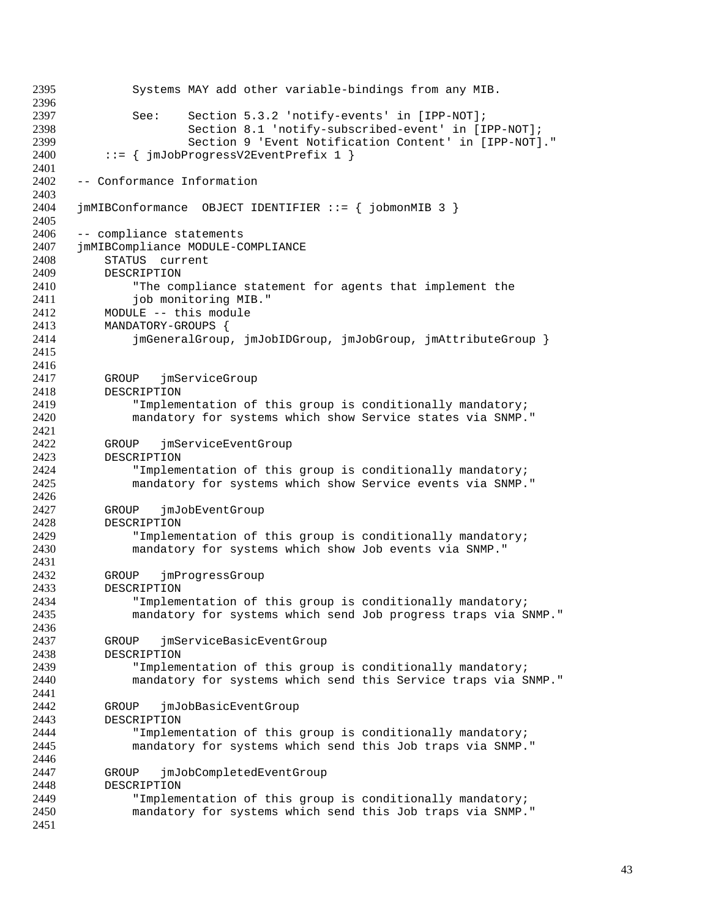Systems MAY add other variable-bindings from any MIB. See: Section 5.3.2 'notify-events' in [IPP-NOT]; Section 8.1 'notify-subscribed-event' in [IPP-NOT]; Section 9 'Event Notification Content' in [IPP-NOT]." ::= { jmJobProgressV2EventPrefix 1 } -- Conformance Information jmMIBConformance OBJECT IDENTIFIER ::= { jobmonMIB 3 } -- compliance statements jmMIBCompliance MODULE-COMPLIANCE STATUS current 2409 DESCRIPTION<br>2410 **PESCRIPTION** "The compliance statement for agents that implement the 2411 job monitoring MIB."<br>2412 MODULE -- this module 2412 MODULE -- this module<br>2413 MANDATORY-GROUPS MANDATORY-GROUPS { jmGeneralGroup, jmJobIDGroup, jmJobGroup, jmAttributeGroup } GROUP jmServiceGroup DESCRIPTION "Implementation of this group is conditionally mandatory; mandatory for systems which show Service states via SNMP." GROUP jmServiceEventGroup DESCRIPTION "Implementation of this group is conditionally mandatory; mandatory for systems which show Service events via SNMP." GROUP jmJobEventGroup 2428 DESCRIPTION<br>2429 "Impleme 2429 TImplementation of this group is conditionally mandatory;<br>2430 Tandatory for systems which show Job events via SNMP." mandatory for systems which show Job events via SNMP." GROUP jmProgressGroup DESCRIPTION "Implementation of this group is conditionally mandatory; mandatory for systems which send Job progress traps via SNMP." GROUP jmServiceBasicEventGroup DESCRIPTION "Implementation of this group is conditionally mandatory; mandatory for systems which send this Service traps via SNMP." 2442 GROUP jmJobBasicEventGroup<br>2443 DESCRIPTION **DESCRIPTION**  "Implementation of this group is conditionally mandatory; mandatory for systems which send this Job traps via SNMP." GROUP jmJobCompletedEventGroup DESCRIPTION "Implementation of this group is conditionally mandatory; mandatory for systems which send this Job traps via SNMP."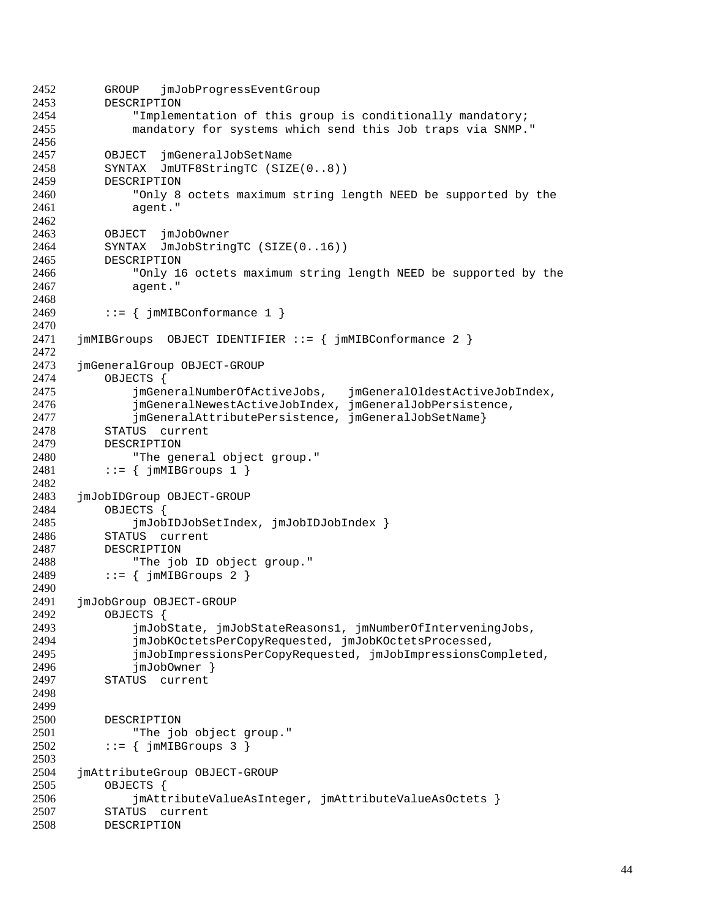```
2452 GROUP jmJobProgressEventGroup
2453 DESCRIPTION
2454 "Implementation of this group is conditionally mandatory;
2455 mandatory for systems which send this Job traps via SNMP."
2456
2457 OBJECT jmGeneralJobSetName
2458 SYNTAX JmUTF8StringTC (SIZE(0..8))
2459 DESCRIPTION
2460 "Only 8 octets maximum string length NEED be supported by the
2461 agent."
2462
2463 OBJECT jmJobOwner
2464 SYNTAX JmJobStringTC (SIZE(0..16))
2465 DESCRIPTION
2466 "Only 16 octets maximum string length NEED be supported by the
             agent."
2468
2469 ::= \{ jmMIBConformance 1 \}2470
2471 jmMIBGroups OBJECT IDENTIFIER ::= { jmMIBConformance 2 }
2472
2473 jmGeneralGroup OBJECT-GROUP
2474 OBJECTS {
2475 jmGeneralNumberOfActiveJobs, jmGeneralOldestActiveJobIndex,
2476 jmGeneralNewestActiveJobIndex, jmGeneralJobPersistence,
2477 jmGeneralAttributePersistence, jmGeneralJobSetName}
2478 STATUS current
2479 DESCRIPTION
2480 "The general object group."
2481 ::= { \{ \text{mmMIBGroups} \quad 1 \}2482
2483 jmJobIDGroup OBJECT-GROUP
2484 OBJECTS {
2485 jmJobIDJobSetIndex, jmJobIDJobIndex }
2486 STATUS current<br>2487 DESCRIPTION
         DESCRIPTION
2488 "The job ID object group."
2489 ::= { jmMIBGroups 2 }
2490<br>2491
     2491 jmJobGroup OBJECT-GROUP
2492 OBJECTS {
2493 jmJobState, jmJobStateReasons1, jmNumberOfInterveningJobs,
2494 jmJobKOctetsPerCopyRequested, jmJobKOctetsProcessed,
2495 jmJobImpressionsPerCopyRequested, jmJobImpressionsCompleted,
2496 jmJobOwner }
2497 STATUS current
2498
2499
2500 DESCRIPTION
2501 "The job object group."
2502 ::= { jmMIBGroups 3 }
2503
2504 jmAttributeGroup OBJECT-GROUP
2505 OBJECTS {
2506 jmAttributeValueAsInteger, jmAttributeValueAsOctets }
2507 STATUS current<br>2508 DESCRIPTION
         2508 DESCRIPTION
```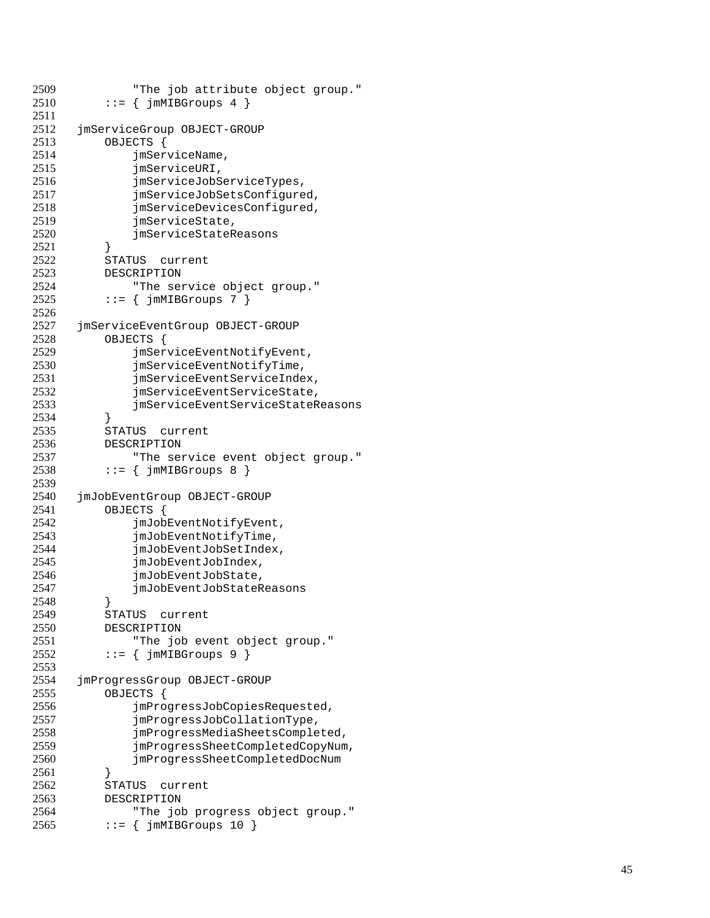```
2509 The job attribute object group."<br>2510 ::= { imMIBGroups 4 }
            ::= { jmMIBGroups 4 }
2511
2512 jmServiceGroup OBJECT-GROUP
2513 OBJECTS {
2514 jmServiceName,
2515 jmServiceURI,
2516 jmServiceJobServiceTypes,<br>2517 imServiceJobSetsConfigure
                 imServiceJobSetsConfigured,
2518 jmServiceDevicesConfigured,
2519 jmServiceState,
2520 jmServiceStateReasons
2521
             }
2522 STATUS current
2523 DESCRIPTION<br>2524 "The ser
2524 "The service object group."<br>2525 ::= { jmMIBGroups 7 }
            ::= { \{ \{ \} \{ \} \{ \} \{ \} \{ \} \{ \} \{ \} \{ \} \{ \} \{ \} \{ \} \{ \} \{ \} \{ \} \{ \} \{ \} \{ \} \{ \} \{ \} \{ \} \{ \}2526
2527 jmServiceEventGroup OBJECT-GROUP<br>2528 0BJECTS {
            OBJECTS {
2529 jmServiceEventNotifyEvent,
2530 jmServiceEventNotifyTime,
2531 jmServiceEventServiceIndex,
2532 jmServiceEventServiceState,<br>2533 imServiceEventServiceStateR
                 2533 jmServiceEventServiceStateReasons
2534
             }
2535 STATUS current
2536 DESCRIPTION
2537 The service event object group."<br>2538 ::= { imMIBGroups 8 }
            ::= { jmMIBGroups 8 }
2539
2540 jmJobEventGroup OBJECT-GROUP
2541 OBJECTS {
2542 jmJobEventNotifyEvent,<br>2543 imJobEventNotifyTime,
2543 jmJobEventNotifyTime,<br>2544 jmJobEventJobSetIndex
2544 jmJobEventJobSetIndex,<br>2545 jmJobEventJobIndex,
                 jmJobEventJobIndex,
2546 jmJobEventJobState,<br>2547 imJobEventJobStateR
                 2547 jmJobEventJobStateReasons
2548
            }
2549 STATUS current
2550 DESCRIPTION
2551 "The job event object group."
2552 ::= { \{ \text{mMIBGroups} \space 9 \}2553
2554 jmProgressGroup OBJECT-GROUP
2555 OBJECTS {
2556 jmProgressJobCopiesRequested,<br>2557 imProgressJobCollationType.
2557 jmProgressJobCollationType,<br>2558 jmProgressMediaSheetsComple
                 jmProgressMediaSheetsCompleted,
2559 jmProgressSheetCompletedCopyNum,
2560 jmProgressSheetCompletedDocNum
2561
             }
2562 STATUS current
2563 DESCRIPTION
2564 "The job progress object group."<br>2565 ::= { imMIBGroups 10 }
            \cdot := \{ \cdot \text{imMIBGroups} \mid 10 \}
```